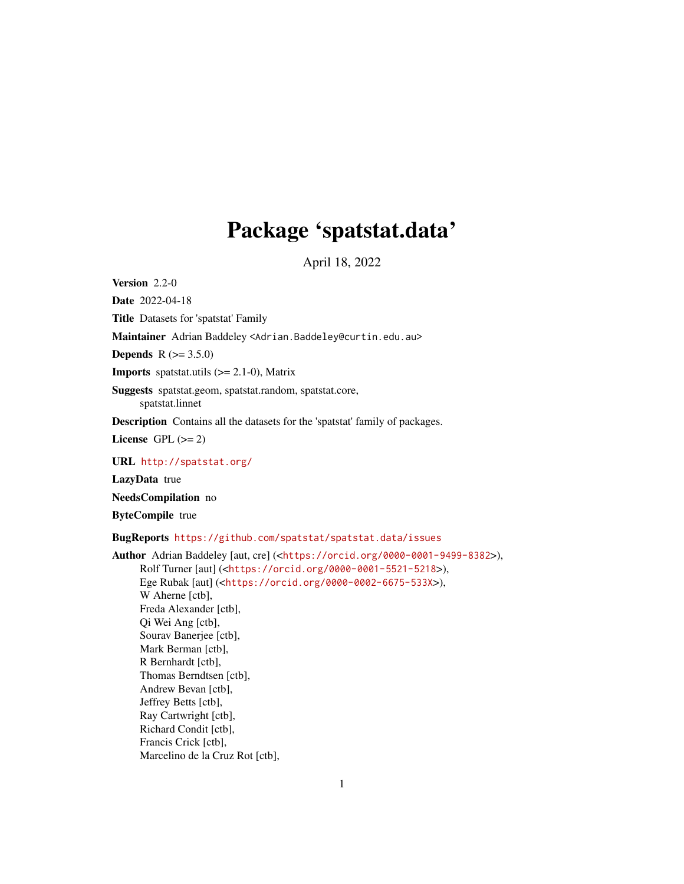# Package 'spatstat.data'

April 18, 2022

<span id="page-0-0"></span>Version 2.2-0

Date 2022-04-18

Title Datasets for 'spatstat' Family

Maintainer Adrian Baddeley <Adrian.Baddeley@curtin.edu.au>

**Depends** R  $(>= 3.5.0)$ 

**Imports** spatstat.utils  $(>= 2.1-0)$ , Matrix

Suggests spatstat.geom, spatstat.random, spatstat.core, spatstat.linnet

Description Contains all the datasets for the 'spatstat' family of packages.

License GPL  $(>= 2)$ 

URL <http://spatstat.org/>

LazyData true

NeedsCompilation no

ByteCompile true

BugReports <https://github.com/spatstat/spatstat.data/issues>

```
Author Adrian Baddeley [aut, cre] (<https://orcid.org/0000-0001-9499-8382>),
     Rolf Turner [aut] (<https://orcid.org/0000-0001-5521-5218>),
     Ege Rubak [aut] (<https://orcid.org/0000-0002-6675-533X>),
     W Aherne [ctb],
     Freda Alexander [ctb],
     Qi Wei Ang [ctb],
     Sourav Banerjee [ctb],
     Mark Berman [ctb],
     R Bernhardt [ctb],
     Thomas Berndtsen [ctb],
     Andrew Bevan [ctb],
     Jeffrey Betts [ctb],
     Ray Cartwright [ctb],
     Richard Condit [ctb],
     Francis Crick [ctb],
     Marcelino de la Cruz Rot [ctb],
```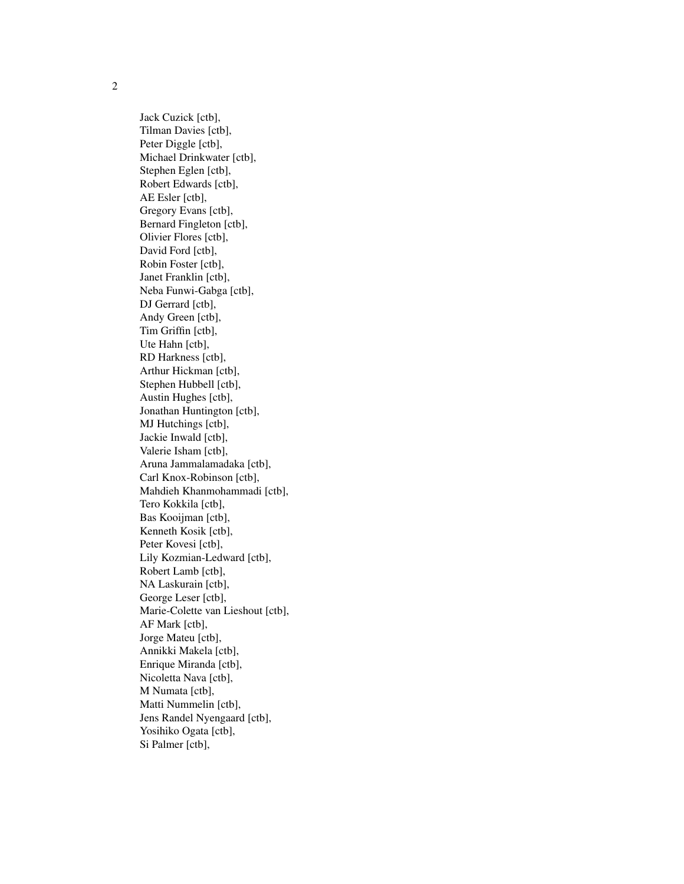Jack Cuzick [ctb], Tilman Davies [ctb], Peter Diggle [ctb], Michael Drinkwater [ctb], Stephen Eglen [ctb], Robert Edwards [ctb], AE Esler [ctb], Gregory Evans [ctb], Bernard Fingleton [ctb], Olivier Flores [ctb], David Ford [ctb], Robin Foster [ctb], Janet Franklin [ctb], Neba Funwi-Gabga [ctb], DJ Gerrard [ctb], Andy Green [ctb], Tim Griffin [ctb], Ute Hahn [ctb], RD Harkness [ctb], Arthur Hickman [ctb], Stephen Hubbell [ctb], Austin Hughes [ctb], Jonathan Huntington [ctb], MJ Hutchings [ctb], Jackie Inwald [ctb], Valerie Isham [ctb], Aruna Jammalamadaka [ctb], Carl Knox-Robinson [ctb], Mahdieh Khanmohammadi [ctb], Tero Kokkila [ctb], Bas Kooijman [ctb], Kenneth Kosik [ctb], Peter Kovesi [ctb], Lily Kozmian-Ledward [ctb], Robert Lamb [ctb], NA Laskurain [ctb], George Leser [ctb], Marie-Colette van Lieshout [ctb], AF Mark [ctb], Jorge Mateu [ctb], Annikki Makela [ctb], Enrique Miranda [ctb], Nicoletta Nava [ctb], M Numata [ctb], Matti Nummelin [ctb], Jens Randel Nyengaard [ctb], Yosihiko Ogata [ctb], Si Palmer [ctb],

2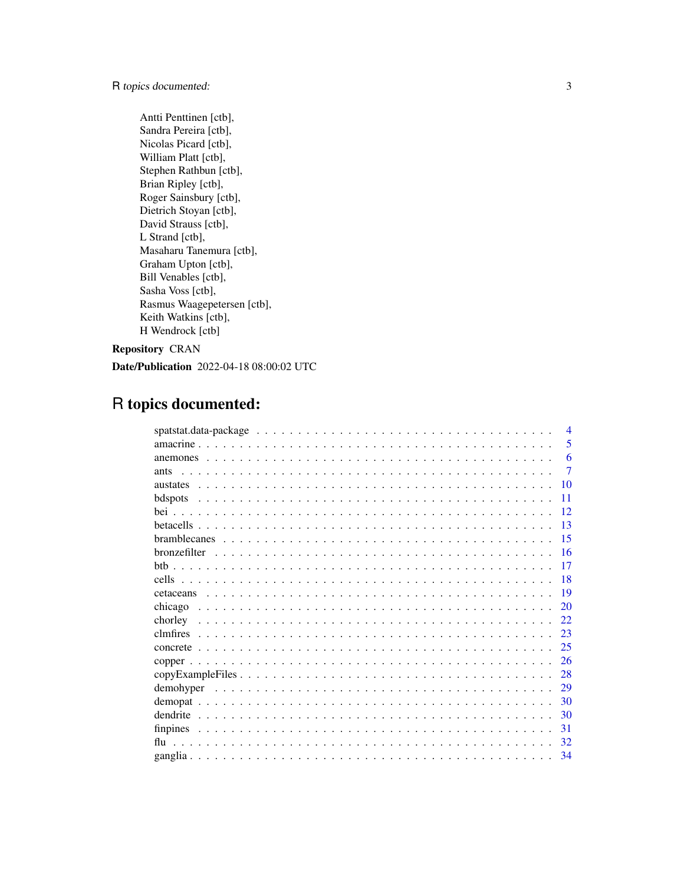# R topics documented: 3

Antti Penttinen [ctb], Sandra Pereira [ctb], Nicolas Picard [ctb], William Platt [ctb], Stephen Rathbun [ctb], Brian Ripley [ctb], Roger Sainsbury [ctb], Dietrich Stoyan [ctb], David Strauss [ctb], L Strand [ctb], Masaharu Tanemura [ctb], Graham Upton [ctb], Bill Venables [ctb], Sasha Voss [ctb], Rasmus Waagepetersen [ctb], Keith Watkins [ctb], H Wendrock [ctb]

# Repository CRAN

Date/Publication 2022-04-18 08:00:02 UTC

# R topics documented:

| $\overline{4}$        |
|-----------------------|
| 5                     |
| 6                     |
| 7<br>ants             |
| 10<br><b>austates</b> |
| 11<br>bdspots         |
| 12                    |
| 13                    |
| 15                    |
| -16                   |
| 17                    |
| 18                    |
| 19                    |
| chicago<br>20         |
| 22                    |
| 23                    |
| 25                    |
| 26                    |
| 28                    |
| demohyper<br>29       |
| 30                    |
| dendrite<br>30        |
| 31                    |
| 32<br>flu             |
| 34                    |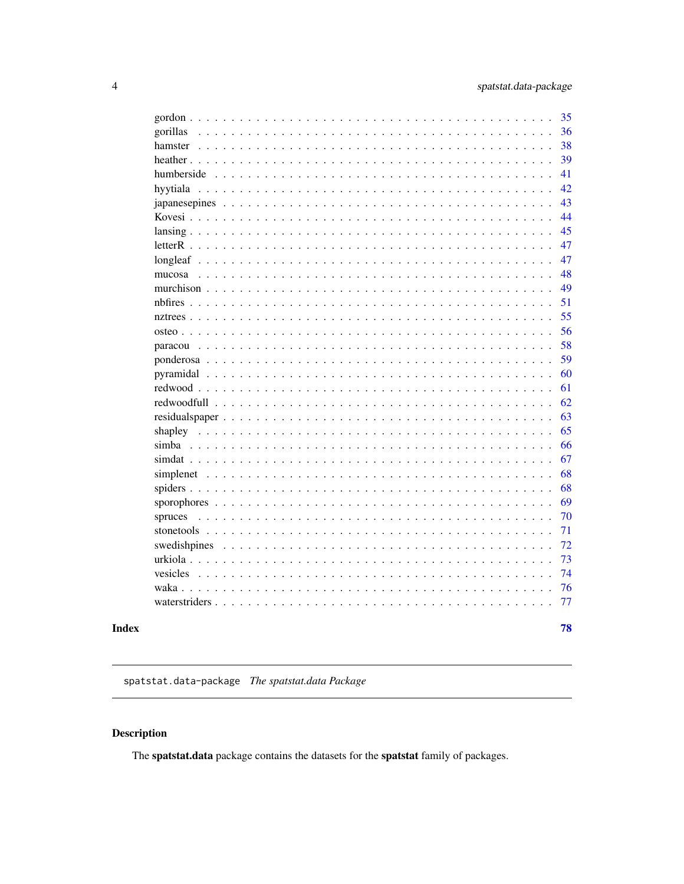<span id="page-3-0"></span>

|                                                                                                                                                                                                                                                                                                                                                                                                                                                                                                                                            | 35 |
|--------------------------------------------------------------------------------------------------------------------------------------------------------------------------------------------------------------------------------------------------------------------------------------------------------------------------------------------------------------------------------------------------------------------------------------------------------------------------------------------------------------------------------------------|----|
| gorillas<br>$\begin{array}{cccccccccccccc} . & . & . & . & . & . & . & . \end{array}$<br>$\ddot{\phantom{a}}$<br>$\ddot{\phantom{a}}$<br>$\mathbf{r}$<br>$\ddot{\phantom{a}}$                                                                                                                                                                                                                                                                                                                                                              | 36 |
| hamster<br>.<br>$\ddot{\phantom{a}}$<br>$\ddotsc$<br>$\ddot{\phantom{a}}$<br>$\ddot{\phantom{a}}$                                                                                                                                                                                                                                                                                                                                                                                                                                          | 38 |
| heather<br>.<br>$\ddot{\phantom{0}}$<br>$\ddot{\phantom{0}}$                                                                                                                                                                                                                                                                                                                                                                                                                                                                               | 39 |
| humberside                                                                                                                                                                                                                                                                                                                                                                                                                                                                                                                                 | 41 |
| hyytiala                                                                                                                                                                                                                                                                                                                                                                                                                                                                                                                                   | 42 |
|                                                                                                                                                                                                                                                                                                                                                                                                                                                                                                                                            | 43 |
|                                                                                                                                                                                                                                                                                                                                                                                                                                                                                                                                            | 44 |
|                                                                                                                                                                                                                                                                                                                                                                                                                                                                                                                                            | 45 |
|                                                                                                                                                                                                                                                                                                                                                                                                                                                                                                                                            | 47 |
|                                                                                                                                                                                                                                                                                                                                                                                                                                                                                                                                            | 47 |
| mucosa                                                                                                                                                                                                                                                                                                                                                                                                                                                                                                                                     | 48 |
|                                                                                                                                                                                                                                                                                                                                                                                                                                                                                                                                            | 49 |
|                                                                                                                                                                                                                                                                                                                                                                                                                                                                                                                                            | 51 |
|                                                                                                                                                                                                                                                                                                                                                                                                                                                                                                                                            | 55 |
| $\overline{a}$<br>$\mathbf{r}$<br>$\mathbf{r}$                                                                                                                                                                                                                                                                                                                                                                                                                                                                                             | 56 |
| paracou<br>$\overline{a}$<br>$\overline{a}$                                                                                                                                                                                                                                                                                                                                                                                                                                                                                                | 58 |
| ponderosa<br>$\mathbf{r}$                                                                                                                                                                                                                                                                                                                                                                                                                                                                                                                  | 59 |
|                                                                                                                                                                                                                                                                                                                                                                                                                                                                                                                                            | 60 |
|                                                                                                                                                                                                                                                                                                                                                                                                                                                                                                                                            | 61 |
|                                                                                                                                                                                                                                                                                                                                                                                                                                                                                                                                            | 62 |
| $\ddot{\phantom{a}}$                                                                                                                                                                                                                                                                                                                                                                                                                                                                                                                       | 63 |
| shapley<br>$\ddots$                                                                                                                                                                                                                                                                                                                                                                                                                                                                                                                        | 65 |
| $simba$<br>$\ddot{\phantom{0}}$<br>$\ddot{\phantom{0}}$                                                                                                                                                                                                                                                                                                                                                                                                                                                                                    | 66 |
| sim dat $\ldots$ , $\ldots$<br>$\ddot{\phantom{a}}$                                                                                                                                                                                                                                                                                                                                                                                                                                                                                        | 67 |
| $\ddot{\phantom{a}}$                                                                                                                                                                                                                                                                                                                                                                                                                                                                                                                       | 68 |
| spiders $\ldots$<br>$\mathcal{L}^{\mathcal{A}}(\mathcal{A}^{\mathcal{A}}(\mathcal{A}^{\mathcal{A}}(\mathcal{A}^{\mathcal{A}}(\mathcal{A}^{\mathcal{A}}(\mathcal{A}^{\mathcal{A}}(\mathcal{A}^{\mathcal{A}}(\mathcal{A}^{\mathcal{A}}(\mathcal{A}^{\mathcal{A}}(\mathcal{A}^{\mathcal{A}}(\mathcal{A}^{\mathcal{A}}(\mathcal{A}^{\mathcal{A}}(\mathcal{A}^{\mathcal{A}}(\mathcal{A}^{\mathcal{A}}(\mathcal{A}^{\mathcal{A}}(\mathcal{A}^{\mathcal{A}}(\mathcal{A}^{\mathcal{A$<br>$\ddotsc$<br>$\ddots$<br>$\ddots$<br>$\ddot{\phantom{a}}$ | 68 |
| $\ddot{\phantom{a}}$<br>$\ddot{\phantom{a}}$<br>$\ddot{\phantom{a}}$                                                                                                                                                                                                                                                                                                                                                                                                                                                                       | 69 |
| spruces<br>$\mathcal{L}^{\mathcal{A}}$ , $\mathcal{L}^{\mathcal{A}}$ , $\mathcal{L}^{\mathcal{A}}$<br>$\ddotsc$                                                                                                                                                                                                                                                                                                                                                                                                                            | 70 |
| $\ddot{\phantom{0}}$<br>$\sim$ $\sim$ $\sim$ $\sim$                                                                                                                                                                                                                                                                                                                                                                                                                                                                                        | 71 |
| swedishpines                                                                                                                                                                                                                                                                                                                                                                                                                                                                                                                               | 72 |
| urkiola<br>$\ddot{\phantom{a}}$<br>$\ddot{\phantom{a}}$                                                                                                                                                                                                                                                                                                                                                                                                                                                                                    | 73 |
| vesicles                                                                                                                                                                                                                                                                                                                                                                                                                                                                                                                                   | 74 |
| waka                                                                                                                                                                                                                                                                                                                                                                                                                                                                                                                                       | 76 |
|                                                                                                                                                                                                                                                                                                                                                                                                                                                                                                                                            | 77 |
|                                                                                                                                                                                                                                                                                                                                                                                                                                                                                                                                            |    |
|                                                                                                                                                                                                                                                                                                                                                                                                                                                                                                                                            | 78 |

# **Index**

spatstat.data-package The spatstat.data Package

# Description

The spatstat.data package contains the datasets for the spatstat family of packages.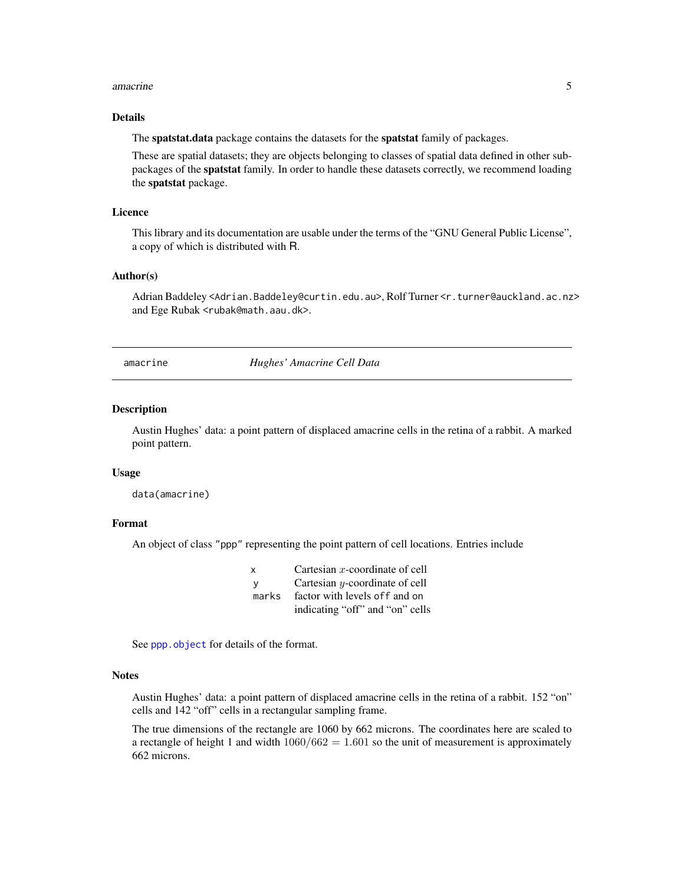#### <span id="page-4-0"></span>amacrine 5

# Details

The spatstat.data package contains the datasets for the spatstat family of packages.

These are spatial datasets; they are objects belonging to classes of spatial data defined in other subpackages of the spatstat family. In order to handle these datasets correctly, we recommend loading the spatstat package.

# Licence

This library and its documentation are usable under the terms of the "GNU General Public License", a copy of which is distributed with R.

# Author(s)

Adrian Baddeley <Adrian.Baddeley@curtin.edu.au>, Rolf Turner <r.turner@auckland.ac.nz> and Ege Rubak <rubak@math.aau.dk>.

amacrine *Hughes' Amacrine Cell Data*

# Description

Austin Hughes' data: a point pattern of displaced amacrine cells in the retina of a rabbit. A marked point pattern.

# Usage

data(amacrine)

# Format

An object of class "ppp" representing the point pattern of cell locations. Entries include

| x     | Cartesian $x$ -coordinate of cell |
|-------|-----------------------------------|
| v     | Cartesian $y$ -coordinate of cell |
| marks | factor with levels of f and on    |
|       | indicating "off" and "on" cells   |

See [ppp.object](#page-0-0) for details of the format.

#### Notes

Austin Hughes' data: a point pattern of displaced amacrine cells in the retina of a rabbit. 152 "on" cells and 142 "off" cells in a rectangular sampling frame.

The true dimensions of the rectangle are 1060 by 662 microns. The coordinates here are scaled to a rectangle of height 1 and width  $1060/662 = 1.601$  so the unit of measurement is approximately 662 microns.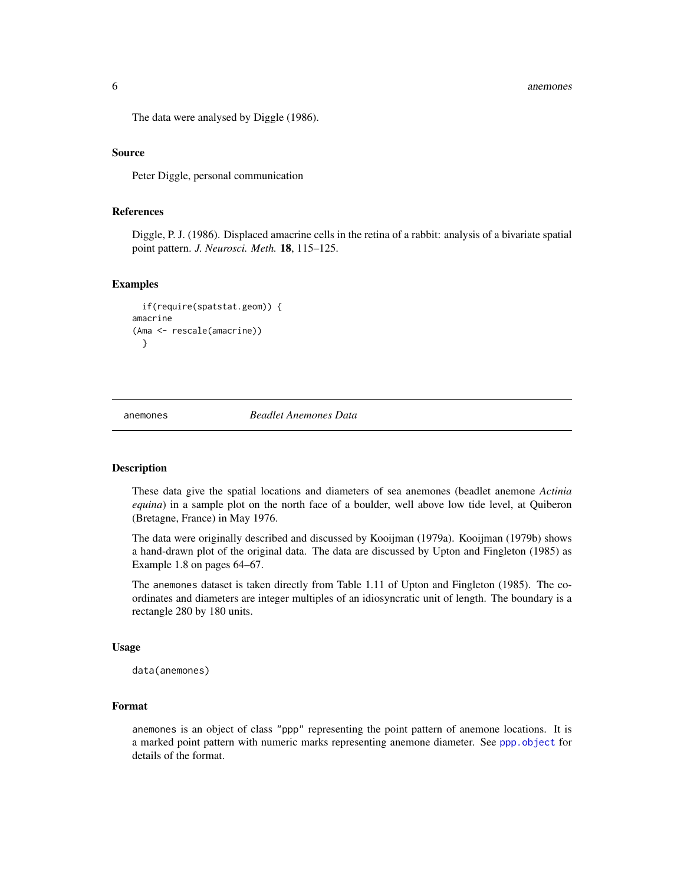<span id="page-5-0"></span>The data were analysed by Diggle (1986).

#### Source

Peter Diggle, personal communication

#### References

Diggle, P. J. (1986). Displaced amacrine cells in the retina of a rabbit: analysis of a bivariate spatial point pattern. *J. Neurosci. Meth.* 18, 115–125.

#### Examples

```
if(require(spatstat.geom)) {
amacrine
(Ama <- rescale(amacrine))
 }
```
anemones *Beadlet Anemones Data*

# **Description**

These data give the spatial locations and diameters of sea anemones (beadlet anemone *Actinia equina*) in a sample plot on the north face of a boulder, well above low tide level, at Quiberon (Bretagne, France) in May 1976.

The data were originally described and discussed by Kooijman (1979a). Kooijman (1979b) shows a hand-drawn plot of the original data. The data are discussed by Upton and Fingleton (1985) as Example 1.8 on pages 64–67.

The anemones dataset is taken directly from Table 1.11 of Upton and Fingleton (1985). The coordinates and diameters are integer multiples of an idiosyncratic unit of length. The boundary is a rectangle 280 by 180 units.

# Usage

```
data(anemones)
```
# Format

anemones is an object of class "ppp" representing the point pattern of anemone locations. It is a marked point pattern with numeric marks representing anemone diameter. See [ppp.object](#page-0-0) for details of the format.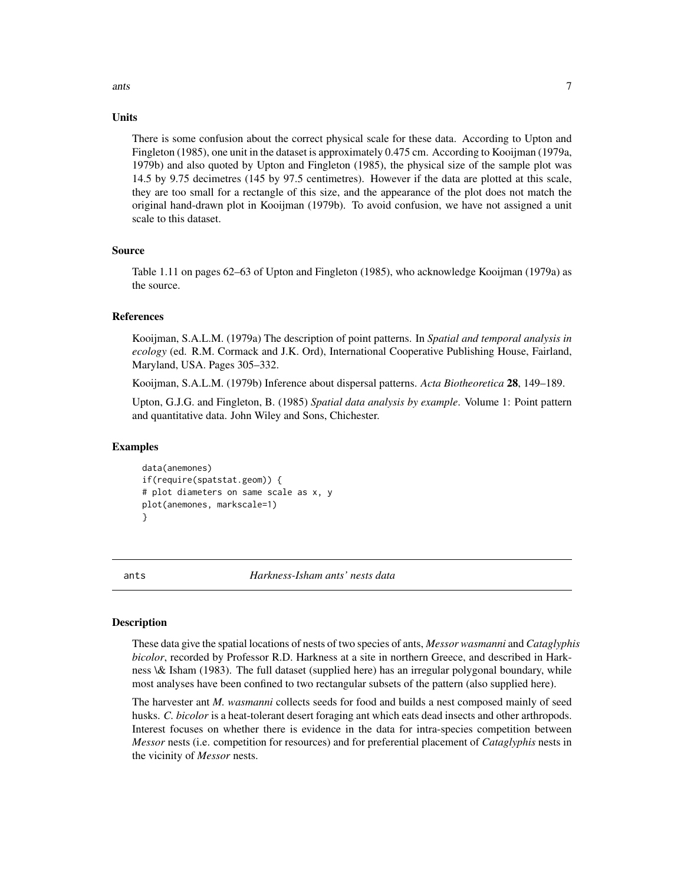# <span id="page-6-0"></span>ants 7

# Units

There is some confusion about the correct physical scale for these data. According to Upton and Fingleton (1985), one unit in the dataset is approximately 0.475 cm. According to Kooijman (1979a, 1979b) and also quoted by Upton and Fingleton (1985), the physical size of the sample plot was 14.5 by 9.75 decimetres (145 by 97.5 centimetres). However if the data are plotted at this scale, they are too small for a rectangle of this size, and the appearance of the plot does not match the original hand-drawn plot in Kooijman (1979b). To avoid confusion, we have not assigned a unit scale to this dataset.

# Source

Table 1.11 on pages 62–63 of Upton and Fingleton (1985), who acknowledge Kooijman (1979a) as the source.

#### References

Kooijman, S.A.L.M. (1979a) The description of point patterns. In *Spatial and temporal analysis in ecology* (ed. R.M. Cormack and J.K. Ord), International Cooperative Publishing House, Fairland, Maryland, USA. Pages 305–332.

Kooijman, S.A.L.M. (1979b) Inference about dispersal patterns. *Acta Biotheoretica* 28, 149–189.

Upton, G.J.G. and Fingleton, B. (1985) *Spatial data analysis by example*. Volume 1: Point pattern and quantitative data. John Wiley and Sons, Chichester.

# Examples

```
data(anemones)
if(require(spatstat.geom)) {
# plot diameters on same scale as x, y
plot(anemones, markscale=1)
}
```
ants *Harkness-Isham ants' nests data*

# Description

These data give the spatial locations of nests of two species of ants, *Messor wasmanni* and *Cataglyphis bicolor*, recorded by Professor R.D. Harkness at a site in northern Greece, and described in Harkness \& Isham (1983). The full dataset (supplied here) has an irregular polygonal boundary, while most analyses have been confined to two rectangular subsets of the pattern (also supplied here).

The harvester ant *M. wasmanni* collects seeds for food and builds a nest composed mainly of seed husks. *C. bicolor* is a heat-tolerant desert foraging ant which eats dead insects and other arthropods. Interest focuses on whether there is evidence in the data for intra-species competition between *Messor* nests (i.e. competition for resources) and for preferential placement of *Cataglyphis* nests in the vicinity of *Messor* nests.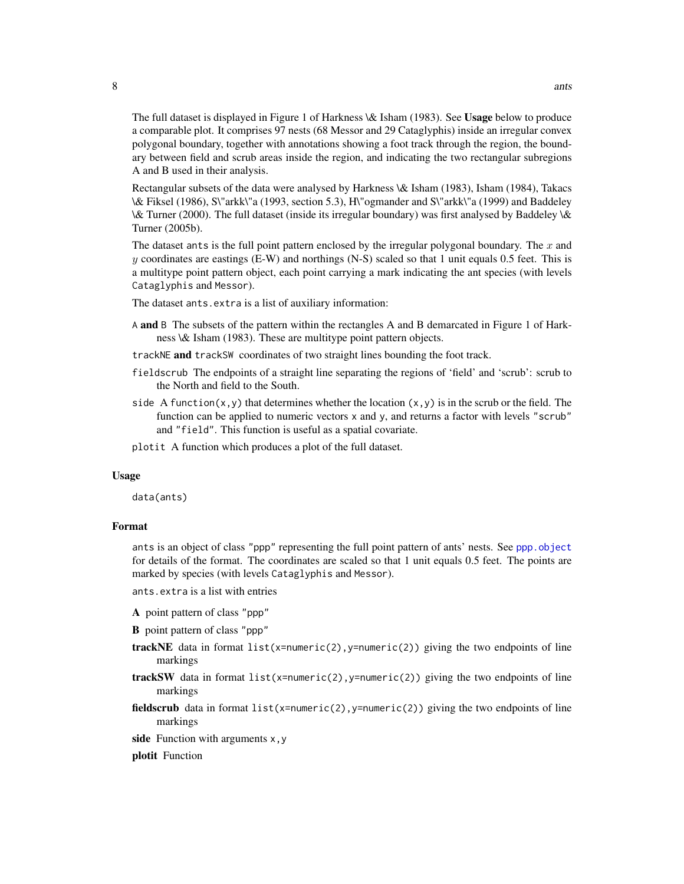The full dataset is displayed in Figure 1 of Harkness \& Isham (1983). See Usage below to produce a comparable plot. It comprises 97 nests (68 Messor and 29 Cataglyphis) inside an irregular convex polygonal boundary, together with annotations showing a foot track through the region, the boundary between field and scrub areas inside the region, and indicating the two rectangular subregions A and B used in their analysis.

Rectangular subsets of the data were analysed by Harkness \& Isham (1983), Isham (1984), Takacs \& Fiksel (1986), S\"arkk\"a (1993, section 5.3), H\"ogmander and S\"arkk\"a (1999) and Baddeley \& Turner (2000). The full dataset (inside its irregular boundary) was first analysed by Baddeley \& Turner (2005b).

The dataset ants is the full point pattern enclosed by the irregular polygonal boundary. The  $x$  and y coordinates are eastings (E-W) and northings (N-S) scaled so that 1 unit equals 0.5 feet. This is a multitype point pattern object, each point carrying a mark indicating the ant species (with levels Cataglyphis and Messor).

The dataset ants.extra is a list of auxiliary information:

- A and B The subsets of the pattern within the rectangles A and B demarcated in Figure 1 of Harkness \& Isham (1983). These are multitype point pattern objects.
- trackNE and trackSW coordinates of two straight lines bounding the foot track.
- fieldscrub The endpoints of a straight line separating the regions of 'field' and 'scrub': scrub to the North and field to the South.
- side A function(x,y) that determines whether the location (x,y) is in the scrub or the field. The function can be applied to numeric vectors x and y, and returns a factor with levels "scrub" and "field". This function is useful as a spatial covariate.
- plotit A function which produces a plot of the full dataset.

#### Usage

data(ants)

# Format

ants is an object of class "ppp" representing the full point pattern of ants' nests. See [ppp.object](#page-0-0) for details of the format. The coordinates are scaled so that 1 unit equals 0.5 feet. The points are marked by species (with levels Cataglyphis and Messor).

ants.extra is a list with entries

- A point pattern of class "ppp"
- B point pattern of class "ppp"
- **trackNE** data in format list(x=numeric(2), y=numeric(2)) giving the two endpoints of line markings
- trackSW data in format list(x=numeric(2), y=numeric(2)) giving the two endpoints of line markings
- fieldscrub data in format list(x=numeric(2), y=numeric(2)) giving the two endpoints of line markings
- side Function with arguments  $x, y$

plotit Function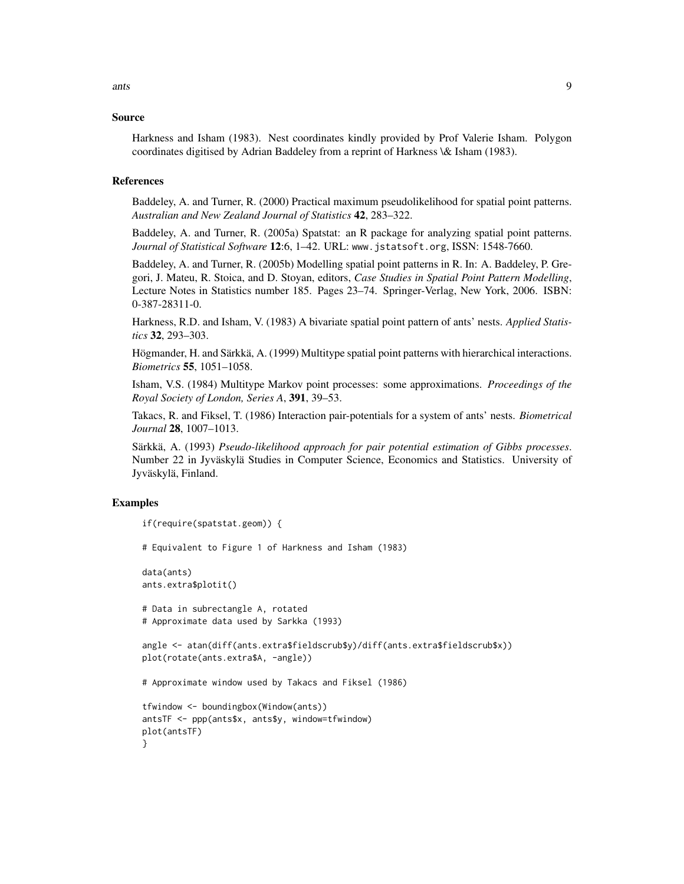ants and  $\sim$  9

#### Source

Harkness and Isham (1983). Nest coordinates kindly provided by Prof Valerie Isham. Polygon coordinates digitised by Adrian Baddeley from a reprint of Harkness \& Isham (1983).

#### References

Baddeley, A. and Turner, R. (2000) Practical maximum pseudolikelihood for spatial point patterns. *Australian and New Zealand Journal of Statistics* 42, 283–322.

Baddeley, A. and Turner, R. (2005a) Spatstat: an R package for analyzing spatial point patterns. *Journal of Statistical Software* 12:6, 1–42. URL: www.jstatsoft.org, ISSN: 1548-7660.

Baddeley, A. and Turner, R. (2005b) Modelling spatial point patterns in R. In: A. Baddeley, P. Gregori, J. Mateu, R. Stoica, and D. Stoyan, editors, *Case Studies in Spatial Point Pattern Modelling*, Lecture Notes in Statistics number 185. Pages 23–74. Springer-Verlag, New York, 2006. ISBN: 0-387-28311-0.

Harkness, R.D. and Isham, V. (1983) A bivariate spatial point pattern of ants' nests. *Applied Statistics* 32, 293–303.

Högmander, H. and Särkkä, A. (1999) Multitype spatial point patterns with hierarchical interactions. *Biometrics* 55, 1051–1058.

Isham, V.S. (1984) Multitype Markov point processes: some approximations. *Proceedings of the Royal Society of London, Series A*, 391, 39–53.

Takacs, R. and Fiksel, T. (1986) Interaction pair-potentials for a system of ants' nests. *Biometrical Journal* 28, 1007–1013.

Särkkä, A. (1993) *Pseudo-likelihood approach for pair potential estimation of Gibbs processes*. Number 22 in Jyväskylä Studies in Computer Science, Economics and Statistics. University of Jyväskylä, Finland.

# Examples

```
if(require(spatstat.geom)) {
# Equivalent to Figure 1 of Harkness and Isham (1983)
data(ants)
ants.extra$plotit()
# Data in subrectangle A, rotated
# Approximate data used by Sarkka (1993)
angle <- atan(diff(ants.extra$fieldscrub$y)/diff(ants.extra$fieldscrub$x))
plot(rotate(ants.extra$A, -angle))
# Approximate window used by Takacs and Fiksel (1986)
tfwindow <- boundingbox(Window(ants))
antsTF <- ppp(ants$x, ants$y, window=tfwindow)
plot(antsTF)
}
```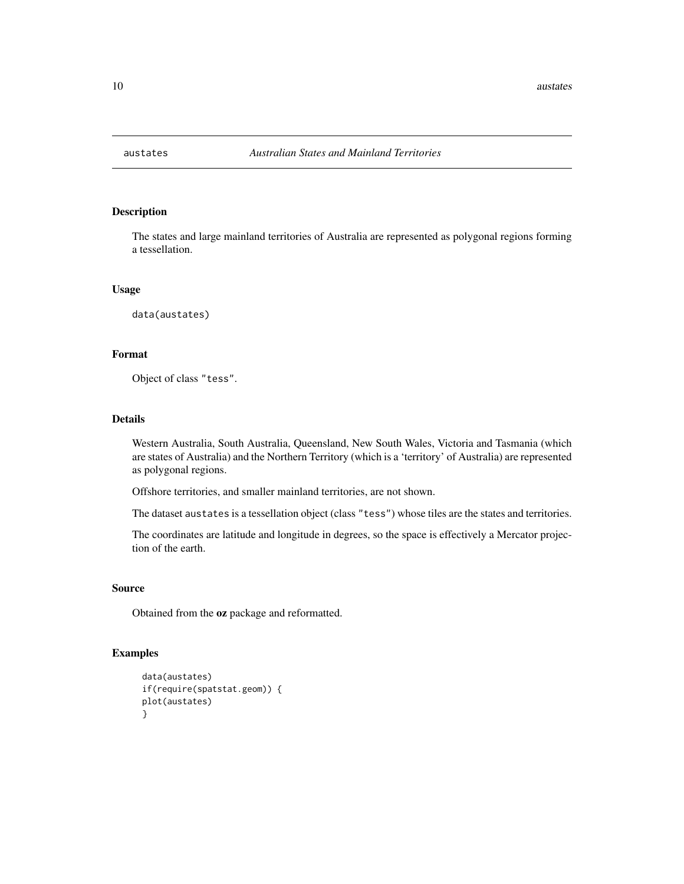<span id="page-9-0"></span>

# Description

The states and large mainland territories of Australia are represented as polygonal regions forming a tessellation.

# Usage

data(austates)

# Format

Object of class "tess".

# Details

Western Australia, South Australia, Queensland, New South Wales, Victoria and Tasmania (which are states of Australia) and the Northern Territory (which is a 'territory' of Australia) are represented as polygonal regions.

Offshore territories, and smaller mainland territories, are not shown.

The dataset austates is a tessellation object (class "tess") whose tiles are the states and territories.

The coordinates are latitude and longitude in degrees, so the space is effectively a Mercator projection of the earth.

# Source

Obtained from the oz package and reformatted.

# Examples

```
data(austates)
if(require(spatstat.geom)) {
plot(austates)
}
```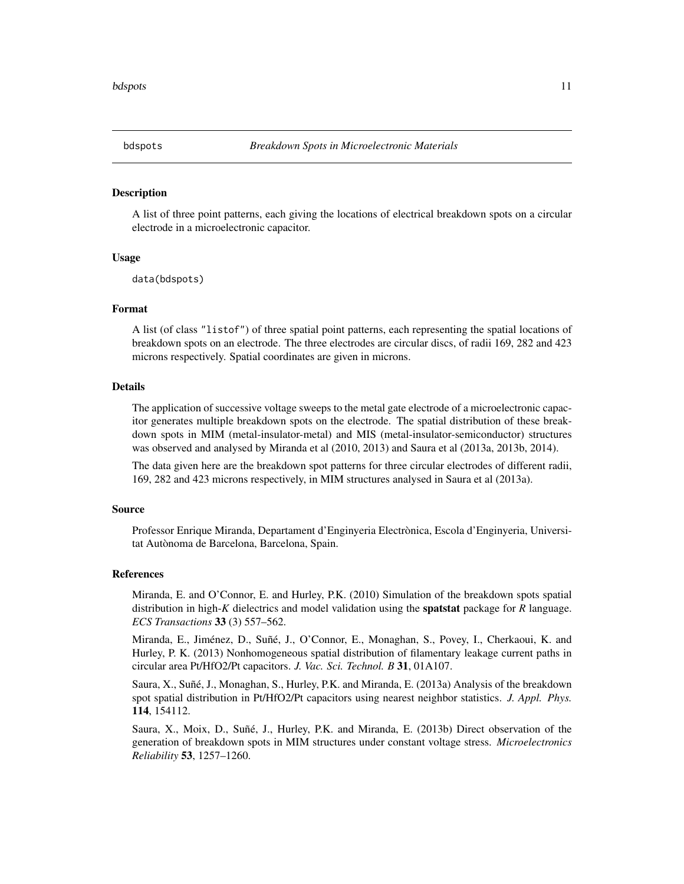<span id="page-10-0"></span>

#### Description

A list of three point patterns, each giving the locations of electrical breakdown spots on a circular electrode in a microelectronic capacitor.

# Usage

data(bdspots)

# Format

A list (of class "listof") of three spatial point patterns, each representing the spatial locations of breakdown spots on an electrode. The three electrodes are circular discs, of radii 169, 282 and 423 microns respectively. Spatial coordinates are given in microns.

# Details

The application of successive voltage sweeps to the metal gate electrode of a microelectronic capacitor generates multiple breakdown spots on the electrode. The spatial distribution of these breakdown spots in MIM (metal-insulator-metal) and MIS (metal-insulator-semiconductor) structures was observed and analysed by Miranda et al (2010, 2013) and Saura et al (2013a, 2013b, 2014).

The data given here are the breakdown spot patterns for three circular electrodes of different radii, 169, 282 and 423 microns respectively, in MIM structures analysed in Saura et al (2013a).

# Source

Professor Enrique Miranda, Departament d'Enginyeria Electrònica, Escola d'Enginyeria, Universitat Autònoma de Barcelona, Barcelona, Spain.

#### References

Miranda, E. and O'Connor, E. and Hurley, P.K. (2010) Simulation of the breakdown spots spatial distribution in high-*K* dielectrics and model validation using the spatstat package for *R* language. *ECS Transactions* 33 (3) 557–562.

Miranda, E., Jiménez, D., Suñé, J., O'Connor, E., Monaghan, S., Povey, I., Cherkaoui, K. and Hurley, P. K. (2013) Nonhomogeneous spatial distribution of filamentary leakage current paths in circular area Pt/HfO2/Pt capacitors. *J. Vac. Sci. Technol. B* 31, 01A107.

Saura, X., Suñé, J., Monaghan, S., Hurley, P.K. and Miranda, E. (2013a) Analysis of the breakdown spot spatial distribution in Pt/HfO2/Pt capacitors using nearest neighbor statistics. *J. Appl. Phys.* 114, 154112.

Saura, X., Moix, D., Suñé, J., Hurley, P.K. and Miranda, E. (2013b) Direct observation of the generation of breakdown spots in MIM structures under constant voltage stress. *Microelectronics Reliability* 53, 1257–1260.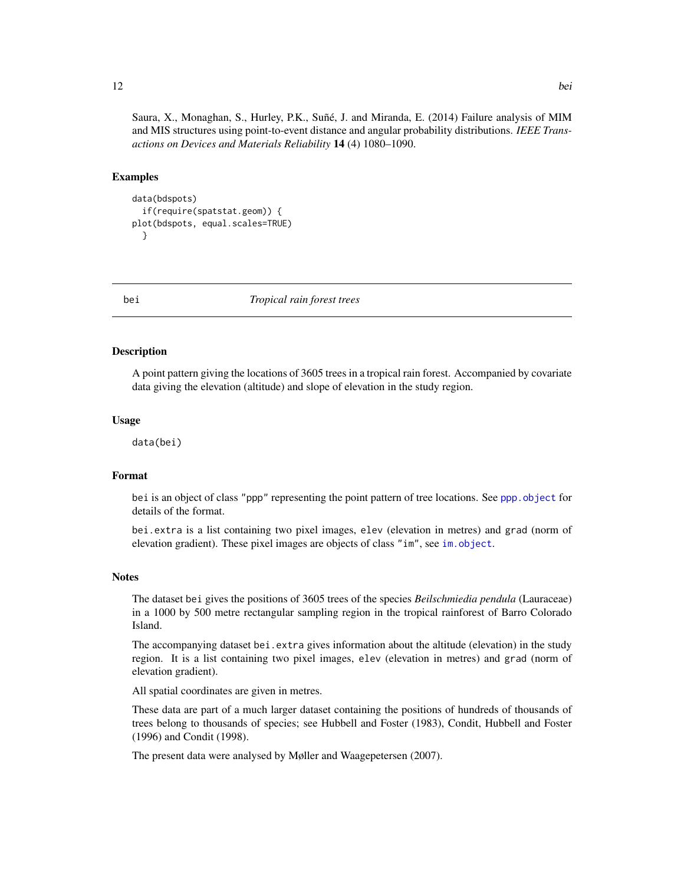<span id="page-11-0"></span>Saura, X., Monaghan, S., Hurley, P.K., Suñé, J. and Miranda, E. (2014) Failure analysis of MIM and MIS structures using point-to-event distance and angular probability distributions. *IEEE Transactions on Devices and Materials Reliability* 14 (4) 1080–1090.

# Examples

```
data(bdspots)
 if(require(spatstat.geom)) {
plot(bdspots, equal.scales=TRUE)
 }
```
bei *Tropical rain forest trees*

# **Description**

A point pattern giving the locations of 3605 trees in a tropical rain forest. Accompanied by covariate data giving the elevation (altitude) and slope of elevation in the study region.

#### Usage

data(bei)

# Format

bei is an object of class "ppp" representing the point pattern of tree locations. See [ppp.object](#page-0-0) for details of the format.

bei.extra is a list containing two pixel images, elev (elevation in metres) and grad (norm of elevation gradient). These pixel images are objects of class "im", see [im.object](#page-0-0).

# Notes

The dataset bei gives the positions of 3605 trees of the species *Beilschmiedia pendula* (Lauraceae) in a 1000 by 500 metre rectangular sampling region in the tropical rainforest of Barro Colorado Island.

The accompanying dataset bei.extra gives information about the altitude (elevation) in the study region. It is a list containing two pixel images, elev (elevation in metres) and grad (norm of elevation gradient).

All spatial coordinates are given in metres.

These data are part of a much larger dataset containing the positions of hundreds of thousands of trees belong to thousands of species; see Hubbell and Foster (1983), Condit, Hubbell and Foster (1996) and Condit (1998).

The present data were analysed by Møller and Waagepetersen (2007).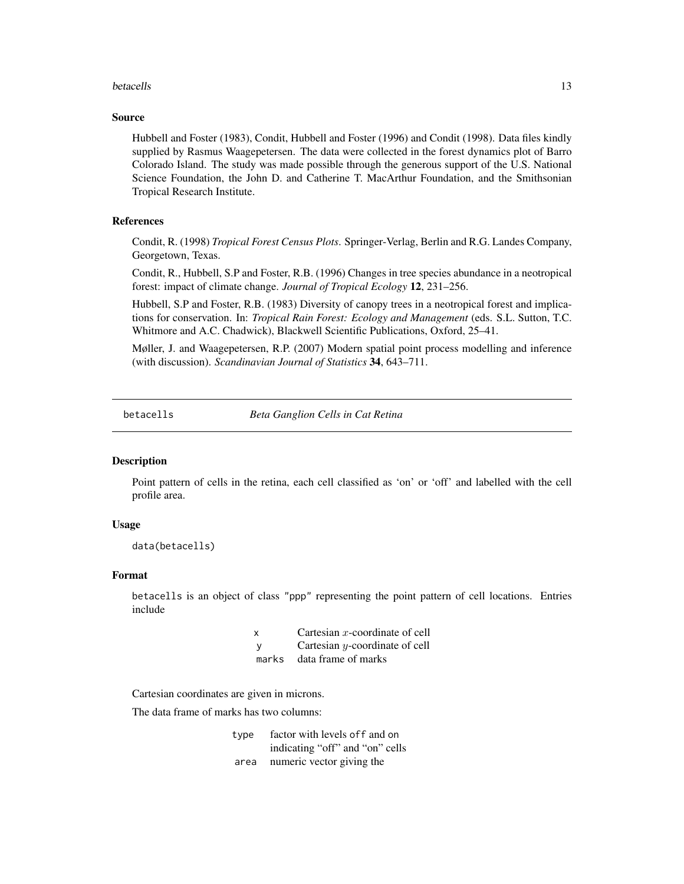#### <span id="page-12-0"></span>betacells and the contract of the contract of the contract of the contract of the contract of the contract of the contract of the contract of the contract of the contract of the contract of the contract of the contract of

# Source

Hubbell and Foster (1983), Condit, Hubbell and Foster (1996) and Condit (1998). Data files kindly supplied by Rasmus Waagepetersen. The data were collected in the forest dynamics plot of Barro Colorado Island. The study was made possible through the generous support of the U.S. National Science Foundation, the John D. and Catherine T. MacArthur Foundation, and the Smithsonian Tropical Research Institute.

# References

Condit, R. (1998) *Tropical Forest Census Plots*. Springer-Verlag, Berlin and R.G. Landes Company, Georgetown, Texas.

Condit, R., Hubbell, S.P and Foster, R.B. (1996) Changes in tree species abundance in a neotropical forest: impact of climate change. *Journal of Tropical Ecology* 12, 231–256.

Hubbell, S.P and Foster, R.B. (1983) Diversity of canopy trees in a neotropical forest and implications for conservation. In: *Tropical Rain Forest: Ecology and Management* (eds. S.L. Sutton, T.C. Whitmore and A.C. Chadwick), Blackwell Scientific Publications, Oxford, 25–41.

Møller, J. and Waagepetersen, R.P. (2007) Modern spatial point process modelling and inference (with discussion). *Scandinavian Journal of Statistics* 34, 643–711.

<span id="page-12-1"></span>betacells *Beta Ganglion Cells in Cat Retina*

# Description

Point pattern of cells in the retina, each cell classified as 'on' or 'off' and labelled with the cell profile area.

# Usage

```
data(betacells)
```
# Format

betacells is an object of class "ppp" representing the point pattern of cell locations. Entries include

| x   | Cartesian $x$ -coordinate of cell |
|-----|-----------------------------------|
| - V | Cartesian y-coordinate of cell    |
|     | marks data frame of marks         |

Cartesian coordinates are given in microns.

The data frame of marks has two columns:

| type | factor with levels of f and on  |
|------|---------------------------------|
|      | indicating "off" and "on" cells |
| area | numeric vector giving the       |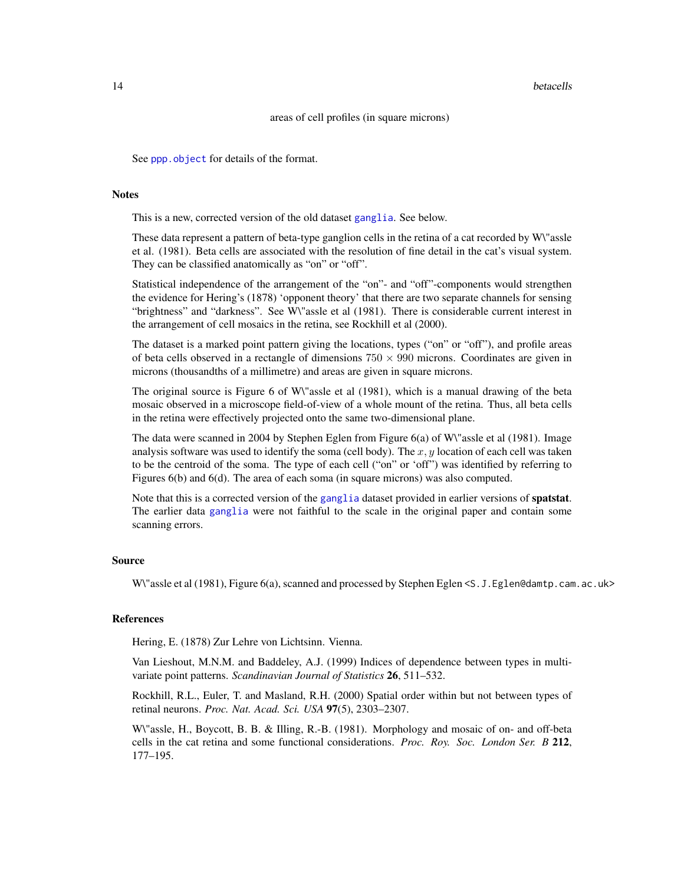#### 14 betacells

# areas of cell profiles (in square microns)

See [ppp.object](#page-0-0) for details of the format.

# **Notes**

This is a new, corrected version of the old dataset [ganglia](#page-33-1). See below.

These data represent a pattern of beta-type ganglion cells in the retina of a cat recorded by W\"assle et al. (1981). Beta cells are associated with the resolution of fine detail in the cat's visual system. They can be classified anatomically as "on" or "off".

Statistical independence of the arrangement of the "on"- and "off"-components would strengthen the evidence for Hering's (1878) 'opponent theory' that there are two separate channels for sensing "brightness" and "darkness". See W\"assle et al (1981). There is considerable current interest in the arrangement of cell mosaics in the retina, see Rockhill et al (2000).

The dataset is a marked point pattern giving the locations, types ("on" or "off"), and profile areas of beta cells observed in a rectangle of dimensions  $750 \times 990$  microns. Coordinates are given in microns (thousandths of a millimetre) and areas are given in square microns.

The original source is Figure 6 of W\"assle et al (1981), which is a manual drawing of the beta mosaic observed in a microscope field-of-view of a whole mount of the retina. Thus, all beta cells in the retina were effectively projected onto the same two-dimensional plane.

The data were scanned in 2004 by Stephen Eglen from Figure 6(a) of W\"assle et al (1981). Image analysis software was used to identify the soma (cell body). The  $x, y$  location of each cell was taken to be the centroid of the soma. The type of each cell ("on" or 'off") was identified by referring to Figures 6(b) and 6(d). The area of each soma (in square microns) was also computed.

Note that this is a corrected version of the [ganglia](#page-33-1) dataset provided in earlier versions of **spatstat**. The earlier data [ganglia](#page-33-1) were not faithful to the scale in the original paper and contain some scanning errors.

## Source

W\"assle et al (1981), Figure 6(a), scanned and processed by Stephen Eglen <S.J.Eglen@damtp.cam.ac.uk>

# References

Hering, E. (1878) Zur Lehre von Lichtsinn. Vienna.

Van Lieshout, M.N.M. and Baddeley, A.J. (1999) Indices of dependence between types in multivariate point patterns. *Scandinavian Journal of Statistics* 26, 511–532.

Rockhill, R.L., Euler, T. and Masland, R.H. (2000) Spatial order within but not between types of retinal neurons. *Proc. Nat. Acad. Sci. USA* 97(5), 2303–2307.

W\"assle, H., Boycott, B. B. & Illing, R.-B. (1981). Morphology and mosaic of on- and off-beta cells in the cat retina and some functional considerations. *Proc. Roy. Soc. London Ser. B* 212, 177–195.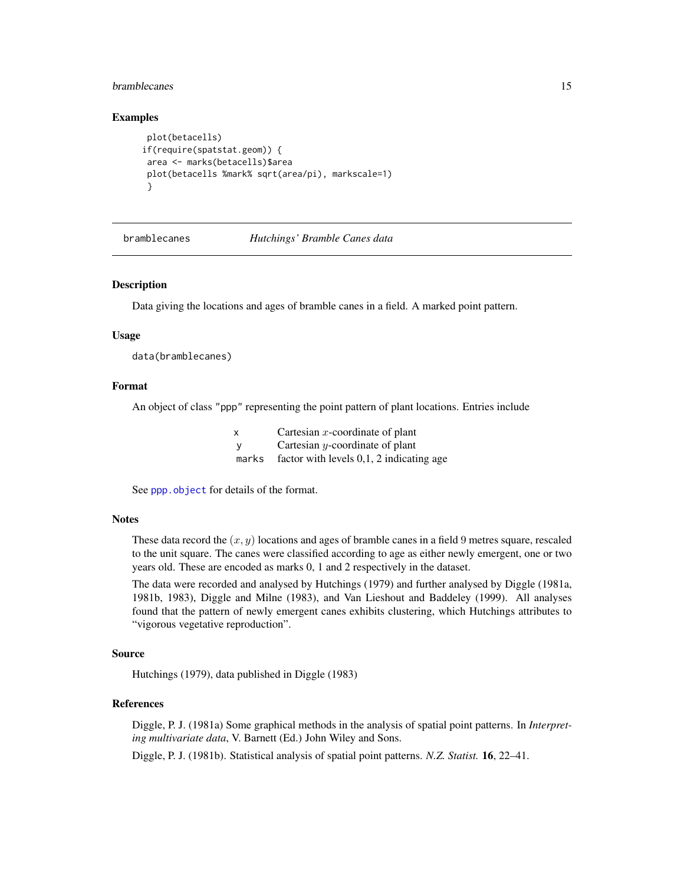# <span id="page-14-0"></span>bramblecanes and the state of the state of the state of the state of the state of the state of the state of the state of the state of the state of the state of the state of the state of the state of the state of the state

# Examples

```
plot(betacells)
if(require(spatstat.geom)) {
 area <- marks(betacells)$area
 plot(betacells %mark% sqrt(area/pi), markscale=1)
 }
```
bramblecanes *Hutchings' Bramble Canes data*

#### Description

Data giving the locations and ages of bramble canes in a field. A marked point pattern.

#### Usage

data(bramblecanes)

#### Format

An object of class "ppp" representing the point pattern of plant locations. Entries include

| X        | Cartesian $x$ -coordinate of plant               |
|----------|--------------------------------------------------|
| <b>V</b> | Cartesian $y$ -coordinate of plant               |
|          | marks factor with levels $0,1, 2$ indicating age |

See [ppp.object](#page-0-0) for details of the format.

# Notes

These data record the  $(x, y)$  locations and ages of bramble canes in a field 9 metres square, rescaled to the unit square. The canes were classified according to age as either newly emergent, one or two years old. These are encoded as marks 0, 1 and 2 respectively in the dataset.

The data were recorded and analysed by Hutchings (1979) and further analysed by Diggle (1981a, 1981b, 1983), Diggle and Milne (1983), and Van Lieshout and Baddeley (1999). All analyses found that the pattern of newly emergent canes exhibits clustering, which Hutchings attributes to "vigorous vegetative reproduction".

#### Source

Hutchings (1979), data published in Diggle (1983)

# References

Diggle, P. J. (1981a) Some graphical methods in the analysis of spatial point patterns. In *Interpreting multivariate data*, V. Barnett (Ed.) John Wiley and Sons.

Diggle, P. J. (1981b). Statistical analysis of spatial point patterns. *N.Z. Statist.* 16, 22–41.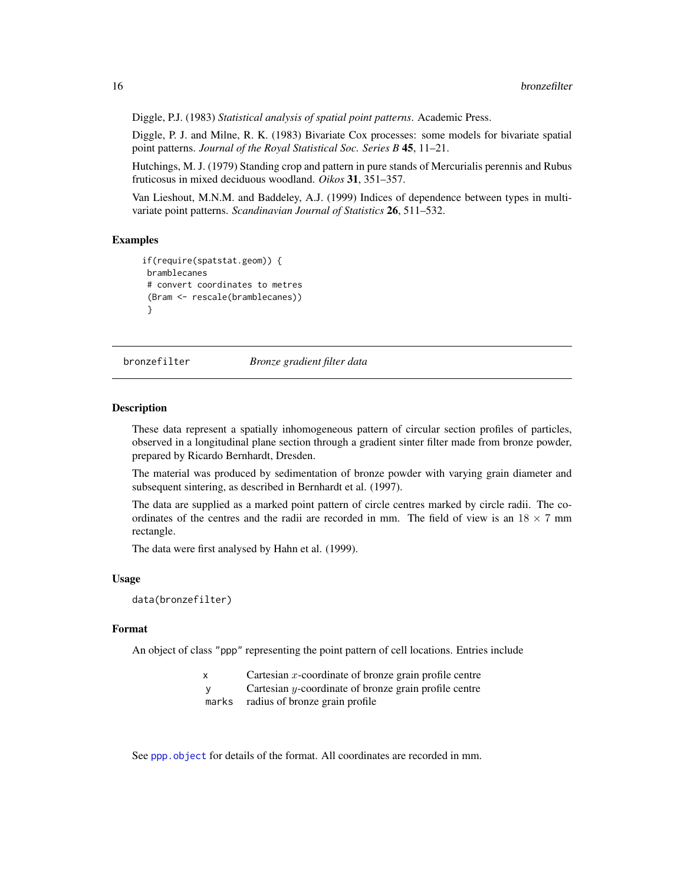Diggle, P.J. (1983) *Statistical analysis of spatial point patterns*. Academic Press.

Diggle, P. J. and Milne, R. K. (1983) Bivariate Cox processes: some models for bivariate spatial point patterns. *Journal of the Royal Statistical Soc. Series B* 45, 11–21.

Hutchings, M. J. (1979) Standing crop and pattern in pure stands of Mercurialis perennis and Rubus fruticosus in mixed deciduous woodland. *Oikos* 31, 351–357.

Van Lieshout, M.N.M. and Baddeley, A.J. (1999) Indices of dependence between types in multivariate point patterns. *Scandinavian Journal of Statistics* 26, 511–532.

# Examples

```
if(require(spatstat.geom)) {
 bramblecanes
 # convert coordinates to metres
 (Bram <- rescale(bramblecanes))
 }
```
bronzefilter *Bronze gradient filter data*

### Description

These data represent a spatially inhomogeneous pattern of circular section profiles of particles, observed in a longitudinal plane section through a gradient sinter filter made from bronze powder, prepared by Ricardo Bernhardt, Dresden.

The material was produced by sedimentation of bronze powder with varying grain diameter and subsequent sintering, as described in Bernhardt et al. (1997).

The data are supplied as a marked point pattern of circle centres marked by circle radii. The coordinates of the centres and the radii are recorded in mm. The field of view is an  $18 \times 7$  mm rectangle.

The data were first analysed by Hahn et al. (1999).

# Usage

data(bronzefilter)

# Format

An object of class "ppp" representing the point pattern of cell locations. Entries include

- $x$  Cartesian  $x$ -coordinate of bronze grain profile centre
- y Cartesian y-coordinate of bronze grain profile centre

marks radius of bronze grain profile

See [ppp.object](#page-0-0) for details of the format. All coordinates are recorded in mm.

<span id="page-15-0"></span>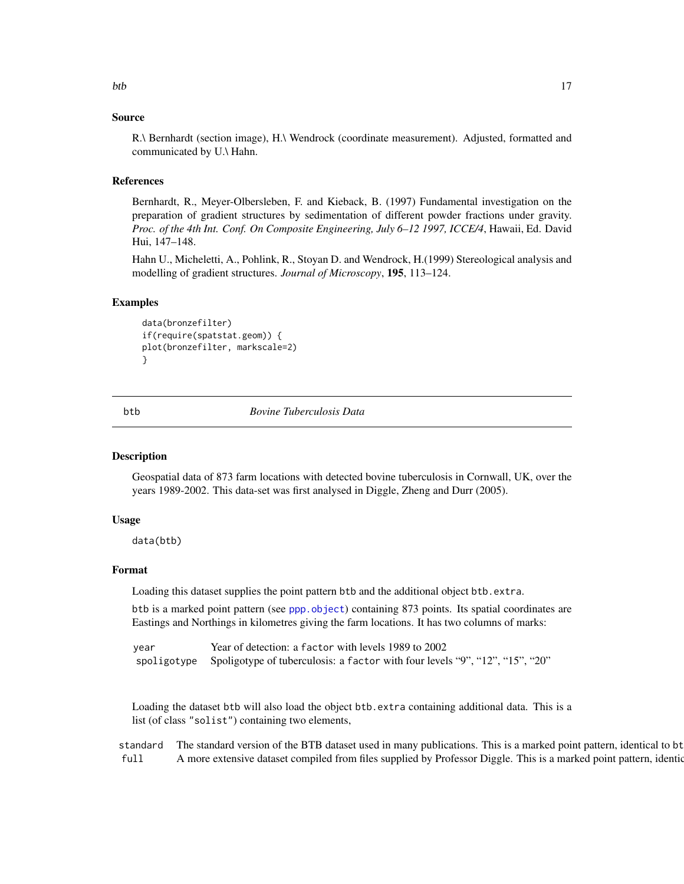#### <span id="page-16-0"></span>Source

R.\ Bernhardt (section image), H.\ Wendrock (coordinate measurement). Adjusted, formatted and communicated by U.\ Hahn.

#### References

Bernhardt, R., Meyer-Olbersleben, F. and Kieback, B. (1997) Fundamental investigation on the preparation of gradient structures by sedimentation of different powder fractions under gravity. *Proc. of the 4th Int. Conf. On Composite Engineering, July 6–12 1997, ICCE/4*, Hawaii, Ed. David Hui, 147–148.

Hahn U., Micheletti, A., Pohlink, R., Stoyan D. and Wendrock, H.(1999) Stereological analysis and modelling of gradient structures. *Journal of Microscopy*, 195, 113–124.

#### Examples

```
data(bronzefilter)
if(require(spatstat.geom)) {
plot(bronzefilter, markscale=2)
}
```
btb *Bovine Tuberculosis Data*

#### Description

Geospatial data of 873 farm locations with detected bovine tuberculosis in Cornwall, UK, over the years 1989-2002. This data-set was first analysed in Diggle, Zheng and Durr (2005).

#### Usage

data(btb)

# Format

Loading this dataset supplies the point pattern btb and the additional object btb.extra.

btb is a marked point pattern (see [ppp.object](#page-0-0)) containing 873 points. Its spatial coordinates are Eastings and Northings in kilometres giving the farm locations. It has two columns of marks:

year Year of detection: a factor with levels 1989 to 2002 spoligotype Spoligotype of tuberculosis: a factor with four levels "9", "12", "15", "20"

Loading the dataset btb will also load the object btb.extra containing additional data. This is a list (of class "solist") containing two elements,

standard The standard version of the BTB dataset used in many publications. This is a marked point pattern, identical to bt full A more extensive dataset compiled from files supplied by Professor Diggle. This is a marked point pattern, identional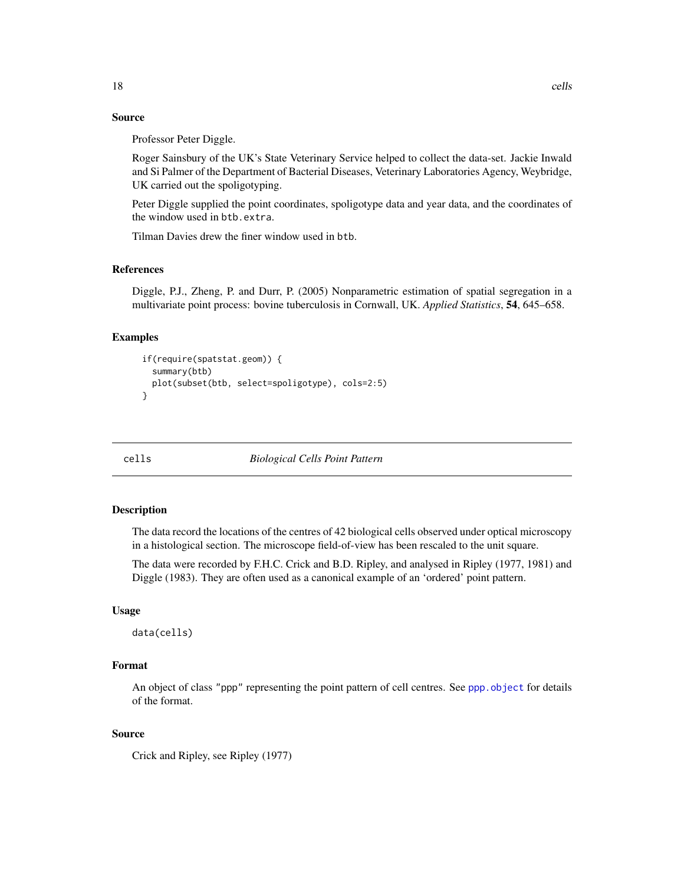# <span id="page-17-0"></span>Source

Professor Peter Diggle.

Roger Sainsbury of the UK's State Veterinary Service helped to collect the data-set. Jackie Inwald and Si Palmer of the Department of Bacterial Diseases, Veterinary Laboratories Agency, Weybridge, UK carried out the spoligotyping.

Peter Diggle supplied the point coordinates, spoligotype data and year data, and the coordinates of the window used in btb.extra.

Tilman Davies drew the finer window used in btb.

# References

Diggle, P.J., Zheng, P. and Durr, P. (2005) Nonparametric estimation of spatial segregation in a multivariate point process: bovine tuberculosis in Cornwall, UK. *Applied Statistics*, 54, 645–658.

# Examples

```
if(require(spatstat.geom)) {
  summary(btb)
  plot(subset(btb, select=spoligotype), cols=2:5)
}
```
cells *Biological Cells Point Pattern*

# Description

The data record the locations of the centres of 42 biological cells observed under optical microscopy in a histological section. The microscope field-of-view has been rescaled to the unit square.

The data were recorded by F.H.C. Crick and B.D. Ripley, and analysed in Ripley (1977, 1981) and Diggle (1983). They are often used as a canonical example of an 'ordered' point pattern.

# Usage

data(cells)

# Format

An object of class "ppp" representing the point pattern of cell centres. See [ppp.object](#page-0-0) for details of the format.

# Source

Crick and Ripley, see Ripley (1977)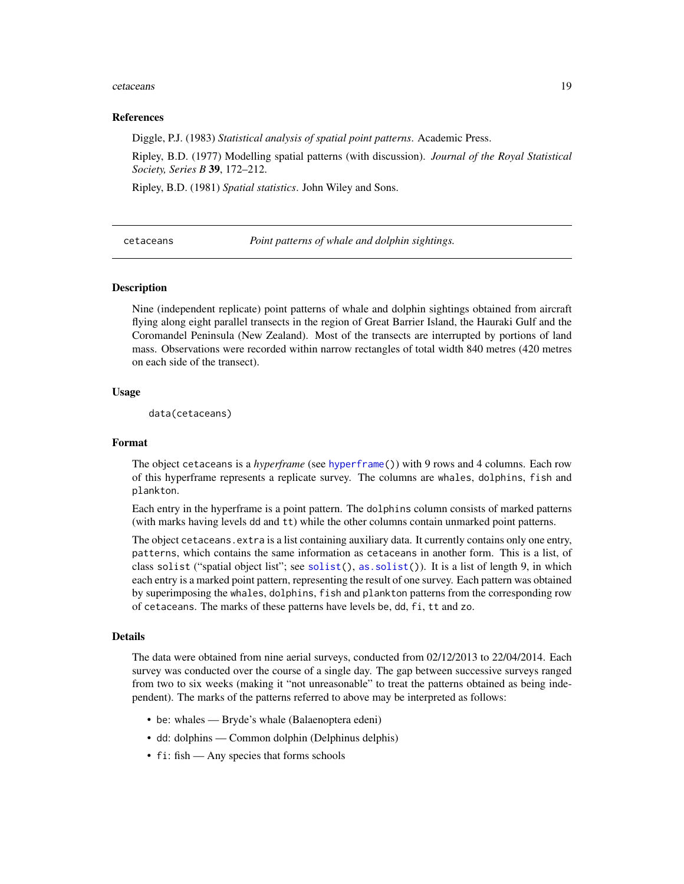#### <span id="page-18-0"></span>cetaceans and the contract of the contract of the contract of the contract of the contract of the contract of the contract of the contract of the contract of the contract of the contract of the contract of the contract of

#### References

Diggle, P.J. (1983) *Statistical analysis of spatial point patterns*. Academic Press.

Ripley, B.D. (1977) Modelling spatial patterns (with discussion). *Journal of the Royal Statistical Society, Series B* 39, 172–212.

Ripley, B.D. (1981) *Spatial statistics*. John Wiley and Sons.

cetaceans *Point patterns of whale and dolphin sightings.*

# Description

Nine (independent replicate) point patterns of whale and dolphin sightings obtained from aircraft flying along eight parallel transects in the region of Great Barrier Island, the Hauraki Gulf and the Coromandel Peninsula (New Zealand). Most of the transects are interrupted by portions of land mass. Observations were recorded within narrow rectangles of total width 840 metres (420 metres on each side of the transect).

# Usage

data(cetaceans)

#### Format

The object cetaceans is a *hyperframe* (see [hyperframe\(](#page-0-0))) with 9 rows and 4 columns. Each row of this hyperframe represents a replicate survey. The columns are whales, dolphins, fish and plankton.

Each entry in the hyperframe is a point pattern. The dolphins column consists of marked patterns (with marks having levels dd and tt) while the other columns contain unmarked point patterns.

The object cetaceans. extra is a list containing auxiliary data. It currently contains only one entry, patterns, which contains the same information as cetaceans in another form. This is a list, of class solist ("spatial object list"; see [solist\(](#page-0-0)), [as.solist\(](#page-0-0))). It is a list of length 9, in which each entry is a marked point pattern, representing the result of one survey. Each pattern was obtained by superimposing the whales, dolphins, fish and plankton patterns from the corresponding row of cetaceans. The marks of these patterns have levels be, dd, fi, tt and zo.

#### Details

The data were obtained from nine aerial surveys, conducted from 02/12/2013 to 22/04/2014. Each survey was conducted over the course of a single day. The gap between successive surveys ranged from two to six weeks (making it "not unreasonable" to treat the patterns obtained as being independent). The marks of the patterns referred to above may be interpreted as follows:

- be: whales Bryde's whale (Balaenoptera edeni)
- dd: dolphins Common dolphin (Delphinus delphis)
- fi: fish Any species that forms schools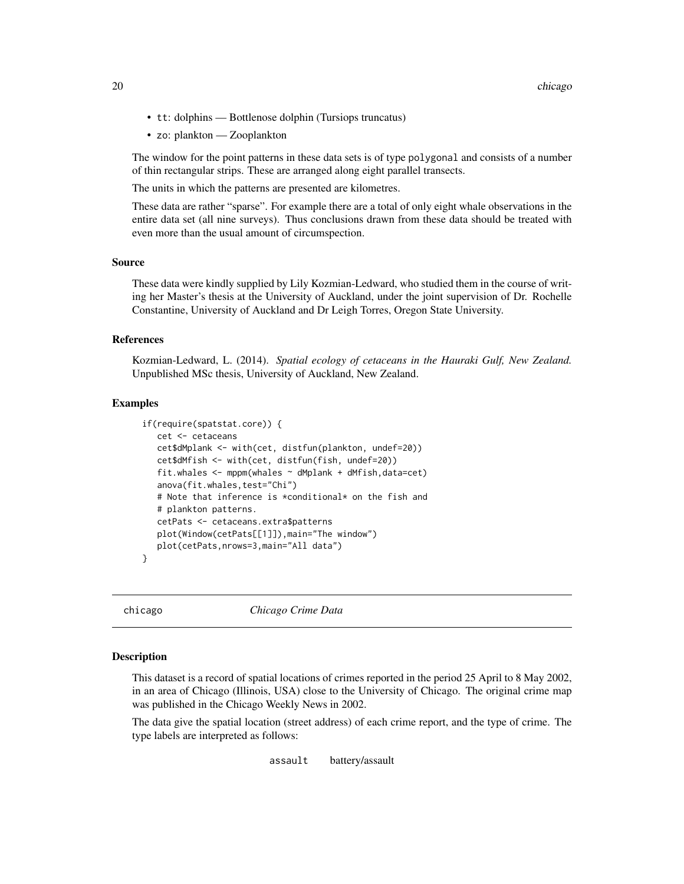- <span id="page-19-0"></span>• tt: dolphins — Bottlenose dolphin (Tursiops truncatus)
- zo: plankton Zooplankton

The window for the point patterns in these data sets is of type polygonal and consists of a number of thin rectangular strips. These are arranged along eight parallel transects.

The units in which the patterns are presented are kilometres.

These data are rather "sparse". For example there are a total of only eight whale observations in the entire data set (all nine surveys). Thus conclusions drawn from these data should be treated with even more than the usual amount of circumspection.

# Source

These data were kindly supplied by Lily Kozmian-Ledward, who studied them in the course of writing her Master's thesis at the University of Auckland, under the joint supervision of Dr. Rochelle Constantine, University of Auckland and Dr Leigh Torres, Oregon State University.

# References

Kozmian-Ledward, L. (2014). *Spatial ecology of cetaceans in the Hauraki Gulf, New Zealand.* Unpublished MSc thesis, University of Auckland, New Zealand.

# Examples

```
if(require(spatstat.core)) {
   cet <- cetaceans
   cet$dMplank <- with(cet, distfun(plankton, undef=20))
   cet$dMfish <- with(cet, distfun(fish, undef=20))
   fit.whales <- mppm(whales ~ dMplank + dMfish,data=cet)
   anova(fit.whales,test="Chi")
   # Note that inference is *conditional* on the fish and
   # plankton patterns.
   cetPats <- cetaceans.extra$patterns
   plot(Window(cetPats[[1]]),main="The window")
   plot(cetPats,nrows=3,main="All data")
}
```
chicago *Chicago Crime Data*

# Description

This dataset is a record of spatial locations of crimes reported in the period 25 April to 8 May 2002, in an area of Chicago (Illinois, USA) close to the University of Chicago. The original crime map was published in the Chicago Weekly News in 2002.

The data give the spatial location (street address) of each crime report, and the type of crime. The type labels are interpreted as follows:

assault battery/assault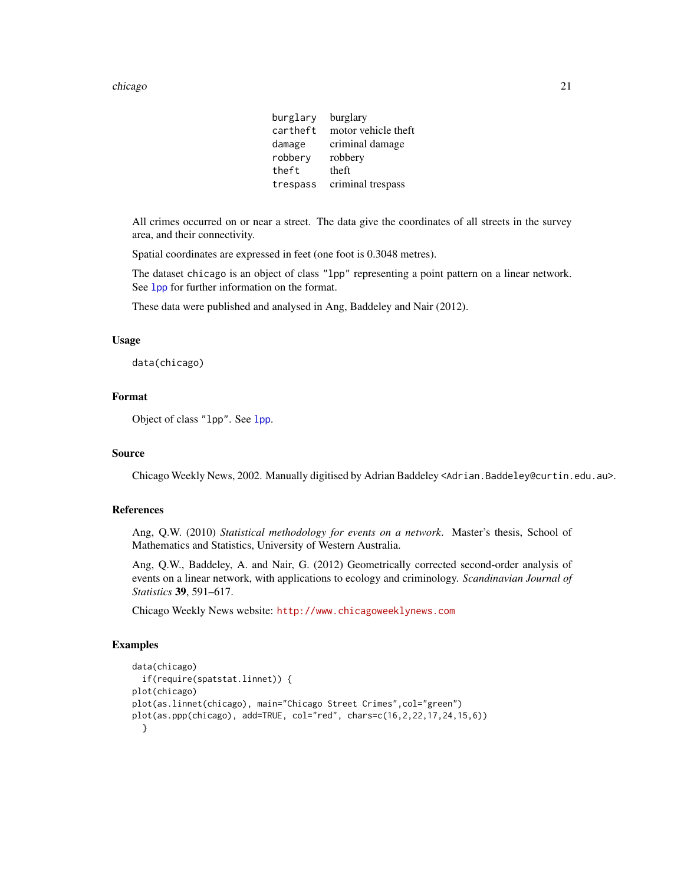#### chicago 21 ann an t-India ann an t-India ann an t-India ann an t-India ann an t-India ann an 21 an t-India ann an t-India ann an t-India ann an t-India ann an t-India ann an t-India ann an t-India ann an t-India ann an t-I

burglary burglary<br>cartheft motor ve motor vehicle theft damage criminal damage robbery robbery theft theft trespass criminal trespass

All crimes occurred on or near a street. The data give the coordinates of all streets in the survey area, and their connectivity.

Spatial coordinates are expressed in feet (one foot is 0.3048 metres).

The dataset chicago is an object of class "lpp" representing a point pattern on a linear network. See [lpp](#page-0-0) for further information on the format.

These data were published and analysed in Ang, Baddeley and Nair (2012).

# Usage

data(chicago)

#### Format

Object of class "lpp". See [lpp](#page-0-0).

# Source

Chicago Weekly News, 2002. Manually digitised by Adrian Baddeley <Adrian.Baddeley@curtin.edu.au>.

# References

Ang, Q.W. (2010) *Statistical methodology for events on a network*. Master's thesis, School of Mathematics and Statistics, University of Western Australia.

Ang, Q.W., Baddeley, A. and Nair, G. (2012) Geometrically corrected second-order analysis of events on a linear network, with applications to ecology and criminology. *Scandinavian Journal of Statistics* 39, 591–617.

Chicago Weekly News website: <http://www.chicagoweeklynews.com>

# Examples

```
data(chicago)
 if(require(spatstat.linnet)) {
plot(chicago)
plot(as.linnet(chicago), main="Chicago Street Crimes", col="green")
plot(as.ppp(chicago), add=TRUE, col="red", chars=c(16,2,22,17,24,15,6))
 }
```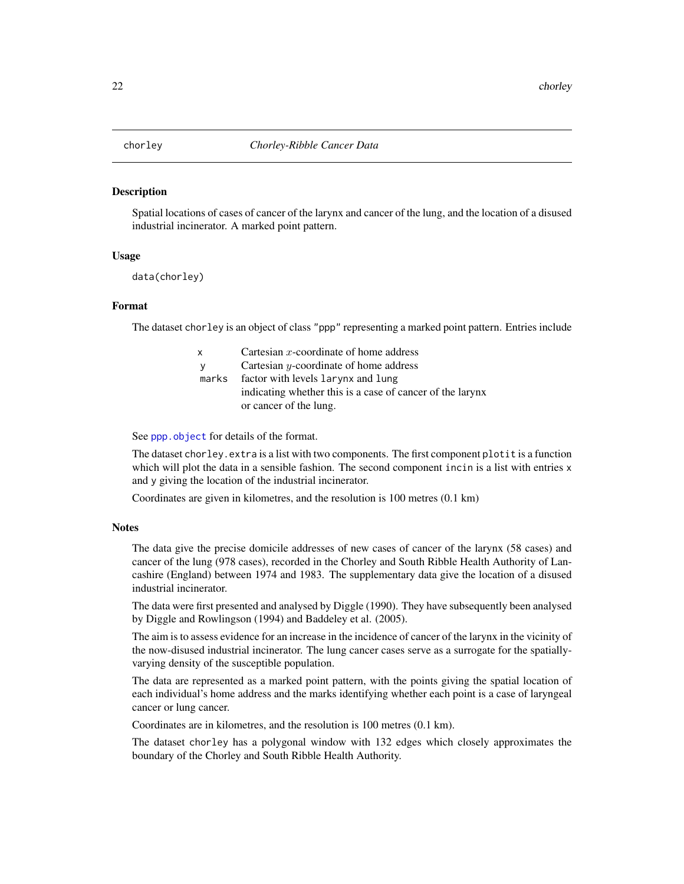#### <span id="page-21-0"></span>Description

Spatial locations of cases of cancer of the larynx and cancer of the lung, and the location of a disused industrial incinerator. A marked point pattern.

# Usage

data(chorley)

# Format

The dataset chorley is an object of class "ppp" representing a marked point pattern. Entries include

| $\mathsf{x}$ | Cartesian $x$ -coordinate of home address                 |
|--------------|-----------------------------------------------------------|
|              | Cartesian $y$ -coordinate of home address                 |
| marks        | factor with levels larynx and lung                        |
|              | indicating whether this is a case of cancer of the larynx |
|              | or cancer of the lung.                                    |

See [ppp.object](#page-0-0) for details of the format.

The dataset chorley.extra is a list with two components. The first component plotit is a function which will plot the data in a sensible fashion. The second component incin is a list with entries x and y giving the location of the industrial incinerator.

Coordinates are given in kilometres, and the resolution is 100 metres (0.1 km)

#### **Notes**

The data give the precise domicile addresses of new cases of cancer of the larynx (58 cases) and cancer of the lung (978 cases), recorded in the Chorley and South Ribble Health Authority of Lancashire (England) between 1974 and 1983. The supplementary data give the location of a disused industrial incinerator.

The data were first presented and analysed by Diggle (1990). They have subsequently been analysed by Diggle and Rowlingson (1994) and Baddeley et al. (2005).

The aim is to assess evidence for an increase in the incidence of cancer of the larynx in the vicinity of the now-disused industrial incinerator. The lung cancer cases serve as a surrogate for the spatiallyvarying density of the susceptible population.

The data are represented as a marked point pattern, with the points giving the spatial location of each individual's home address and the marks identifying whether each point is a case of laryngeal cancer or lung cancer.

Coordinates are in kilometres, and the resolution is 100 metres (0.1 km).

The dataset chorley has a polygonal window with 132 edges which closely approximates the boundary of the Chorley and South Ribble Health Authority.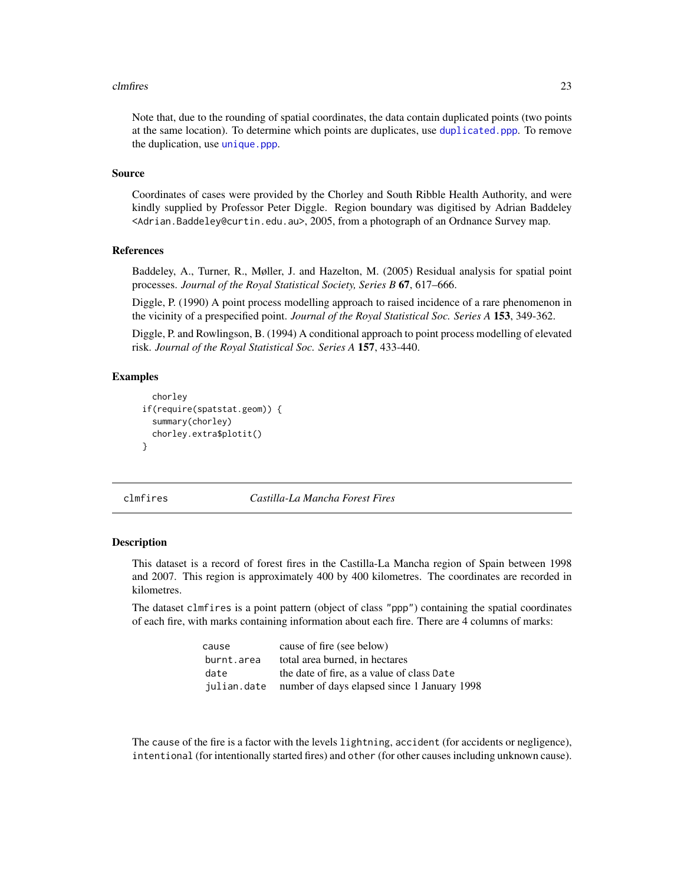#### <span id="page-22-0"></span>cluding the contract of the contract of the contract of the contract of the contract of the contract of the contract of the contract of the contract of the contract of the contract of the contract of the contract of the co

Note that, due to the rounding of spatial coordinates, the data contain duplicated points (two points at the same location). To determine which points are duplicates, use [duplicated.ppp](#page-0-0). To remove the duplication, use [unique.ppp](#page-0-0).

# Source

Coordinates of cases were provided by the Chorley and South Ribble Health Authority, and were kindly supplied by Professor Peter Diggle. Region boundary was digitised by Adrian Baddeley <Adrian.Baddeley@curtin.edu.au>, 2005, from a photograph of an Ordnance Survey map.

# References

Baddeley, A., Turner, R., Møller, J. and Hazelton, M. (2005) Residual analysis for spatial point processes. *Journal of the Royal Statistical Society, Series B* 67, 617–666.

Diggle, P. (1990) A point process modelling approach to raised incidence of a rare phenomenon in the vicinity of a prespecified point. *Journal of the Royal Statistical Soc. Series A* 153, 349-362.

Diggle, P. and Rowlingson, B. (1994) A conditional approach to point process modelling of elevated risk. *Journal of the Royal Statistical Soc. Series A* 157, 433-440.

# Examples

```
chorley
if(require(spatstat.geom)) {
  summary(chorley)
  chorley.extra$plotit()
}
```
clmfires *Castilla-La Mancha Forest Fires*

#### **Description**

This dataset is a record of forest fires in the Castilla-La Mancha region of Spain between 1998 and 2007. This region is approximately 400 by 400 kilometres. The coordinates are recorded in kilometres.

The dataset clmfires is a point pattern (object of class "ppp") containing the spatial coordinates of each fire, with marks containing information about each fire. There are 4 columns of marks:

| cause      | cause of fire (see below)                               |
|------------|---------------------------------------------------------|
| burnt.area | total area burned, in hectares                          |
| date       | the date of fire, as a value of class Date              |
|            | julian.date number of days elapsed since 1 January 1998 |

The cause of the fire is a factor with the levels lightning, accident (for accidents or negligence), intentional (for intentionally started fires) and other (for other causes including unknown cause).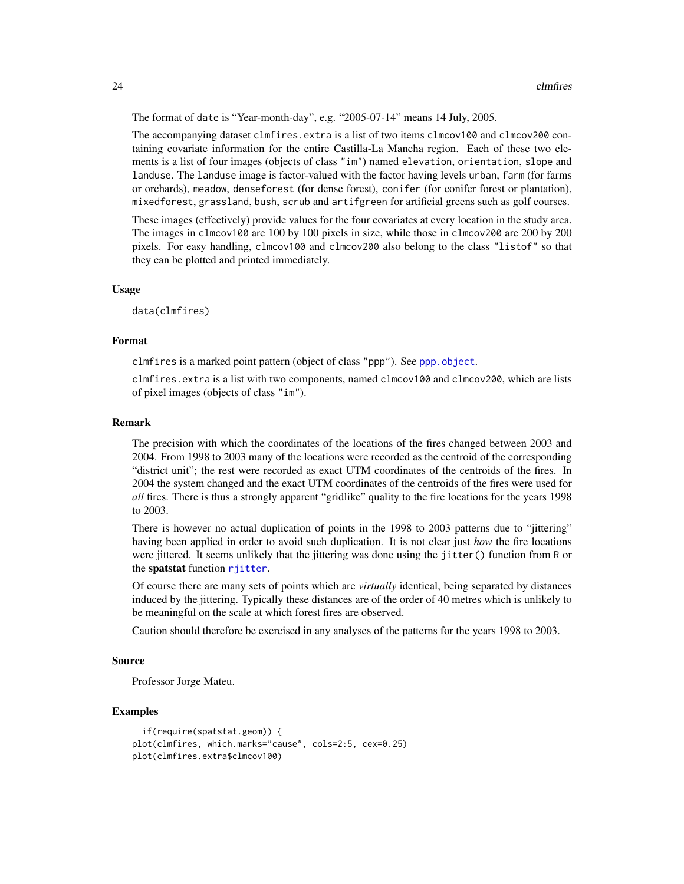The format of date is "Year-month-day", e.g. "2005-07-14" means 14 July, 2005.

The accompanying dataset clmfires. extra is a list of two items clmcov100 and clmcov200 containing covariate information for the entire Castilla-La Mancha region. Each of these two elements is a list of four images (objects of class "im") named elevation, orientation, slope and landuse. The landuse image is factor-valued with the factor having levels urban, farm (for farms or orchards), meadow, denseforest (for dense forest), conifer (for conifer forest or plantation), mixedforest, grassland, bush, scrub and artifgreen for artificial greens such as golf courses.

These images (effectively) provide values for the four covariates at every location in the study area. The images in clmcov100 are 100 by 100 pixels in size, while those in clmcov200 are 200 by 200 pixels. For easy handling, clmcov100 and clmcov200 also belong to the class "listof" so that they can be plotted and printed immediately.

#### Usage

data(clmfires)

# Format

clmfires is a marked point pattern (object of class "ppp"). See [ppp.object](#page-0-0).

clmfires.extra is a list with two components, named clmcov100 and clmcov200, which are lists of pixel images (objects of class "im").

# Remark

The precision with which the coordinates of the locations of the fires changed between 2003 and 2004. From 1998 to 2003 many of the locations were recorded as the centroid of the corresponding "district unit"; the rest were recorded as exact UTM coordinates of the centroids of the fires. In 2004 the system changed and the exact UTM coordinates of the centroids of the fires were used for *all* fires. There is thus a strongly apparent "gridlike" quality to the fire locations for the years 1998 to 2003.

There is however no actual duplication of points in the 1998 to 2003 patterns due to "jittering" having been applied in order to avoid such duplication. It is not clear just *how* the fire locations were jittered. It seems unlikely that the jittering was done using the jitter() function from R or the spatstat function [rjitter](#page-0-0).

Of course there are many sets of points which are *virtually* identical, being separated by distances induced by the jittering. Typically these distances are of the order of 40 metres which is unlikely to be meaningful on the scale at which forest fires are observed.

Caution should therefore be exercised in any analyses of the patterns for the years 1998 to 2003.

# Source

Professor Jorge Mateu.

# Examples

```
if(require(spatstat.geom)) {
plot(clmfires, which.marks="cause", cols=2:5, cex=0.25)
plot(clmfires.extra$clmcov100)
```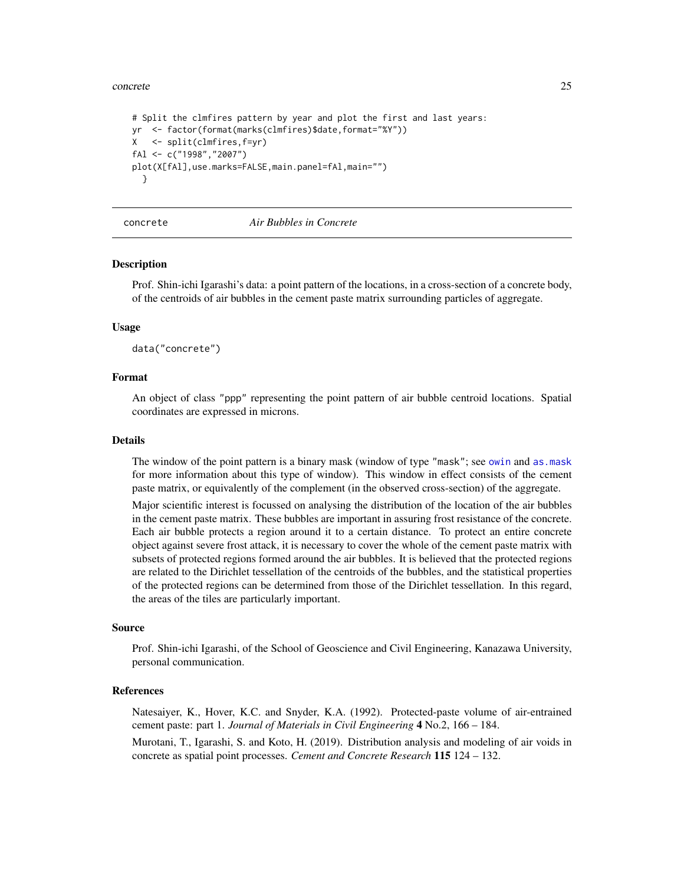#### <span id="page-24-0"></span>concrete 25

```
# Split the clmfires pattern by year and plot the first and last years:
yr <- factor(format(marks(clmfires)$date,format="%Y"))
X <- split(clmfires,f=yr)
fAl <- c("1998","2007")
plot(X[fAl],use.marks=FALSE,main.panel=fAl,main="")
 }
```
concrete *Air Bubbles in Concrete*

# Description

Prof. Shin-ichi Igarashi's data: a point pattern of the locations, in a cross-section of a concrete body, of the centroids of air bubbles in the cement paste matrix surrounding particles of aggregate.

# Usage

data("concrete")

# Format

An object of class "ppp" representing the point pattern of air bubble centroid locations. Spatial coordinates are expressed in microns.

#### Details

The window of the point pattern is a binary mask (window of type "mask"; see [owin](#page-0-0) and as mask for more information about this type of window). This window in effect consists of the cement paste matrix, or equivalently of the complement (in the observed cross-section) of the aggregate.

Major scientific interest is focussed on analysing the distribution of the location of the air bubbles in the cement paste matrix. These bubbles are important in assuring frost resistance of the concrete. Each air bubble protects a region around it to a certain distance. To protect an entire concrete object against severe frost attack, it is necessary to cover the whole of the cement paste matrix with subsets of protected regions formed around the air bubbles. It is believed that the protected regions are related to the Dirichlet tessellation of the centroids of the bubbles, and the statistical properties of the protected regions can be determined from those of the Dirichlet tessellation. In this regard, the areas of the tiles are particularly important.

#### Source

Prof. Shin-ichi Igarashi, of the School of Geoscience and Civil Engineering, Kanazawa University, personal communication.

# References

Natesaiyer, K., Hover, K.C. and Snyder, K.A. (1992). Protected-paste volume of air-entrained cement paste: part 1. *Journal of Materials in Civil Engineering* 4 No.2, 166 – 184. Murotani, T., Igarashi, S. and Koto, H. (2019). Distribution analysis and modeling of air voids in concrete as spatial point processes. *Cement and Concrete Research* 115 124 – 132.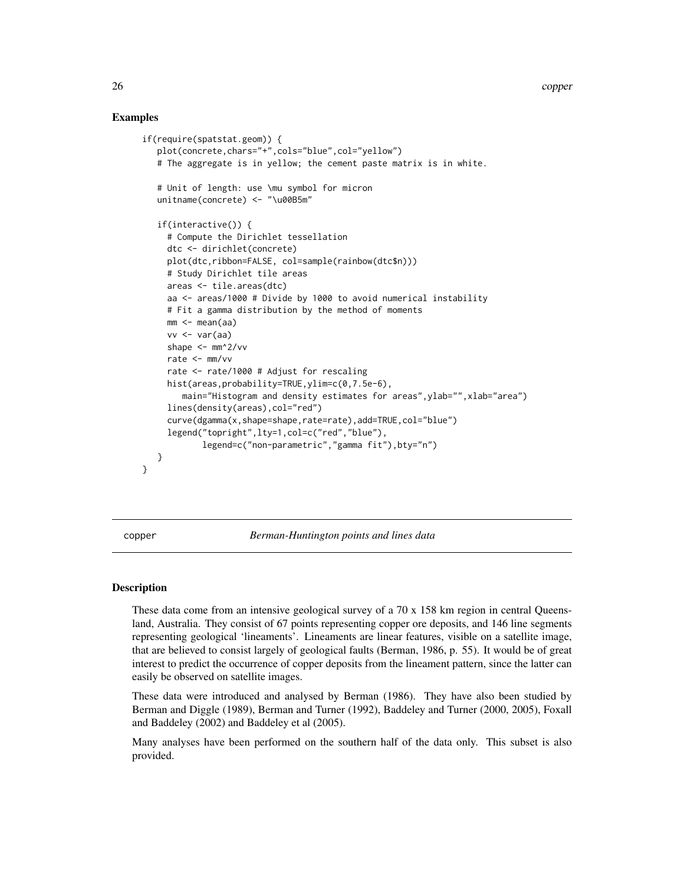# Examples

```
if(require(spatstat.geom)) {
   plot(concrete,chars="+",cols="blue",col="yellow")
   # The aggregate is in yellow; the cement paste matrix is in white.
   # Unit of length: use \mu symbol for micron
   unitname(concrete) <- "\u00B5m"
   if(interactive()) {
     # Compute the Dirichlet tessellation
     dtc <- dirichlet(concrete)
     plot(dtc,ribbon=FALSE, col=sample(rainbow(dtc$n)))
     # Study Dirichlet tile areas
     areas <- tile.areas(dtc)
     aa <- areas/1000 # Divide by 1000 to avoid numerical instability
     # Fit a gamma distribution by the method of moments
     mm < - mean(aa)
     vv \leftarrow var(aa)shape <- mm^2/vv
     rate <- mm/vv
     rate <- rate/1000 # Adjust for rescaling
     hist(areas,probability=TRUE,ylim=c(0,7.5e-6),
        main="Histogram and density estimates for areas", ylab="", xlab="area")
     lines(density(areas),col="red")
     curve(dgamma(x,shape=shape,rate=rate),add=TRUE,col="blue")
     legend("topright",lty=1,col=c("red","blue"),
            legend=c("non-parametric","gamma fit"),bty="n")
   }
}
```
copper *Berman-Huntington points and lines data*

## Description

These data come from an intensive geological survey of a 70 x 158 km region in central Queensland, Australia. They consist of 67 points representing copper ore deposits, and 146 line segments representing geological 'lineaments'. Lineaments are linear features, visible on a satellite image, that are believed to consist largely of geological faults (Berman, 1986, p. 55). It would be of great interest to predict the occurrence of copper deposits from the lineament pattern, since the latter can easily be observed on satellite images.

These data were introduced and analysed by Berman (1986). They have also been studied by Berman and Diggle (1989), Berman and Turner (1992), Baddeley and Turner (2000, 2005), Foxall and Baddeley (2002) and Baddeley et al (2005).

Many analyses have been performed on the southern half of the data only. This subset is also provided.

<span id="page-25-0"></span>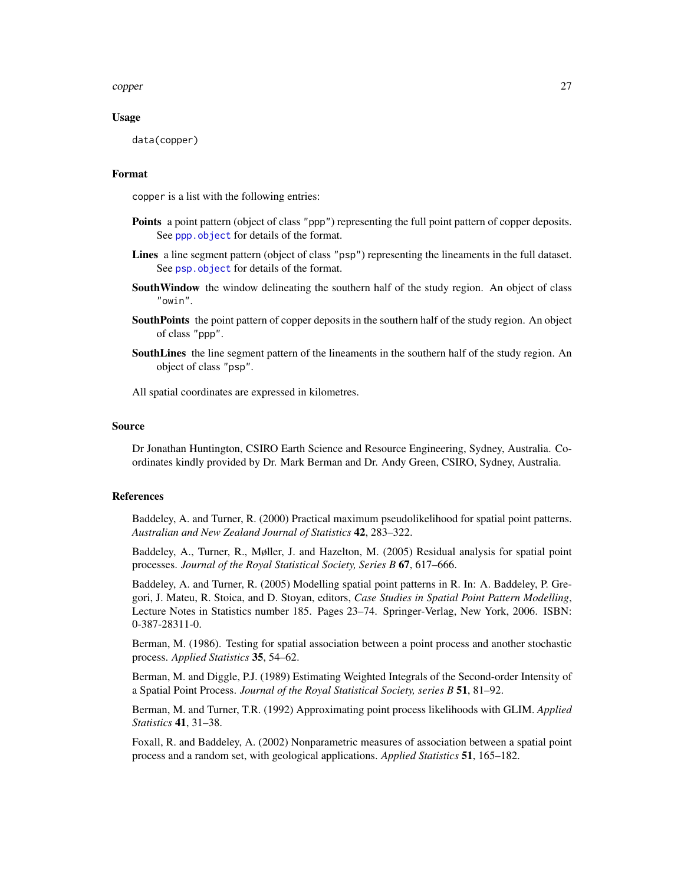copper 27

# Usage

data(copper)

# Format

copper is a list with the following entries:

- Points a point pattern (object of class "ppp") representing the full point pattern of copper deposits. See [ppp.object](#page-0-0) for details of the format.
- Lines a line segment pattern (object of class "psp") representing the lineaments in the full dataset. See [psp.object](#page-0-0) for details of the format.
- South Window the window delineating the southern half of the study region. An object of class "owin".
- SouthPoints the point pattern of copper deposits in the southern half of the study region. An object of class "ppp".
- **SouthLines** the line segment pattern of the lineaments in the southern half of the study region. An object of class "psp".

All spatial coordinates are expressed in kilometres.

#### Source

Dr Jonathan Huntington, CSIRO Earth Science and Resource Engineering, Sydney, Australia. Coordinates kindly provided by Dr. Mark Berman and Dr. Andy Green, CSIRO, Sydney, Australia.

# References

Baddeley, A. and Turner, R. (2000) Practical maximum pseudolikelihood for spatial point patterns. *Australian and New Zealand Journal of Statistics* 42, 283–322.

Baddeley, A., Turner, R., Møller, J. and Hazelton, M. (2005) Residual analysis for spatial point processes. *Journal of the Royal Statistical Society, Series B* 67, 617–666.

Baddeley, A. and Turner, R. (2005) Modelling spatial point patterns in R. In: A. Baddeley, P. Gregori, J. Mateu, R. Stoica, and D. Stoyan, editors, *Case Studies in Spatial Point Pattern Modelling*, Lecture Notes in Statistics number 185. Pages 23–74. Springer-Verlag, New York, 2006. ISBN: 0-387-28311-0.

Berman, M. (1986). Testing for spatial association between a point process and another stochastic process. *Applied Statistics* 35, 54–62.

Berman, M. and Diggle, P.J. (1989) Estimating Weighted Integrals of the Second-order Intensity of a Spatial Point Process. *Journal of the Royal Statistical Society, series B* 51, 81–92.

Berman, M. and Turner, T.R. (1992) Approximating point process likelihoods with GLIM. *Applied Statistics* 41, 31–38.

Foxall, R. and Baddeley, A. (2002) Nonparametric measures of association between a spatial point process and a random set, with geological applications. *Applied Statistics* 51, 165–182.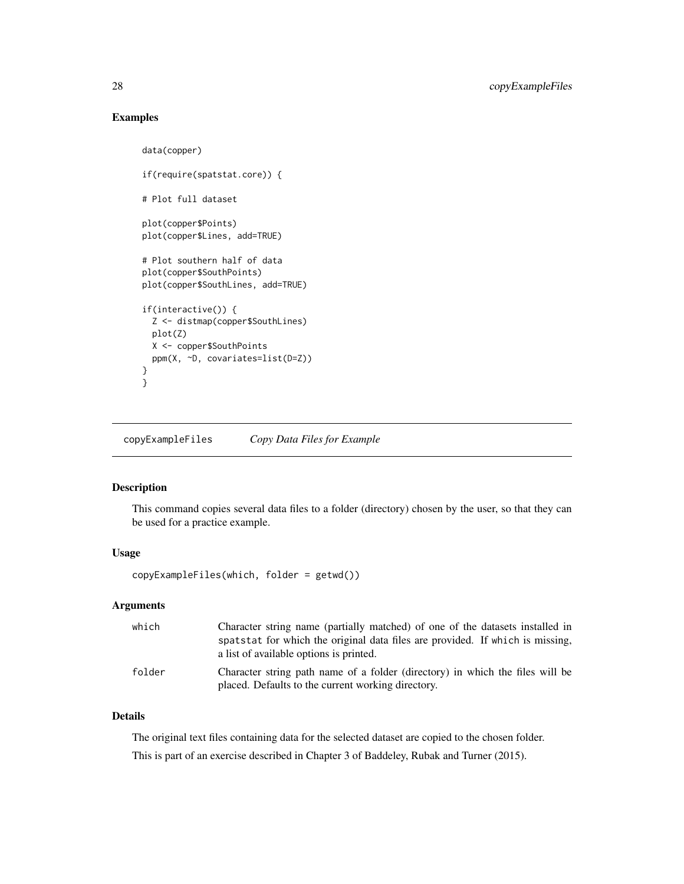# Examples

```
data(copper)
if(require(spatstat.core)) {
# Plot full dataset
plot(copper$Points)
plot(copper$Lines, add=TRUE)
# Plot southern half of data
plot(copper$SouthPoints)
plot(copper$SouthLines, add=TRUE)
if(interactive()) {
  Z <- distmap(copper$SouthLines)
 plot(Z)
 X <- copper$SouthPoints
 ppm(X, ~D, covariates=list(D=Z))
}
}
```
copyExampleFiles *Copy Data Files for Example*

# Description

This command copies several data files to a folder (directory) chosen by the user, so that they can be used for a practice example.

# Usage

copyExampleFiles(which, folder = getwd())

# Arguments

| which  | Character string name (partially matched) of one of the datasets installed in                                                       |
|--------|-------------------------------------------------------------------------------------------------------------------------------------|
|        | spatstat for which the original data files are provided. If which is missing,<br>a list of available options is printed.            |
|        |                                                                                                                                     |
| folder | Character string path name of a folder (directory) in which the files will be<br>placed. Defaults to the current working directory. |

# Details

The original text files containing data for the selected dataset are copied to the chosen folder. This is part of an exercise described in Chapter 3 of Baddeley, Rubak and Turner (2015).

<span id="page-27-0"></span>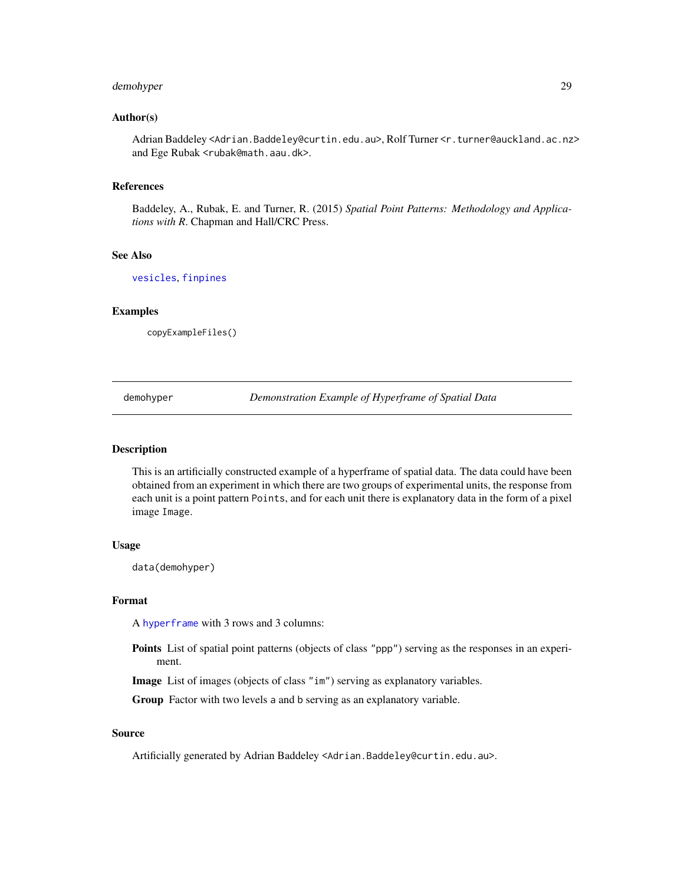# <span id="page-28-0"></span>demohyper 29

# Author(s)

Adrian Baddeley <Adrian.Baddeley@curtin.edu.au>, Rolf Turner <r.turner@auckland.ac.nz> and Ege Rubak <rubak@math.aau.dk>.

# References

Baddeley, A., Rubak, E. and Turner, R. (2015) *Spatial Point Patterns: Methodology and Applications with R*. Chapman and Hall/CRC Press.

# See Also

[vesicles](#page-73-1), [finpines](#page-30-1)

# Examples

copyExampleFiles()

demohyper *Demonstration Example of Hyperframe of Spatial Data*

#### Description

This is an artificially constructed example of a hyperframe of spatial data. The data could have been obtained from an experiment in which there are two groups of experimental units, the response from each unit is a point pattern Points, and for each unit there is explanatory data in the form of a pixel image Image.

# Usage

data(demohyper)

#### Format

A [hyperframe](#page-0-0) with 3 rows and 3 columns:

Points List of spatial point patterns (objects of class "ppp") serving as the responses in an experiment.

Image List of images (objects of class "im") serving as explanatory variables.

Group Factor with two levels a and b serving as an explanatory variable.

# Source

Artificially generated by Adrian Baddeley <Adrian.Baddeley@curtin.edu.au>.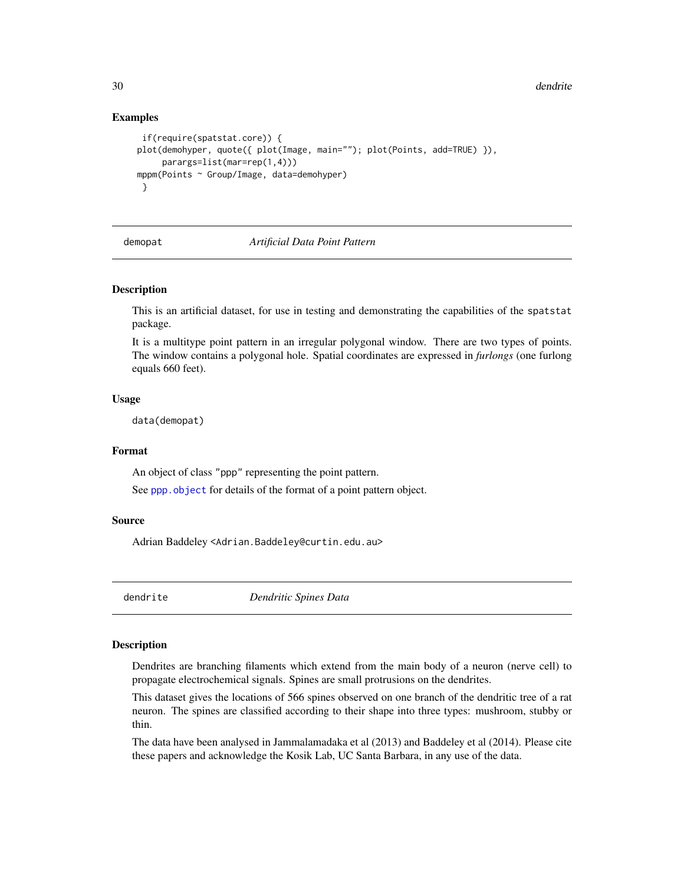# Examples

```
if(require(spatstat.core)) {
plot(demohyper, quote({ plot(Image, main=""); plot(Points, add=TRUE) }),
    parargs=list(mar=rep(1,4)))
mppm(Points ~ Group/Image, data=demohyper)
}
```
#### demopat *Artificial Data Point Pattern*

#### Description

This is an artificial dataset, for use in testing and demonstrating the capabilities of the spatstat package.

It is a multitype point pattern in an irregular polygonal window. There are two types of points. The window contains a polygonal hole. Spatial coordinates are expressed in *furlongs* (one furlong equals 660 feet).

# Usage

data(demopat)

# Format

An object of class "ppp" representing the point pattern.

See [ppp.object](#page-0-0) for details of the format of a point pattern object.

# Source

Adrian Baddeley <Adrian.Baddeley@curtin.edu.au>

dendrite *Dendritic Spines Data*

# Description

Dendrites are branching filaments which extend from the main body of a neuron (nerve cell) to propagate electrochemical signals. Spines are small protrusions on the dendrites.

This dataset gives the locations of 566 spines observed on one branch of the dendritic tree of a rat neuron. The spines are classified according to their shape into three types: mushroom, stubby or thin.

The data have been analysed in Jammalamadaka et al (2013) and Baddeley et al (2014). Please cite these papers and acknowledge the Kosik Lab, UC Santa Barbara, in any use of the data.

<span id="page-29-0"></span>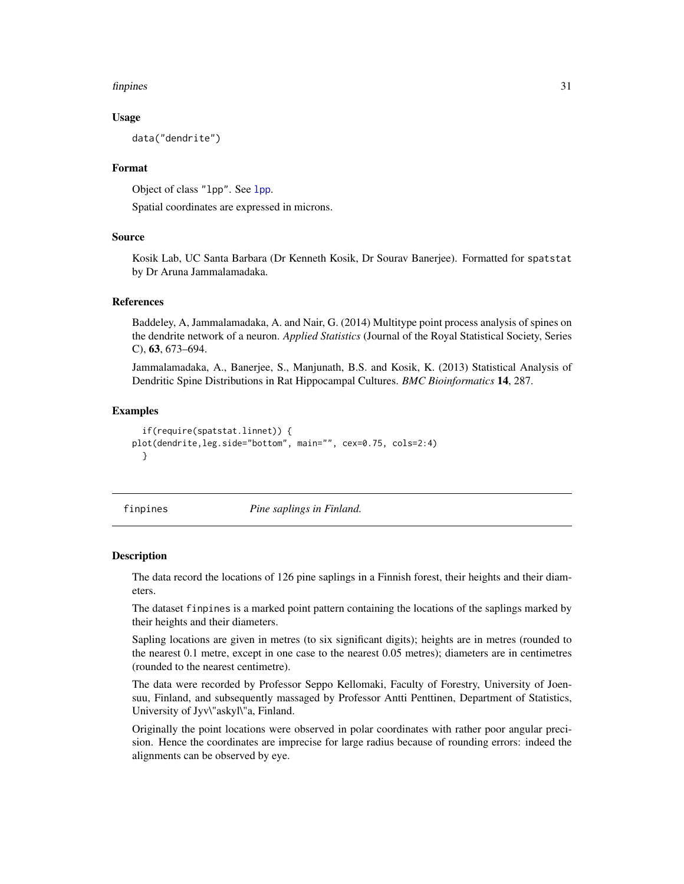#### <span id="page-30-0"></span>finpines 31

# Usage

data("dendrite")

# Format

Object of class "lpp". See [lpp](#page-0-0).

Spatial coordinates are expressed in microns.

# Source

Kosik Lab, UC Santa Barbara (Dr Kenneth Kosik, Dr Sourav Banerjee). Formatted for spatstat by Dr Aruna Jammalamadaka.

# References

Baddeley, A, Jammalamadaka, A. and Nair, G. (2014) Multitype point process analysis of spines on the dendrite network of a neuron. *Applied Statistics* (Journal of the Royal Statistical Society, Series C), 63, 673–694.

Jammalamadaka, A., Banerjee, S., Manjunath, B.S. and Kosik, K. (2013) Statistical Analysis of Dendritic Spine Distributions in Rat Hippocampal Cultures. *BMC Bioinformatics* 14, 287.

# Examples

```
if(require(spatstat.linnet)) {
plot(dendrite,leg.side="bottom", main="", cex=0.75, cols=2:4)
 }
```
<span id="page-30-1"></span>finpines *Pine saplings in Finland.*

#### Description

The data record the locations of 126 pine saplings in a Finnish forest, their heights and their diameters.

The dataset finpines is a marked point pattern containing the locations of the saplings marked by their heights and their diameters.

Sapling locations are given in metres (to six significant digits); heights are in metres (rounded to the nearest 0.1 metre, except in one case to the nearest 0.05 metres); diameters are in centimetres (rounded to the nearest centimetre).

The data were recorded by Professor Seppo Kellomaki, Faculty of Forestry, University of Joensuu, Finland, and subsequently massaged by Professor Antti Penttinen, Department of Statistics, University of Jyv\"askyl\"a, Finland.

Originally the point locations were observed in polar coordinates with rather poor angular precision. Hence the coordinates are imprecise for large radius because of rounding errors: indeed the alignments can be observed by eye.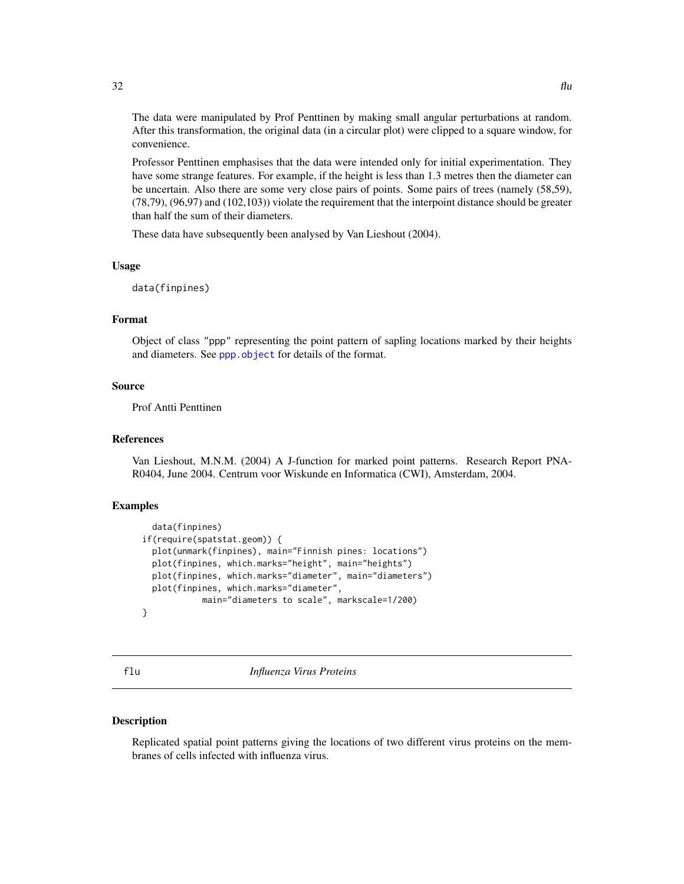<span id="page-31-0"></span>The data were manipulated by Prof Penttinen by making small angular perturbations at random. After this transformation, the original data (in a circular plot) were clipped to a square window, for convenience.

Professor Penttinen emphasises that the data were intended only for initial experimentation. They have some strange features. For example, if the height is less than 1.3 metres then the diameter can be uncertain. Also there are some very close pairs of points. Some pairs of trees (namely (58,59), (78,79), (96,97) and (102,103)) violate the requirement that the interpoint distance should be greater than half the sum of their diameters.

These data have subsequently been analysed by Van Lieshout (2004).

# Usage

```
data(finpines)
```
# Format

Object of class "ppp" representing the point pattern of sapling locations marked by their heights and diameters. See [ppp.object](#page-0-0) for details of the format.

# Source

Prof Antti Penttinen

# References

Van Lieshout, M.N.M. (2004) A J-function for marked point patterns. Research Report PNA-R0404, June 2004. Centrum voor Wiskunde en Informatica (CWI), Amsterdam, 2004.

# Examples

```
data(finpines)
if(require(spatstat.geom)) {
  plot(unmark(finpines), main="Finnish pines: locations")
  plot(finpines, which.marks="height", main="heights")
  plot(finpines, which.marks="diameter", main="diameters")
 plot(finpines, which.marks="diameter",
           main="diameters to scale", markscale=1/200)
}
```
flu *Influenza Virus Proteins*

# Description

Replicated spatial point patterns giving the locations of two different virus proteins on the membranes of cells infected with influenza virus.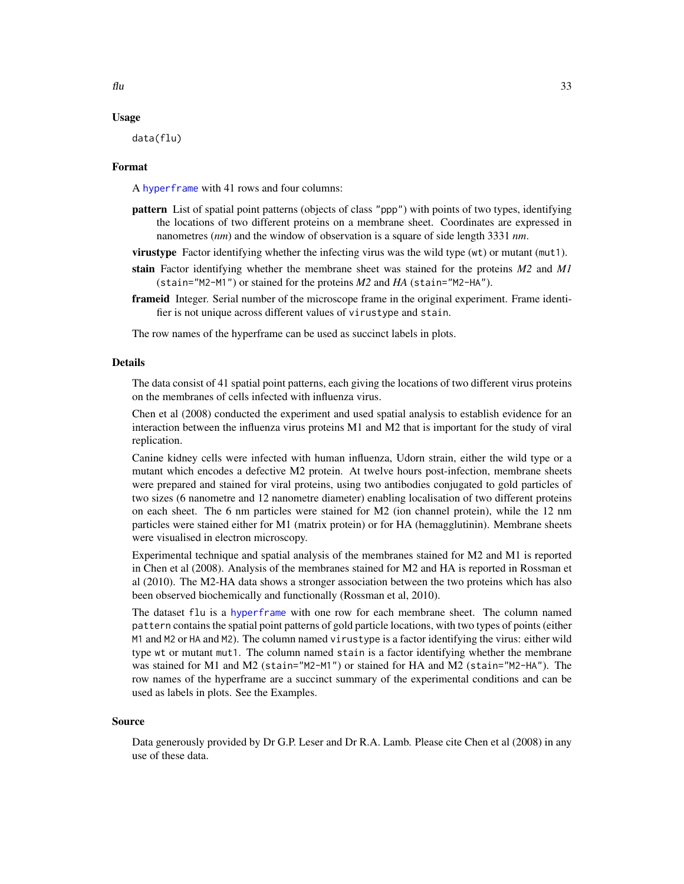# Usage

data(flu)

# Format

A [hyperframe](#page-0-0) with 41 rows and four columns:

- pattern List of spatial point patterns (objects of class "ppp") with points of two types, identifying the locations of two different proteins on a membrane sheet. Coordinates are expressed in nanometres (*nm*) and the window of observation is a square of side length 3331 *nm*.
- virustype Factor identifying whether the infecting virus was the wild type (wt) or mutant (mut1).
- stain Factor identifying whether the membrane sheet was stained for the proteins *M2* and *M1* (stain="M2-M1") or stained for the proteins *M2* and *HA* (stain="M2-HA").
- frameid Integer. Serial number of the microscope frame in the original experiment. Frame identifier is not unique across different values of virustype and stain.

The row names of the hyperframe can be used as succinct labels in plots.

#### Details

The data consist of 41 spatial point patterns, each giving the locations of two different virus proteins on the membranes of cells infected with influenza virus.

Chen et al (2008) conducted the experiment and used spatial analysis to establish evidence for an interaction between the influenza virus proteins M1 and M2 that is important for the study of viral replication.

Canine kidney cells were infected with human influenza, Udorn strain, either the wild type or a mutant which encodes a defective M2 protein. At twelve hours post-infection, membrane sheets were prepared and stained for viral proteins, using two antibodies conjugated to gold particles of two sizes (6 nanometre and 12 nanometre diameter) enabling localisation of two different proteins on each sheet. The 6 nm particles were stained for M2 (ion channel protein), while the 12 nm particles were stained either for M1 (matrix protein) or for HA (hemagglutinin). Membrane sheets were visualised in electron microscopy.

Experimental technique and spatial analysis of the membranes stained for M2 and M1 is reported in Chen et al (2008). Analysis of the membranes stained for M2 and HA is reported in Rossman et al (2010). The M2-HA data shows a stronger association between the two proteins which has also been observed biochemically and functionally (Rossman et al, 2010).

The dataset flu is a [hyperframe](#page-0-0) with one row for each membrane sheet. The column named pattern contains the spatial point patterns of gold particle locations, with two types of points (either M1 and M2 or HA and M2). The column named virustype is a factor identifying the virus: either wild type wt or mutant mut1. The column named stain is a factor identifying whether the membrane was stained for M1 and M2 (stain="M2-M1") or stained for HA and M2 (stain="M2-HA"). The row names of the hyperframe are a succinct summary of the experimental conditions and can be used as labels in plots. See the Examples.

#### Source

Data generously provided by Dr G.P. Leser and Dr R.A. Lamb. Please cite Chen et al (2008) in any use of these data.

 $\mathbf{f}$ lu  $\mathbf{f}$ 33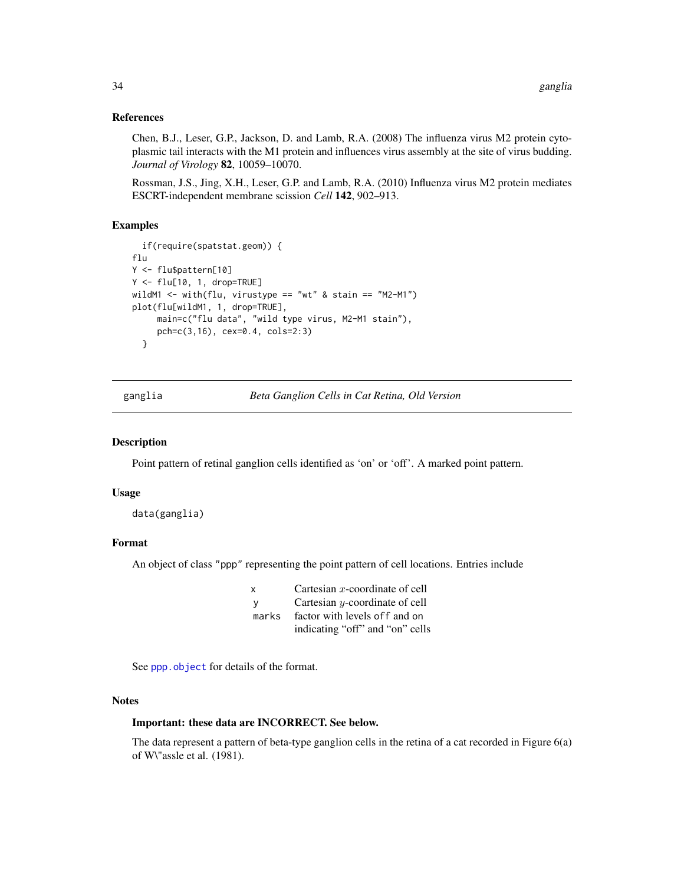# <span id="page-33-0"></span>References

Chen, B.J., Leser, G.P., Jackson, D. and Lamb, R.A. (2008) The influenza virus M2 protein cytoplasmic tail interacts with the M1 protein and influences virus assembly at the site of virus budding. *Journal of Virology* 82, 10059–10070.

Rossman, J.S., Jing, X.H., Leser, G.P. and Lamb, R.A. (2010) Influenza virus M2 protein mediates ESCRT-independent membrane scission *Cell* 142, 902–913.

# Examples

```
if(require(spatstat.geom)) {
flu
Y <- flu$pattern[10]
Y <- flu[10, 1, drop=TRUE]
wildM1 <- with(flu, virustype == "wt" & stain == "M2-M1")
plot(flu[wildM1, 1, drop=TRUE],
    main=c("flu data", "wild type virus, M2-M1 stain"),
    pch=c(3,16), cex=0.4, cols=2:3)
 }
```
<span id="page-33-1"></span>ganglia *Beta Ganglion Cells in Cat Retina, Old Version*

# Description

Point pattern of retinal ganglion cells identified as 'on' or 'off'. A marked point pattern.

# Usage

```
data(ganglia)
```
# Format

An object of class "ppp" representing the point pattern of cell locations. Entries include

| x     | Cartesian $x$ -coordinate of cell |
|-------|-----------------------------------|
| v     | Cartesian $y$ -coordinate of cell |
| marks | factor with levels of f and on    |
|       | indicating "off" and "on" cells   |

See [ppp.object](#page-0-0) for details of the format.

# **Notes**

# Important: these data are INCORRECT. See below.

The data represent a pattern of beta-type ganglion cells in the retina of a cat recorded in Figure 6(a) of W\"assle et al. (1981).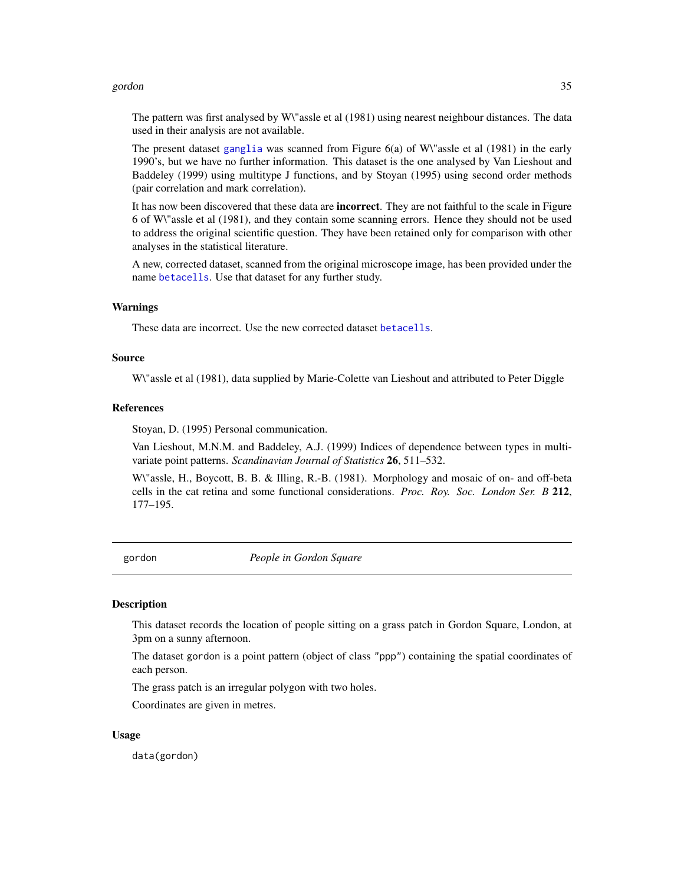#### <span id="page-34-0"></span>gordon 35

The pattern was first analysed by W\"assle et al (1981) using nearest neighbour distances. The data used in their analysis are not available.

The present dataset [ganglia](#page-33-1) was scanned from Figure 6(a) of W\"assle et al (1981) in the early 1990's, but we have no further information. This dataset is the one analysed by Van Lieshout and Baddeley (1999) using multitype J functions, and by Stoyan (1995) using second order methods (pair correlation and mark correlation).

It has now been discovered that these data are **incorrect**. They are not faithful to the scale in Figure 6 of W\"assle et al (1981), and they contain some scanning errors. Hence they should not be used to address the original scientific question. They have been retained only for comparison with other analyses in the statistical literature.

A new, corrected dataset, scanned from the original microscope image, has been provided under the name [betacells](#page-12-1). Use that dataset for any further study.

#### Warnings

These data are incorrect. Use the new corrected dataset [betacells](#page-12-1).

# Source

W\"assle et al (1981), data supplied by Marie-Colette van Lieshout and attributed to Peter Diggle

# References

Stoyan, D. (1995) Personal communication.

Van Lieshout, M.N.M. and Baddeley, A.J. (1999) Indices of dependence between types in multivariate point patterns. *Scandinavian Journal of Statistics* 26, 511–532.

W\"assle, H., Boycott, B. B. & Illing, R.-B. (1981). Morphology and mosaic of on- and off-beta cells in the cat retina and some functional considerations. *Proc. Roy. Soc. London Ser. B* 212, 177–195.

gordon *People in Gordon Square*

#### **Description**

This dataset records the location of people sitting on a grass patch in Gordon Square, London, at 3pm on a sunny afternoon.

The dataset gordon is a point pattern (object of class "ppp") containing the spatial coordinates of each person.

The grass patch is an irregular polygon with two holes.

Coordinates are given in metres.

# Usage

data(gordon)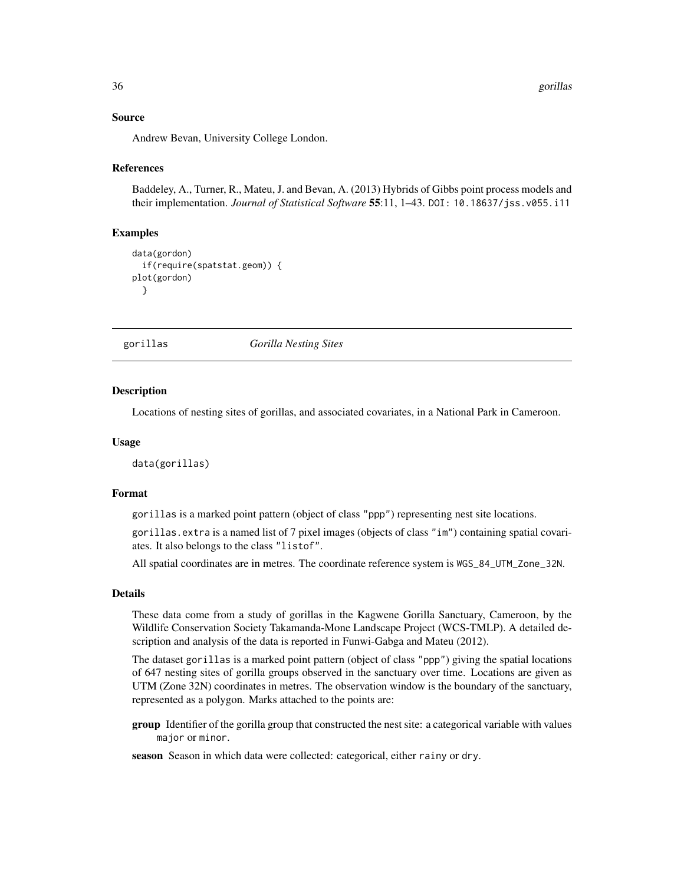# <span id="page-35-0"></span>Source

Andrew Bevan, University College London.

# References

Baddeley, A., Turner, R., Mateu, J. and Bevan, A. (2013) Hybrids of Gibbs point process models and their implementation. *Journal of Statistical Software* 55:11, 1–43. DOI: 10.18637/jss.v055.i11

# Examples

```
data(gordon)
 if(require(spatstat.geom)) {
plot(gordon)
 }
```
gorillas *Gorilla Nesting Sites*

#### Description

Locations of nesting sites of gorillas, and associated covariates, in a National Park in Cameroon.

#### Usage

data(gorillas)

# Format

gorillas is a marked point pattern (object of class "ppp") representing nest site locations.

gorillas.extra is a named list of 7 pixel images (objects of class "im") containing spatial covariates. It also belongs to the class "listof".

All spatial coordinates are in metres. The coordinate reference system is WGS\_84\_UTM\_Zone\_32N.

#### Details

These data come from a study of gorillas in the Kagwene Gorilla Sanctuary, Cameroon, by the Wildlife Conservation Society Takamanda-Mone Landscape Project (WCS-TMLP). A detailed description and analysis of the data is reported in Funwi-Gabga and Mateu (2012).

The dataset gorillas is a marked point pattern (object of class "ppp") giving the spatial locations of 647 nesting sites of gorilla groups observed in the sanctuary over time. Locations are given as UTM (Zone 32N) coordinates in metres. The observation window is the boundary of the sanctuary, represented as a polygon. Marks attached to the points are:

group Identifier of the gorilla group that constructed the nest site: a categorical variable with values major or minor.

season Season in which data were collected: categorical, either rainy or dry.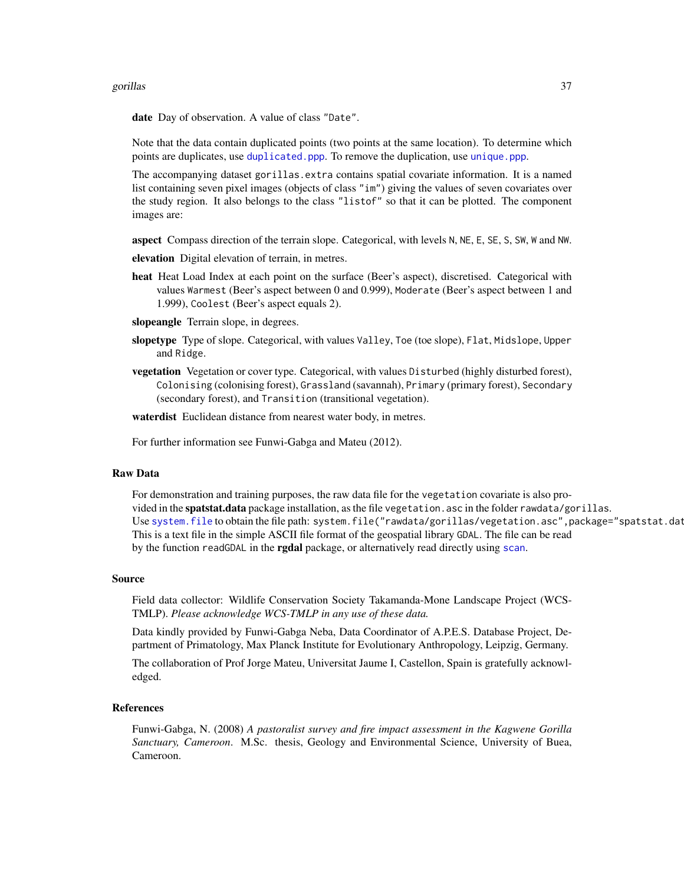#### gorillas **37**

date Day of observation. A value of class "Date".

Note that the data contain duplicated points (two points at the same location). To determine which points are duplicates, use [duplicated.ppp](#page-0-0). To remove the duplication, use [unique.ppp](#page-0-0).

The accompanying dataset gorillas.extra contains spatial covariate information. It is a named list containing seven pixel images (objects of class "im") giving the values of seven covariates over the study region. It also belongs to the class "listof" so that it can be plotted. The component images are:

aspect Compass direction of the terrain slope. Categorical, with levels N, NE, E, SE, S, SW, W and NW.

elevation Digital elevation of terrain, in metres.

heat Heat Load Index at each point on the surface (Beer's aspect), discretised. Categorical with values Warmest (Beer's aspect between 0 and 0.999), Moderate (Beer's aspect between 1 and 1.999), Coolest (Beer's aspect equals 2).

slopeangle Terrain slope, in degrees.

- slopetype Type of slope. Categorical, with values Valley, Toe (toe slope), Flat, Midslope, Upper and Ridge.
- vegetation Vegetation or cover type. Categorical, with values Disturbed (highly disturbed forest), Colonising (colonising forest), Grassland (savannah), Primary (primary forest), Secondary (secondary forest), and Transition (transitional vegetation).

waterdist Euclidean distance from nearest water body, in metres.

For further information see Funwi-Gabga and Mateu (2012).

#### Raw Data

For demonstration and training purposes, the raw data file for the vegetation covariate is also provided in the spatstat.data package installation, as the file vegetation.asc in the folder rawdata/gorillas. Use [system.file](#page-0-0) to obtain the file path: system.file("rawdata/gorillas/vegetation.asc", package="spatstat.dat This is a text file in the simple ASCII file format of the geospatial library GDAL. The file can be read by the function readGDAL in the **rgdal** package, or alternatively read directly using [scan](#page-0-0).

#### Source

Field data collector: Wildlife Conservation Society Takamanda-Mone Landscape Project (WCS-TMLP). *Please acknowledge WCS-TMLP in any use of these data.*

Data kindly provided by Funwi-Gabga Neba, Data Coordinator of A.P.E.S. Database Project, Department of Primatology, Max Planck Institute for Evolutionary Anthropology, Leipzig, Germany.

The collaboration of Prof Jorge Mateu, Universitat Jaume I, Castellon, Spain is gratefully acknowledged.

#### References

Funwi-Gabga, N. (2008) *A pastoralist survey and fire impact assessment in the Kagwene Gorilla Sanctuary, Cameroon*. M.Sc. thesis, Geology and Environmental Science, University of Buea, Cameroon.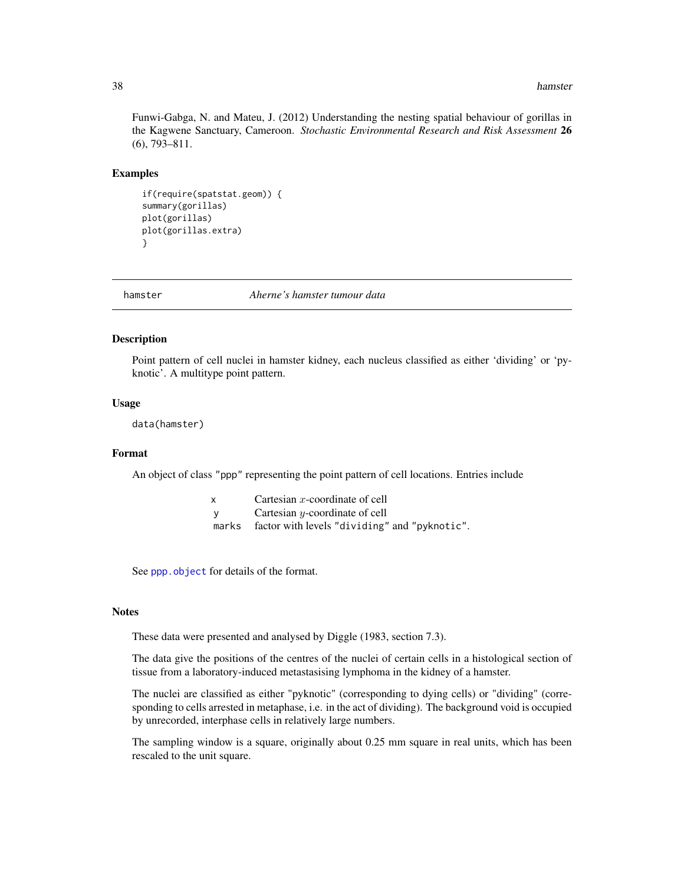#### **38** hamster

Funwi-Gabga, N. and Mateu, J. (2012) Understanding the nesting spatial behaviour of gorillas in the Kagwene Sanctuary, Cameroon. *Stochastic Environmental Research and Risk Assessment* 26 (6), 793–811.

### Examples

```
if(require(spatstat.geom)) {
summary(gorillas)
plot(gorillas)
plot(gorillas.extra)
}
```
hamster *Aherne's hamster tumour data*

# Description

Point pattern of cell nuclei in hamster kidney, each nucleus classified as either 'dividing' or 'pyknotic'. A multitype point pattern.

### Usage

data(hamster)

#### Format

An object of class "ppp" representing the point pattern of cell locations. Entries include

| Cartesian $x$ -coordinate of cell |
|-----------------------------------|
| Cartesian $y$ -coordinate of cell |

marks factor with levels "dividing" and "pyknotic".

See [ppp.object](#page-0-0) for details of the format.

#### **Notes**

These data were presented and analysed by Diggle (1983, section 7.3).

The data give the positions of the centres of the nuclei of certain cells in a histological section of tissue from a laboratory-induced metastasising lymphoma in the kidney of a hamster.

The nuclei are classified as either "pyknotic" (corresponding to dying cells) or "dividing" (corresponding to cells arrested in metaphase, i.e. in the act of dividing). The background void is occupied by unrecorded, interphase cells in relatively large numbers.

The sampling window is a square, originally about 0.25 mm square in real units, which has been rescaled to the unit square.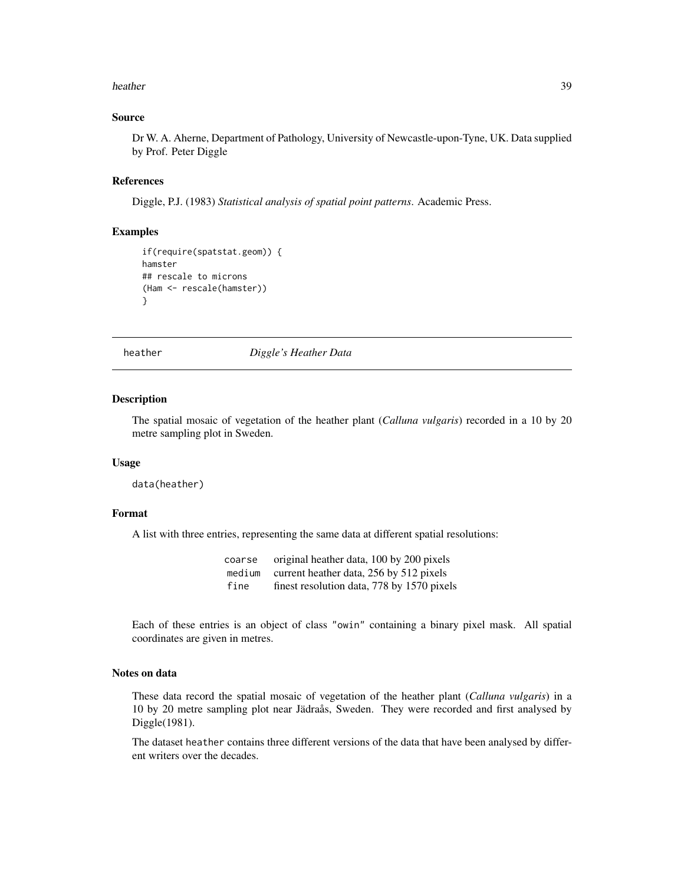#### heather 39

# Source

Dr W. A. Aherne, Department of Pathology, University of Newcastle-upon-Tyne, UK. Data supplied by Prof. Peter Diggle

### References

Diggle, P.J. (1983) *Statistical analysis of spatial point patterns*. Academic Press.

# Examples

```
if(require(spatstat.geom)) {
hamster
## rescale to microns
(Ham <- rescale(hamster))
}
```
heather *Diggle's Heather Data*

#### Description

The spatial mosaic of vegetation of the heather plant (*Calluna vulgaris*) recorded in a 10 by 20 metre sampling plot in Sweden.

### Usage

data(heather)

### Format

A list with three entries, representing the same data at different spatial resolutions:

coarse original heather data, 100 by 200 pixels medium current heather data, 256 by 512 pixels fine finest resolution data, 778 by 1570 pixels

Each of these entries is an object of class "owin" containing a binary pixel mask. All spatial coordinates are given in metres.

### Notes on data

These data record the spatial mosaic of vegetation of the heather plant (*Calluna vulgaris*) in a 10 by 20 metre sampling plot near Jädraås, Sweden. They were recorded and first analysed by Diggle(1981).

The dataset heather contains three different versions of the data that have been analysed by different writers over the decades.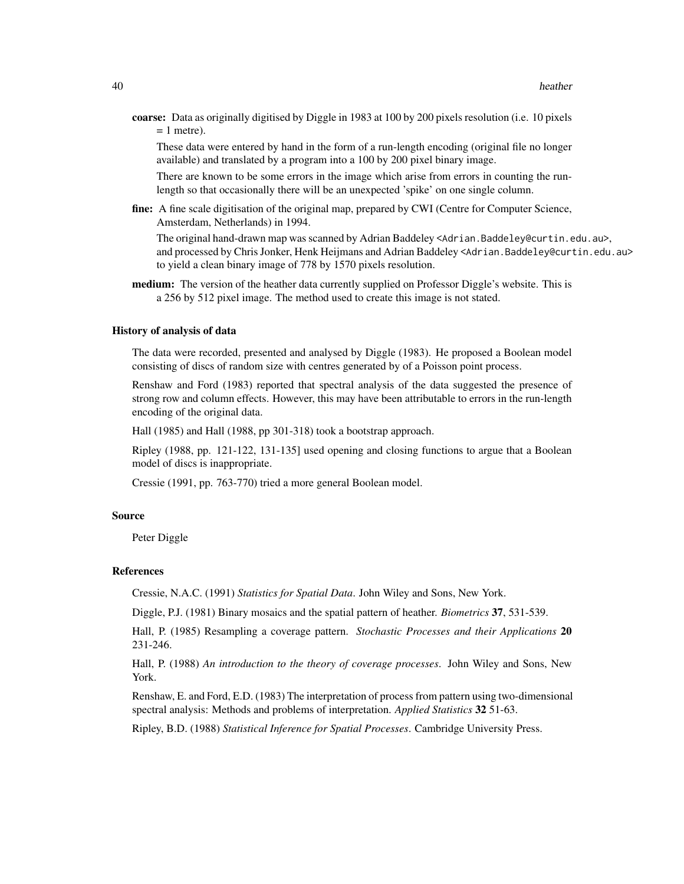coarse: Data as originally digitised by Diggle in 1983 at 100 by 200 pixels resolution (i.e. 10 pixels  $= 1$  metre).

These data were entered by hand in the form of a run-length encoding (original file no longer available) and translated by a program into a 100 by 200 pixel binary image.

There are known to be some errors in the image which arise from errors in counting the runlength so that occasionally there will be an unexpected 'spike' on one single column.

fine: A fine scale digitisation of the original map, prepared by CWI (Centre for Computer Science, Amsterdam, Netherlands) in 1994.

The original hand-drawn map was scanned by Adrian Baddeley <Adrian.Baddeley@curtin.edu.au>, and processed by Chris Jonker, Henk Heijmans and Adrian Baddeley <Adrian.Baddeley@curtin.edu.au> to yield a clean binary image of 778 by 1570 pixels resolution.

medium: The version of the heather data currently supplied on Professor Diggle's website. This is a 256 by 512 pixel image. The method used to create this image is not stated.

#### History of analysis of data

The data were recorded, presented and analysed by Diggle (1983). He proposed a Boolean model consisting of discs of random size with centres generated by of a Poisson point process.

Renshaw and Ford (1983) reported that spectral analysis of the data suggested the presence of strong row and column effects. However, this may have been attributable to errors in the run-length encoding of the original data.

Hall (1985) and Hall (1988, pp 301-318) took a bootstrap approach.

Ripley (1988, pp. 121-122, 131-135] used opening and closing functions to argue that a Boolean model of discs is inappropriate.

Cressie (1991, pp. 763-770) tried a more general Boolean model.

# Source

Peter Diggle

#### References

Cressie, N.A.C. (1991) *Statistics for Spatial Data*. John Wiley and Sons, New York.

Diggle, P.J. (1981) Binary mosaics and the spatial pattern of heather. *Biometrics* 37, 531-539.

Hall, P. (1985) Resampling a coverage pattern. *Stochastic Processes and their Applications* 20 231-246.

Hall, P. (1988) *An introduction to the theory of coverage processes*. John Wiley and Sons, New York.

Renshaw, E. and Ford, E.D. (1983) The interpretation of process from pattern using two-dimensional spectral analysis: Methods and problems of interpretation. *Applied Statistics* 32 51-63.

Ripley, B.D. (1988) *Statistical Inference for Spatial Processes*. Cambridge University Press.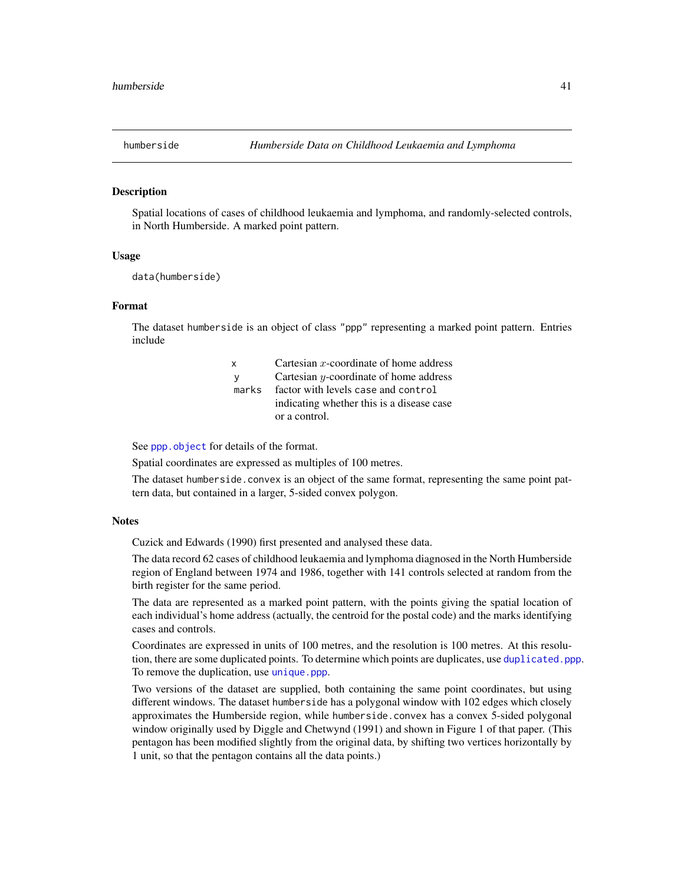#### Description

Spatial locations of cases of childhood leukaemia and lymphoma, and randomly-selected controls, in North Humberside. A marked point pattern.

### Usage

data(humberside)

### Format

The dataset humberside is an object of class "ppp" representing a marked point pattern. Entries include

| X     | Cartesian $x$ -coordinate of home address |
|-------|-------------------------------------------|
| - V   | Cartesian $y$ -coordinate of home address |
| marks | factor with levels case and control       |
|       | indicating whether this is a disease case |
|       | or a control.                             |

See [ppp.object](#page-0-0) for details of the format.

Spatial coordinates are expressed as multiples of 100 metres.

The dataset humberside.convex is an object of the same format, representing the same point pattern data, but contained in a larger, 5-sided convex polygon.

### **Notes**

Cuzick and Edwards (1990) first presented and analysed these data.

The data record 62 cases of childhood leukaemia and lymphoma diagnosed in the North Humberside region of England between 1974 and 1986, together with 141 controls selected at random from the birth register for the same period.

The data are represented as a marked point pattern, with the points giving the spatial location of each individual's home address (actually, the centroid for the postal code) and the marks identifying cases and controls.

Coordinates are expressed in units of 100 metres, and the resolution is 100 metres. At this resolution, there are some duplicated points. To determine which points are duplicates, use [duplicated.ppp](#page-0-0). To remove the duplication, use [unique.ppp](#page-0-0).

Two versions of the dataset are supplied, both containing the same point coordinates, but using different windows. The dataset humberside has a polygonal window with 102 edges which closely approximates the Humberside region, while humberside.convex has a convex 5-sided polygonal window originally used by Diggle and Chetwynd (1991) and shown in Figure 1 of that paper. (This pentagon has been modified slightly from the original data, by shifting two vertices horizontally by 1 unit, so that the pentagon contains all the data points.)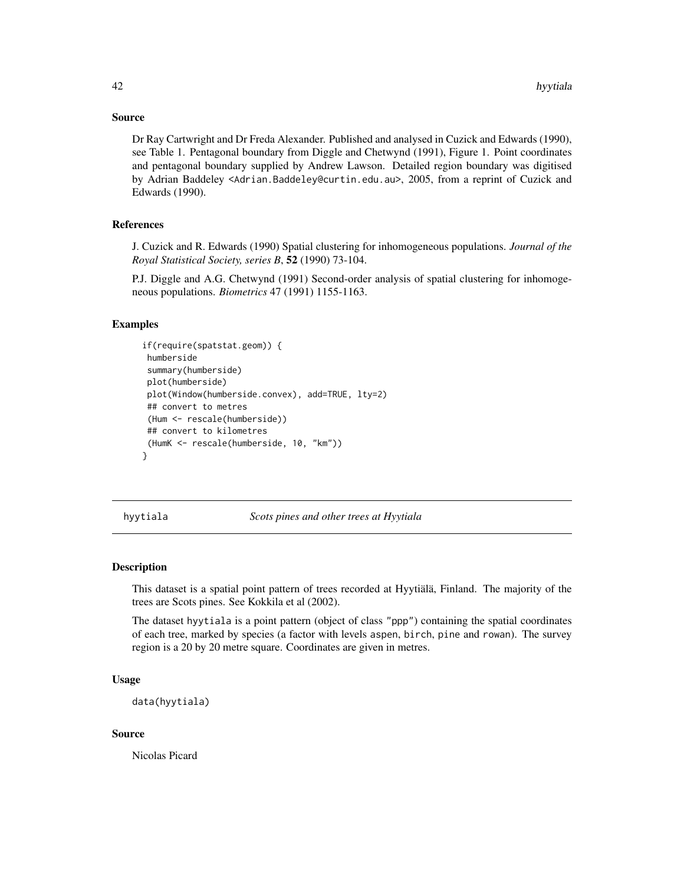# Source

Dr Ray Cartwright and Dr Freda Alexander. Published and analysed in Cuzick and Edwards (1990), see Table 1. Pentagonal boundary from Diggle and Chetwynd (1991), Figure 1. Point coordinates and pentagonal boundary supplied by Andrew Lawson. Detailed region boundary was digitised by Adrian Baddeley <Adrian.Baddeley@curtin.edu.au>, 2005, from a reprint of Cuzick and Edwards (1990).

# References

J. Cuzick and R. Edwards (1990) Spatial clustering for inhomogeneous populations. *Journal of the Royal Statistical Society, series B*, 52 (1990) 73-104.

P.J. Diggle and A.G. Chetwynd (1991) Second-order analysis of spatial clustering for inhomogeneous populations. *Biometrics* 47 (1991) 1155-1163.

# Examples

```
if(require(spatstat.geom)) {
 humberside
 summary(humberside)
 plot(humberside)
 plot(Window(humberside.convex), add=TRUE, lty=2)
 ## convert to metres
 (Hum <- rescale(humberside))
 ## convert to kilometres
 (HumK <- rescale(humberside, 10, "km"))
}
```
hyytiala *Scots pines and other trees at Hyytiala*

#### Description

This dataset is a spatial point pattern of trees recorded at Hyytiälä, Finland. The majority of the trees are Scots pines. See Kokkila et al (2002).

The dataset hyytiala is a point pattern (object of class "ppp") containing the spatial coordinates of each tree, marked by species (a factor with levels aspen, birch, pine and rowan). The survey region is a 20 by 20 metre square. Coordinates are given in metres.

# Usage

```
data(hyytiala)
```
### Source

Nicolas Picard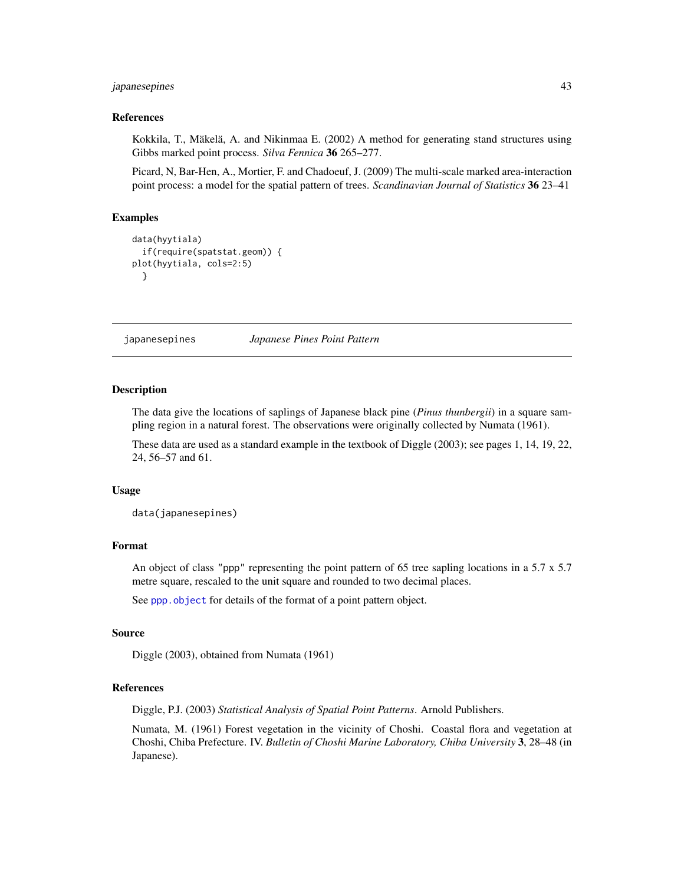# japanesepines 43

#### References

Kokkila, T., Mäkelä, A. and Nikinmaa E. (2002) A method for generating stand structures using Gibbs marked point process. *Silva Fennica* 36 265–277.

Picard, N, Bar-Hen, A., Mortier, F. and Chadoeuf, J. (2009) The multi-scale marked area-interaction point process: a model for the spatial pattern of trees. *Scandinavian Journal of Statistics* 36 23–41

# Examples

```
data(hyytiala)
 if(require(spatstat.geom)) {
plot(hyytiala, cols=2:5)
 }
```
japanesepines *Japanese Pines Point Pattern*

## Description

The data give the locations of saplings of Japanese black pine (*Pinus thunbergii*) in a square sampling region in a natural forest. The observations were originally collected by Numata (1961).

These data are used as a standard example in the textbook of Diggle (2003); see pages 1, 14, 19, 22, 24, 56–57 and 61.

### Usage

data(japanesepines)

# Format

An object of class "ppp" representing the point pattern of 65 tree sapling locations in a 5.7 x 5.7 metre square, rescaled to the unit square and rounded to two decimal places.

See [ppp.object](#page-0-0) for details of the format of a point pattern object.

### Source

Diggle (2003), obtained from Numata (1961)

# References

Diggle, P.J. (2003) *Statistical Analysis of Spatial Point Patterns*. Arnold Publishers.

Numata, M. (1961) Forest vegetation in the vicinity of Choshi. Coastal flora and vegetation at Choshi, Chiba Prefecture. IV. *Bulletin of Choshi Marine Laboratory, Chiba University* 3, 28–48 (in Japanese).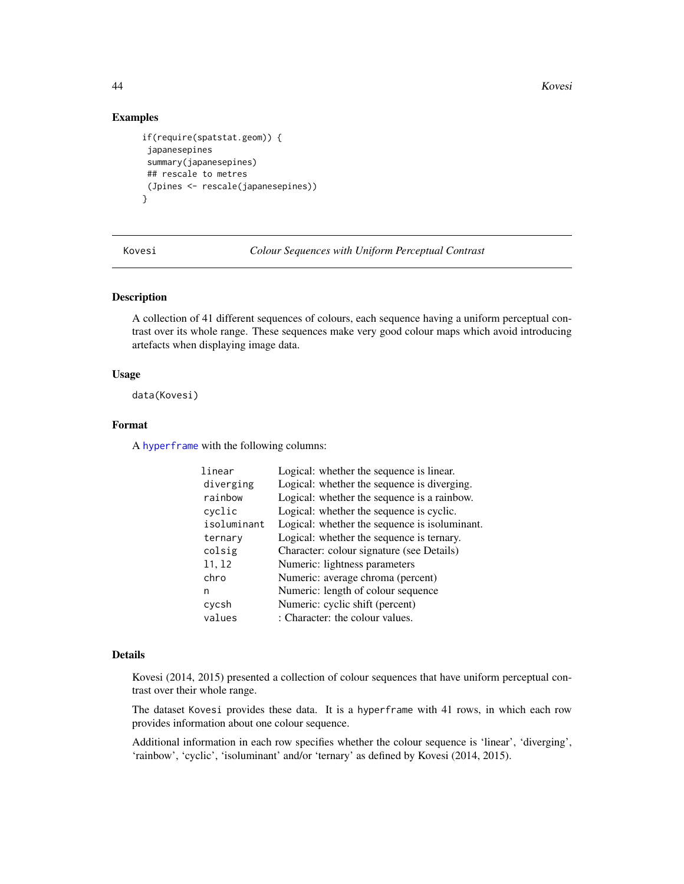44 Kovesi

# Examples

```
if(require(spatstat.geom)) {
 japanesepines
 summary(japanesepines)
 ## rescale to metres
 (Jpines <- rescale(japanesepines))
}
```
Kovesi *Colour Sequences with Uniform Perceptual Contrast*

### Description

A collection of 41 different sequences of colours, each sequence having a uniform perceptual contrast over its whole range. These sequences make very good colour maps which avoid introducing artefacts when displaying image data.

# Usage

data(Kovesi)

# Format

A [hyperframe](#page-0-0) with the following columns:

| linear      | Logical: whether the sequence is linear.      |
|-------------|-----------------------------------------------|
| diverging   | Logical: whether the sequence is diverging.   |
| rainbow     | Logical: whether the sequence is a rainbow.   |
| cyclic      | Logical: whether the sequence is cyclic.      |
| isoluminant | Logical: whether the sequence is isoluminant. |
| ternary     | Logical: whether the sequence is ternary.     |
| colsig      | Character: colour signature (see Details)     |
| 11, 12      | Numeric: lightness parameters                 |
| chro        | Numeric: average chroma (percent)             |
| n           | Numeric: length of colour sequence            |
| cycsh       | Numeric: cyclic shift (percent)               |
| values      | : Character: the colour values.               |

#### Details

Kovesi (2014, 2015) presented a collection of colour sequences that have uniform perceptual contrast over their whole range.

The dataset Kovesi provides these data. It is a hyperframe with 41 rows, in which each row provides information about one colour sequence.

Additional information in each row specifies whether the colour sequence is 'linear', 'diverging', 'rainbow', 'cyclic', 'isoluminant' and/or 'ternary' as defined by Kovesi (2014, 2015).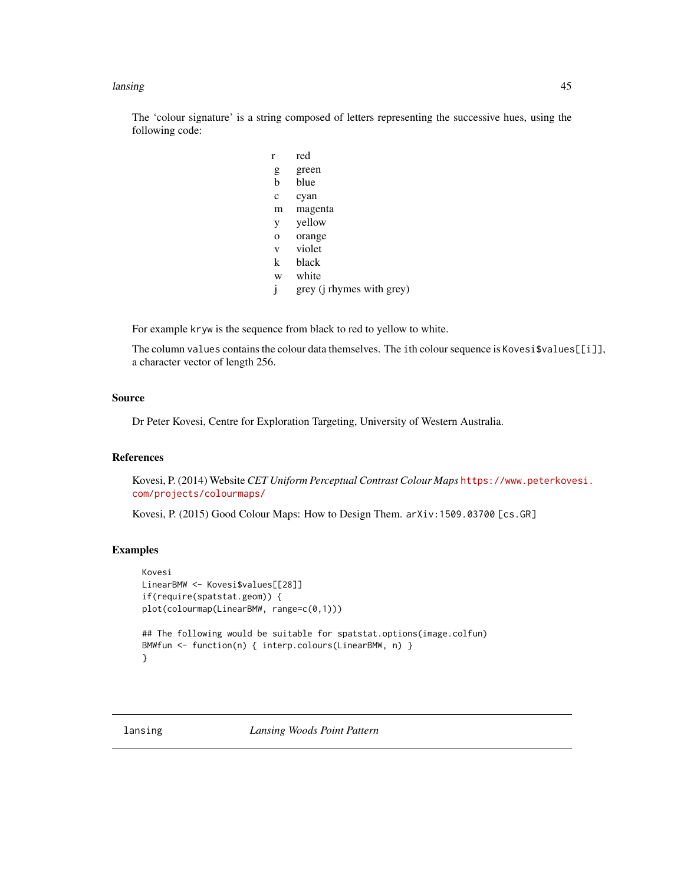#### lansing the contract of the contract of the contract of the contract of the contract of the contract of the contract of the contract of the contract of the contract of the contract of the contract of the contract of the co

The 'colour signature' is a string composed of letters representing the successive hues, using the following code:

| r           | red                               |
|-------------|-----------------------------------|
| g           | green                             |
| b           | blue                              |
| $\mathbf c$ | cyan                              |
| m           | magenta                           |
| y           | yellow                            |
| O           | orange                            |
| V           | violet                            |
| k           | black                             |
| W           | white                             |
| j           | grey ( <i>i</i> rhymes with grey) |

For example kryw is the sequence from black to red to yellow to white.

The column values contains the colour data themselves. The ith colour sequence is Kovesi\$values[[i]], a character vector of length 256.

# Source

Dr Peter Kovesi, Centre for Exploration Targeting, University of Western Australia.

# References

Kovesi, P. (2014) Website *CET Uniform Perceptual Contrast Colour Maps* [https://www.peterkove](https://www.peterkovesi.com/projects/colourmaps/)si. [com/projects/colourmaps/](https://www.peterkovesi.com/projects/colourmaps/)

Kovesi, P. (2015) Good Colour Maps: How to Design Them. arXiv:1509.03700 [cs.GR]

# Examples

```
Kovesi
LinearBMW <- Kovesi$values[[28]]
if(require(spatstat.geom)) {
plot(colourmap(LinearBMW, range=c(0,1)))
## The following would be suitable for spatstat.options(image.colfun)
BMWfun <- function(n) { interp.colours(LinearBMW, n) }
}
```
lansing *Lansing Woods Point Pattern*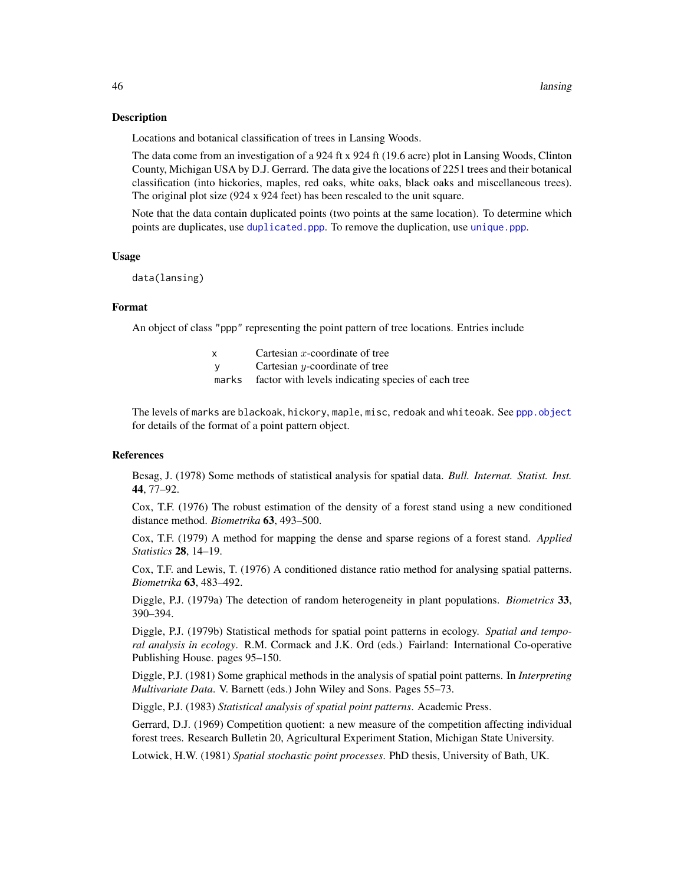### Description

Locations and botanical classification of trees in Lansing Woods.

The data come from an investigation of a 924 ft x 924 ft (19.6 acre) plot in Lansing Woods, Clinton County, Michigan USA by D.J. Gerrard. The data give the locations of 2251 trees and their botanical classification (into hickories, maples, red oaks, white oaks, black oaks and miscellaneous trees). The original plot size (924 x 924 feet) has been rescaled to the unit square.

Note that the data contain duplicated points (two points at the same location). To determine which points are duplicates, use [duplicated.ppp](#page-0-0). To remove the duplication, use [unique.ppp](#page-0-0).

### Usage

data(lansing)

# Format

An object of class "ppp" representing the point pattern of tree locations. Entries include

- y Cartesian y-coordinate of tree
- marks factor with levels indicating species of each tree

The levels of marks are blackoak, hickory, maple, misc, redoak and whiteoak. See [ppp.object](#page-0-0) for details of the format of a point pattern object.

# References

Besag, J. (1978) Some methods of statistical analysis for spatial data. *Bull. Internat. Statist. Inst.* 44, 77–92.

Cox, T.F. (1976) The robust estimation of the density of a forest stand using a new conditioned distance method. *Biometrika* 63, 493–500.

Cox, T.F. (1979) A method for mapping the dense and sparse regions of a forest stand. *Applied Statistics* 28, 14–19.

Cox, T.F. and Lewis, T. (1976) A conditioned distance ratio method for analysing spatial patterns. *Biometrika* 63, 483–492.

Diggle, P.J. (1979a) The detection of random heterogeneity in plant populations. *Biometrics* 33, 390–394.

Diggle, P.J. (1979b) Statistical methods for spatial point patterns in ecology. *Spatial and temporal analysis in ecology*. R.M. Cormack and J.K. Ord (eds.) Fairland: International Co-operative Publishing House. pages 95–150.

Diggle, P.J. (1981) Some graphical methods in the analysis of spatial point patterns. In *Interpreting Multivariate Data*. V. Barnett (eds.) John Wiley and Sons. Pages 55–73.

Diggle, P.J. (1983) *Statistical analysis of spatial point patterns*. Academic Press.

Gerrard, D.J. (1969) Competition quotient: a new measure of the competition affecting individual forest trees. Research Bulletin 20, Agricultural Experiment Station, Michigan State University.

Lotwick, H.W. (1981) *Spatial stochastic point processes*. PhD thesis, University of Bath, UK.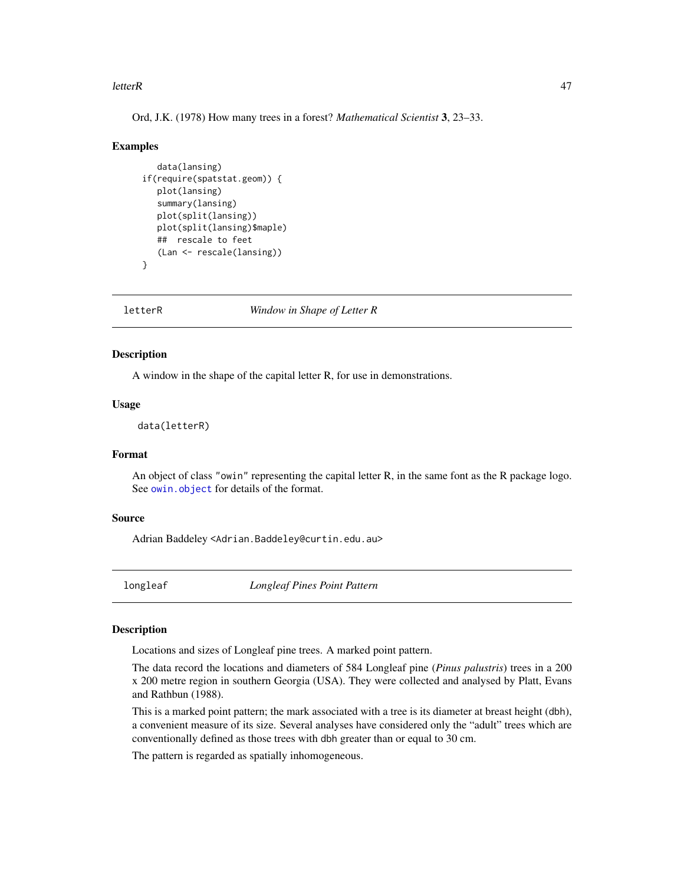### letterR and the set of the set of the set of the set of the set of the set of the set of the set of the set of the set of the set of the set of the set of the set of the set of the set of the set of the set of the set of t

Ord, J.K. (1978) How many trees in a forest? *Mathematical Scientist* 3, 23–33.

#### Examples

```
data(lansing)
if(require(spatstat.geom)) {
   plot(lansing)
   summary(lansing)
   plot(split(lansing))
   plot(split(lansing)$maple)
   ## rescale to feet
   (Lan <- rescale(lansing))
}
```
letterR *Window in Shape of Letter R*

# Description

A window in the shape of the capital letter R, for use in demonstrations.

# Usage

data(letterR)

# Format

An object of class "owin" representing the capital letter R, in the same font as the R package logo. See [owin.object](#page-0-0) for details of the format.

# Source

Adrian Baddeley <Adrian.Baddeley@curtin.edu.au>

longleaf *Longleaf Pines Point Pattern*

# Description

Locations and sizes of Longleaf pine trees. A marked point pattern.

The data record the locations and diameters of 584 Longleaf pine (*Pinus palustris*) trees in a 200 x 200 metre region in southern Georgia (USA). They were collected and analysed by Platt, Evans and Rathbun (1988).

This is a marked point pattern; the mark associated with a tree is its diameter at breast height (dbh), a convenient measure of its size. Several analyses have considered only the "adult" trees which are conventionally defined as those trees with dbh greater than or equal to 30 cm.

The pattern is regarded as spatially inhomogeneous.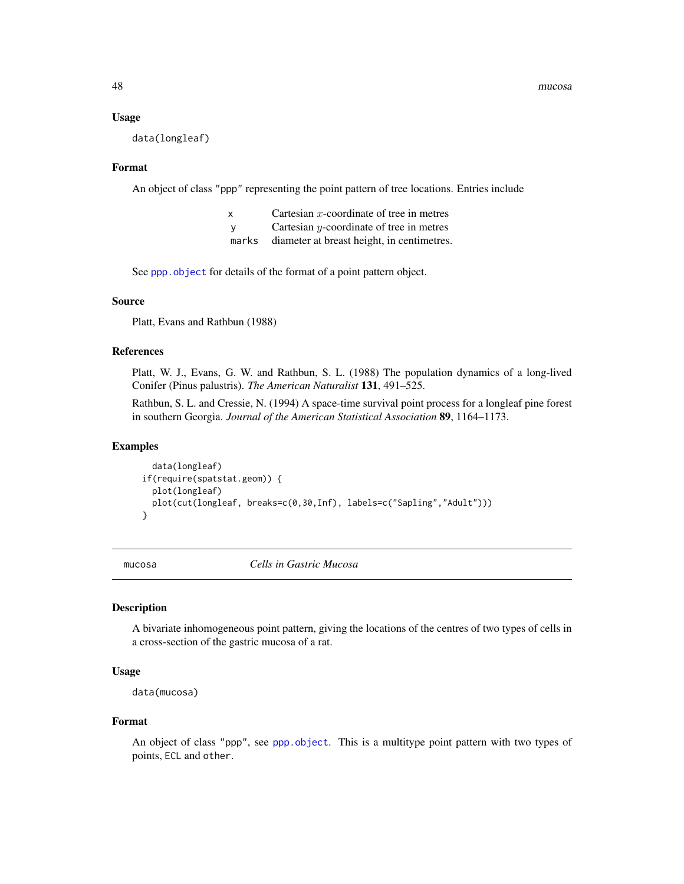#### Usage

data(longleaf)

### Format

An object of class "ppp" representing the point pattern of tree locations. Entries include

- $x$  Cartesian *x*-coordinate of tree in metres
- y Cartesian y-coordinate of tree in metres
- marks diameter at breast height, in centimetres.

See [ppp.object](#page-0-0) for details of the format of a point pattern object.

# Source

Platt, Evans and Rathbun (1988)

# References

Platt, W. J., Evans, G. W. and Rathbun, S. L. (1988) The population dynamics of a long-lived Conifer (Pinus palustris). *The American Naturalist* 131, 491–525.

Rathbun, S. L. and Cressie, N. (1994) A space-time survival point process for a longleaf pine forest in southern Georgia. *Journal of the American Statistical Association* 89, 1164–1173.

# Examples

```
data(longleaf)
if(require(spatstat.geom)) {
  plot(longleaf)
  plot(cut(longleaf, breaks=c(0,30,Inf), labels=c("Sapling","Adult")))
}
```
mucosa *Cells in Gastric Mucosa*

# **Description**

A bivariate inhomogeneous point pattern, giving the locations of the centres of two types of cells in a cross-section of the gastric mucosa of a rat.

### Usage

```
data(mucosa)
```
#### Format

An object of class "ppp", see [ppp.object](#page-0-0). This is a multitype point pattern with two types of points, ECL and other.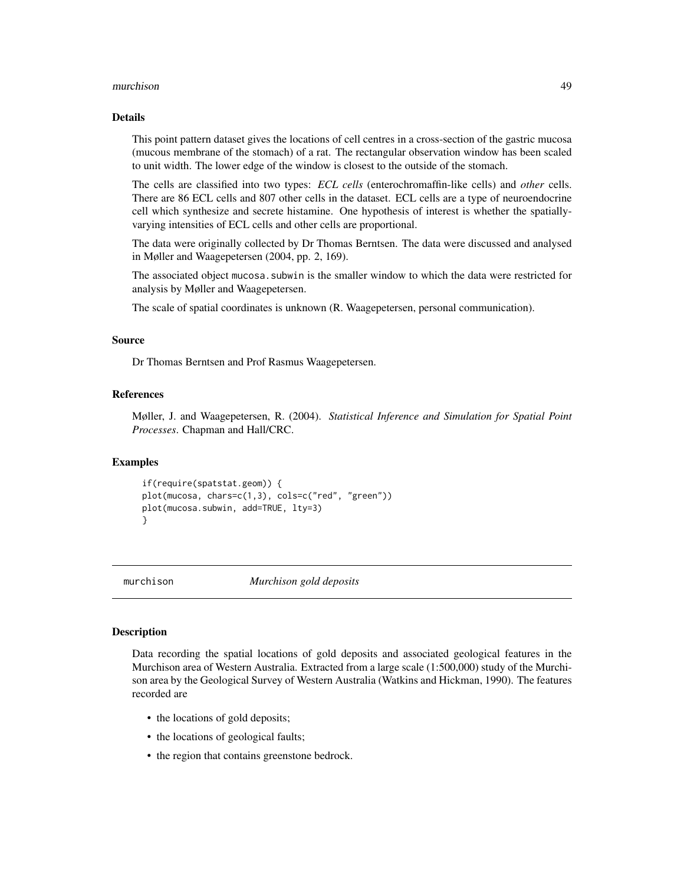#### murchison 49

#### Details

This point pattern dataset gives the locations of cell centres in a cross-section of the gastric mucosa (mucous membrane of the stomach) of a rat. The rectangular observation window has been scaled to unit width. The lower edge of the window is closest to the outside of the stomach.

The cells are classified into two types: *ECL cells* (enterochromaffin-like cells) and *other* cells. There are 86 ECL cells and 807 other cells in the dataset. ECL cells are a type of neuroendocrine cell which synthesize and secrete histamine. One hypothesis of interest is whether the spatiallyvarying intensities of ECL cells and other cells are proportional.

The data were originally collected by Dr Thomas Berntsen. The data were discussed and analysed in Møller and Waagepetersen (2004, pp. 2, 169).

The associated object mucosa. subwin is the smaller window to which the data were restricted for analysis by Møller and Waagepetersen.

The scale of spatial coordinates is unknown (R. Waagepetersen, personal communication).

### Source

Dr Thomas Berntsen and Prof Rasmus Waagepetersen.

# References

Møller, J. and Waagepetersen, R. (2004). *Statistical Inference and Simulation for Spatial Point Processes*. Chapman and Hall/CRC.

#### Examples

```
if(require(spatstat.geom)) {
plot(mucosa, chars=c(1,3), cols=c("red", "green"))
plot(mucosa.subwin, add=TRUE, lty=3)
}
```
murchison *Murchison gold deposits*

# **Description**

Data recording the spatial locations of gold deposits and associated geological features in the Murchison area of Western Australia. Extracted from a large scale (1:500,000) study of the Murchison area by the Geological Survey of Western Australia (Watkins and Hickman, 1990). The features recorded are

- the locations of gold deposits;
- the locations of geological faults;
- the region that contains greenstone bedrock.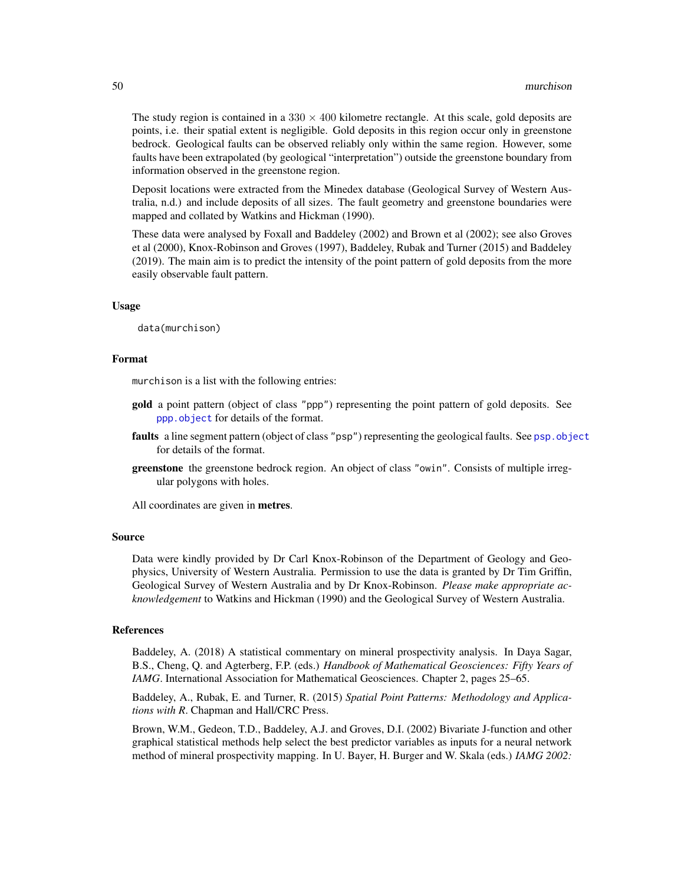The study region is contained in a  $330 \times 400$  kilometre rectangle. At this scale, gold deposits are points, i.e. their spatial extent is negligible. Gold deposits in this region occur only in greenstone bedrock. Geological faults can be observed reliably only within the same region. However, some faults have been extrapolated (by geological "interpretation") outside the greenstone boundary from information observed in the greenstone region.

Deposit locations were extracted from the Minedex database (Geological Survey of Western Australia, n.d.) and include deposits of all sizes. The fault geometry and greenstone boundaries were mapped and collated by Watkins and Hickman (1990).

These data were analysed by Foxall and Baddeley (2002) and Brown et al (2002); see also Groves et al (2000), Knox-Robinson and Groves (1997), Baddeley, Rubak and Turner (2015) and Baddeley (2019). The main aim is to predict the intensity of the point pattern of gold deposits from the more easily observable fault pattern.

### Usage

data(murchison)

#### Format

murchison is a list with the following entries:

- gold a point pattern (object of class "ppp") representing the point pattern of gold deposits. See [ppp.object](#page-0-0) for details of the format.
- faults a line segment pattern (object of class "psp") representing the geological faults. See [psp.object](#page-0-0) for details of the format.
- greenstone the greenstone bedrock region. An object of class "owin". Consists of multiple irregular polygons with holes.

All coordinates are given in **metres**.

#### Source

Data were kindly provided by Dr Carl Knox-Robinson of the Department of Geology and Geophysics, University of Western Australia. Permission to use the data is granted by Dr Tim Griffin, Geological Survey of Western Australia and by Dr Knox-Robinson. *Please make appropriate acknowledgement* to Watkins and Hickman (1990) and the Geological Survey of Western Australia.

#### References

Baddeley, A. (2018) A statistical commentary on mineral prospectivity analysis. In Daya Sagar, B.S., Cheng, Q. and Agterberg, F.P. (eds.) *Handbook of Mathematical Geosciences: Fifty Years of IAMG*. International Association for Mathematical Geosciences. Chapter 2, pages 25–65.

Baddeley, A., Rubak, E. and Turner, R. (2015) *Spatial Point Patterns: Methodology and Applications with R*. Chapman and Hall/CRC Press.

Brown, W.M., Gedeon, T.D., Baddeley, A.J. and Groves, D.I. (2002) Bivariate J-function and other graphical statistical methods help select the best predictor variables as inputs for a neural network method of mineral prospectivity mapping. In U. Bayer, H. Burger and W. Skala (eds.) *IAMG 2002:*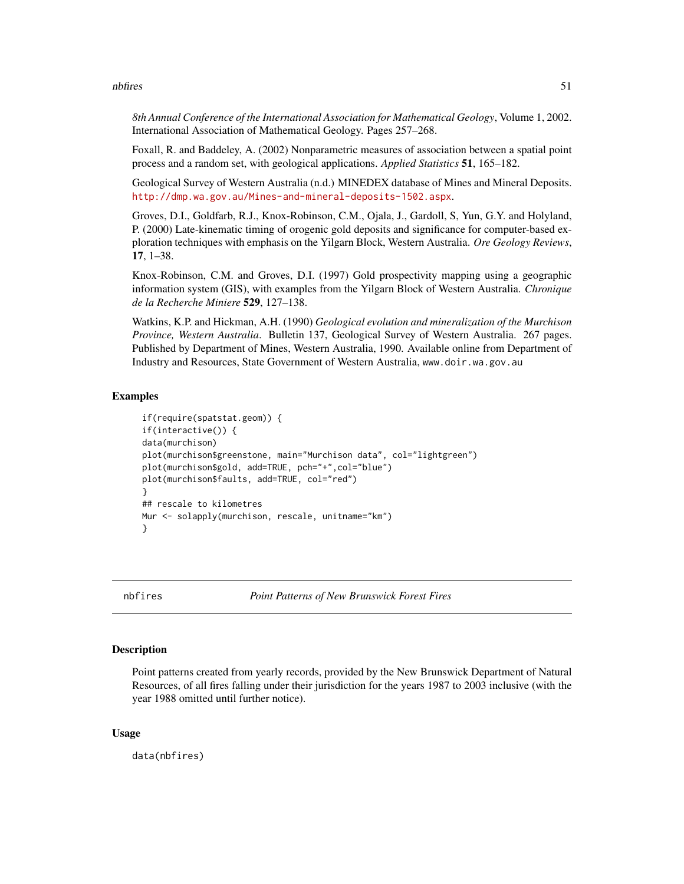#### nbfires 51

*8th Annual Conference of the International Association for Mathematical Geology*, Volume 1, 2002. International Association of Mathematical Geology. Pages 257–268.

Foxall, R. and Baddeley, A. (2002) Nonparametric measures of association between a spatial point process and a random set, with geological applications. *Applied Statistics* 51, 165–182.

Geological Survey of Western Australia (n.d.) MINEDEX database of Mines and Mineral Deposits. <http://dmp.wa.gov.au/Mines-and-mineral-deposits-1502.aspx>.

Groves, D.I., Goldfarb, R.J., Knox-Robinson, C.M., Ojala, J., Gardoll, S, Yun, G.Y. and Holyland, P. (2000) Late-kinematic timing of orogenic gold deposits and significance for computer-based exploration techniques with emphasis on the Yilgarn Block, Western Australia. *Ore Geology Reviews*, 17, 1–38.

Knox-Robinson, C.M. and Groves, D.I. (1997) Gold prospectivity mapping using a geographic information system (GIS), with examples from the Yilgarn Block of Western Australia. *Chronique de la Recherche Miniere* 529, 127–138.

Watkins, K.P. and Hickman, A.H. (1990) *Geological evolution and mineralization of the Murchison Province, Western Australia*. Bulletin 137, Geological Survey of Western Australia. 267 pages. Published by Department of Mines, Western Australia, 1990. Available online from Department of Industry and Resources, State Government of Western Australia, www.doir.wa.gov.au

### Examples

```
if(require(spatstat.geom)) {
if(interactive()) {
data(murchison)
plot(murchison$greenstone, main="Murchison data", col="lightgreen")
plot(murchison$gold, add=TRUE, pch="+",col="blue")
plot(murchison$faults, add=TRUE, col="red")
}
## rescale to kilometres
Mur <- solapply(murchison, rescale, unitname="km")
}
```
nbfires *Point Patterns of New Brunswick Forest Fires*

# Description

Point patterns created from yearly records, provided by the New Brunswick Department of Natural Resources, of all fires falling under their jurisdiction for the years 1987 to 2003 inclusive (with the year 1988 omitted until further notice).

#### Usage

data(nbfires)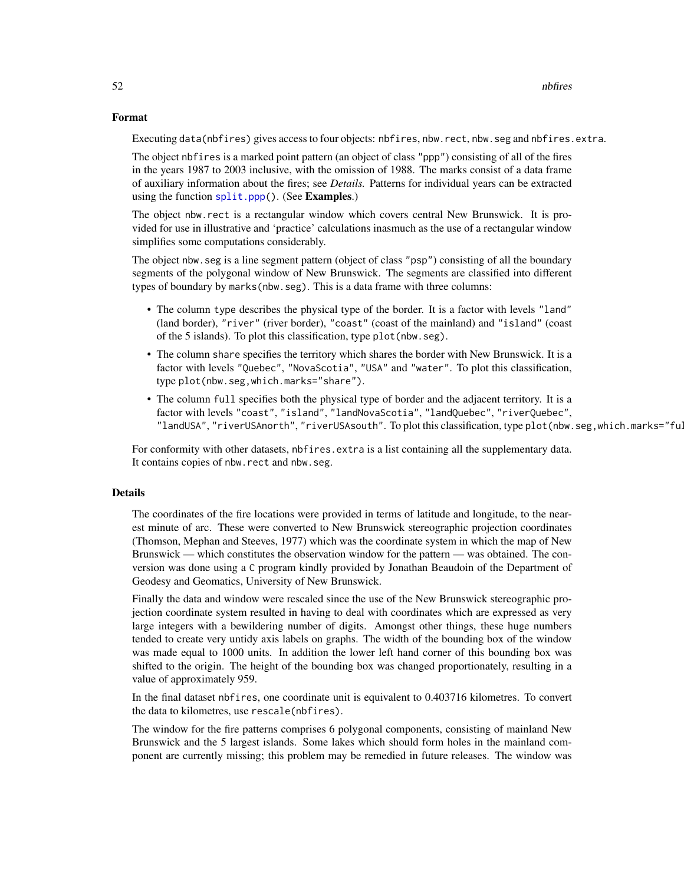# Format

Executing data(nbfires) gives access to four objects: nbfires, nbw.rect, nbw.seg and nbfires.extra.

The object nbfires is a marked point pattern (an object of class "ppp") consisting of all of the fires in the years 1987 to 2003 inclusive, with the omission of 1988. The marks consist of a data frame of auxiliary information about the fires; see *Details.* Patterns for individual years can be extracted using the function [split.ppp\(](#page-0-0)). (See Examples.)

The object nbw.rect is a rectangular window which covers central New Brunswick. It is provided for use in illustrative and 'practice' calculations inasmuch as the use of a rectangular window simplifies some computations considerably.

The object nbw.seg is a line segment pattern (object of class "psp") consisting of all the boundary segments of the polygonal window of New Brunswick. The segments are classified into different types of boundary by marks(nbw.seg). This is a data frame with three columns:

- The column type describes the physical type of the border. It is a factor with levels "land" (land border), "river" (river border), "coast" (coast of the mainland) and "island" (coast of the 5 islands). To plot this classification, type plot(nbw.seg).
- The column share specifies the territory which shares the border with New Brunswick. It is a factor with levels "Quebec", "NovaScotia", "USA" and "water". To plot this classification, type plot(nbw.seg,which.marks="share").
- The column full specifies both the physical type of border and the adjacent territory. It is a factor with levels "coast", "island", "landNovaScotia", "landQuebec", "riverQuebec", "landUSA", "riverUSAnorth", "riverUSAsouth". To plot this classification, type plot (nbw.seg,which.marks="ful

For conformity with other datasets, nbfires. extra is a list containing all the supplementary data. It contains copies of nbw.rect and nbw.seg.

# Details

The coordinates of the fire locations were provided in terms of latitude and longitude, to the nearest minute of arc. These were converted to New Brunswick stereographic projection coordinates (Thomson, Mephan and Steeves, 1977) which was the coordinate system in which the map of New Brunswick — which constitutes the observation window for the pattern — was obtained. The conversion was done using a C program kindly provided by Jonathan Beaudoin of the Department of Geodesy and Geomatics, University of New Brunswick.

Finally the data and window were rescaled since the use of the New Brunswick stereographic projection coordinate system resulted in having to deal with coordinates which are expressed as very large integers with a bewildering number of digits. Amongst other things, these huge numbers tended to create very untidy axis labels on graphs. The width of the bounding box of the window was made equal to 1000 units. In addition the lower left hand corner of this bounding box was shifted to the origin. The height of the bounding box was changed proportionately, resulting in a value of approximately 959.

In the final dataset nbfires, one coordinate unit is equivalent to 0.403716 kilometres. To convert the data to kilometres, use rescale(nbfires).

The window for the fire patterns comprises 6 polygonal components, consisting of mainland New Brunswick and the 5 largest islands. Some lakes which should form holes in the mainland component are currently missing; this problem may be remedied in future releases. The window was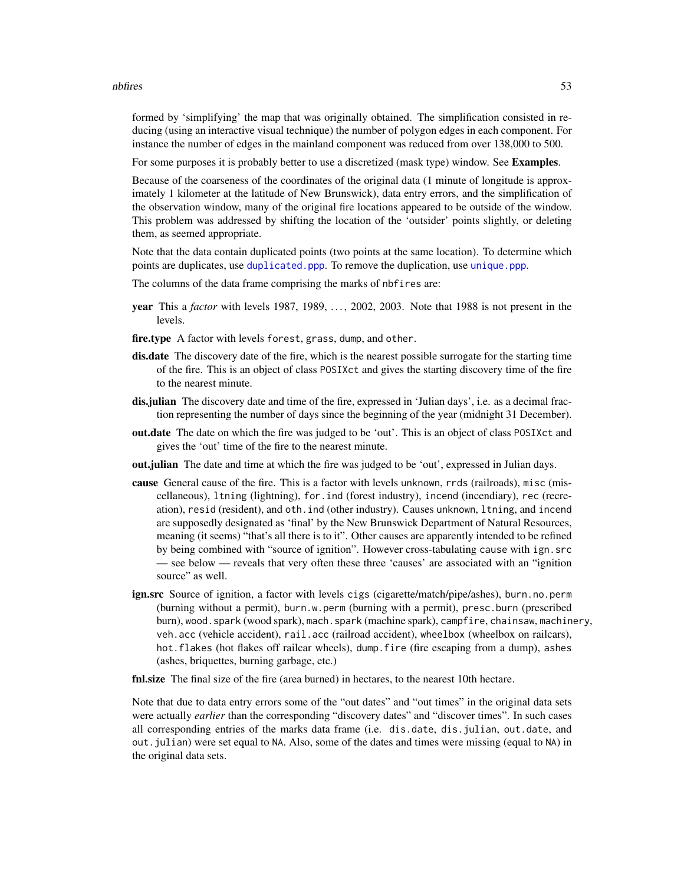#### nbfires 53

formed by 'simplifying' the map that was originally obtained. The simplification consisted in reducing (using an interactive visual technique) the number of polygon edges in each component. For instance the number of edges in the mainland component was reduced from over 138,000 to 500.

For some purposes it is probably better to use a discretized (mask type) window. See Examples.

Because of the coarseness of the coordinates of the original data (1 minute of longitude is approximately 1 kilometer at the latitude of New Brunswick), data entry errors, and the simplification of the observation window, many of the original fire locations appeared to be outside of the window. This problem was addressed by shifting the location of the 'outsider' points slightly, or deleting them, as seemed appropriate.

Note that the data contain duplicated points (two points at the same location). To determine which points are duplicates, use [duplicated.ppp](#page-0-0). To remove the duplication, use [unique.ppp](#page-0-0).

- The columns of the data frame comprising the marks of nbfires are:
- year This a *factor* with levels 1987, 1989, . . . , 2002, 2003. Note that 1988 is not present in the levels.
- fire.type A factor with levels forest, grass, dump, and other.
- dis.date The discovery date of the fire, which is the nearest possible surrogate for the starting time of the fire. This is an object of class POSIXct and gives the starting discovery time of the fire to the nearest minute.
- dis.julian The discovery date and time of the fire, expressed in 'Julian days', i.e. as a decimal fraction representing the number of days since the beginning of the year (midnight 31 December).
- out.date The date on which the fire was judged to be 'out'. This is an object of class POSIXct and gives the 'out' time of the fire to the nearest minute.
- out.julian The date and time at which the fire was judged to be 'out', expressed in Julian days.
- cause General cause of the fire. This is a factor with levels unknown, rrds (railroads), misc (miscellaneous), ltning (lightning), for.ind (forest industry), incend (incendiary), rec (recreation), resid (resident), and oth.ind (other industry). Causes unknown, ltning, and incend are supposedly designated as 'final' by the New Brunswick Department of Natural Resources, meaning (it seems) "that's all there is to it". Other causes are apparently intended to be refined by being combined with "source of ignition". However cross-tabulating cause with ign.src — see below — reveals that very often these three 'causes' are associated with an "ignition source" as well.
- ign.src Source of ignition, a factor with levels cigs (cigarette/match/pipe/ashes), burn.no.perm (burning without a permit), burn.w.perm (burning with a permit), presc.burn (prescribed burn), wood.spark (wood spark), mach.spark (machine spark), campfire, chainsaw, machinery, veh.acc (vehicle accident), rail.acc (railroad accident), wheelbox (wheelbox on railcars), hot. flakes (hot flakes off railcar wheels), dump. fire (fire escaping from a dump), ashes (ashes, briquettes, burning garbage, etc.)

fnl.size The final size of the fire (area burned) in hectares, to the nearest 10th hectare.

Note that due to data entry errors some of the "out dates" and "out times" in the original data sets were actually *earlier* than the corresponding "discovery dates" and "discover times". In such cases all corresponding entries of the marks data frame (i.e. dis.date, dis.julian, out.date, and out.julian) were set equal to NA. Also, some of the dates and times were missing (equal to NA) in the original data sets.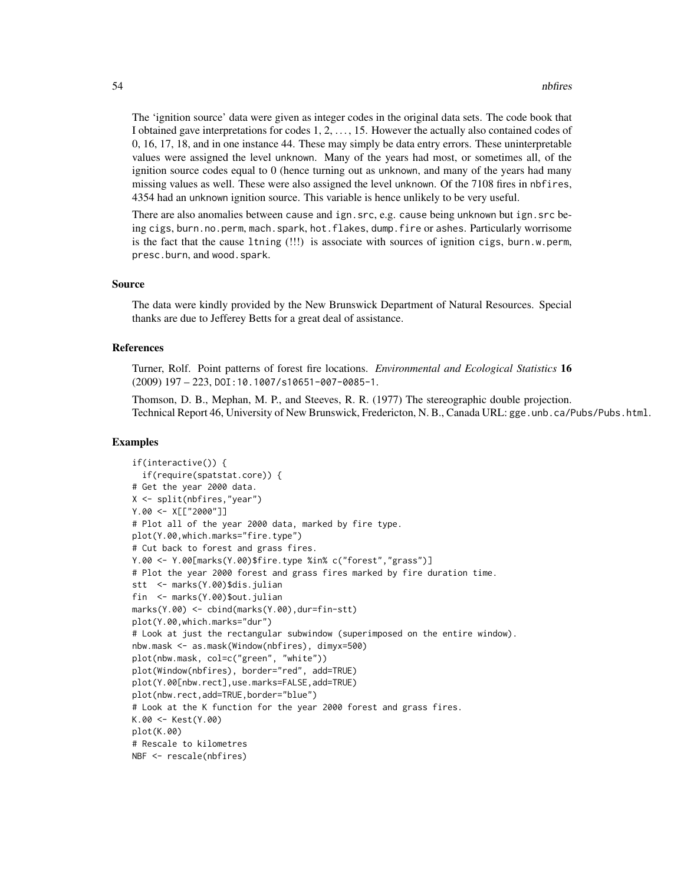The 'ignition source' data were given as integer codes in the original data sets. The code book that I obtained gave interpretations for codes 1, 2, . . . , 15. However the actually also contained codes of 0, 16, 17, 18, and in one instance 44. These may simply be data entry errors. These uninterpretable values were assigned the level unknown. Many of the years had most, or sometimes all, of the ignition source codes equal to 0 (hence turning out as unknown, and many of the years had many missing values as well. These were also assigned the level unknown. Of the 7108 fires in nbfires, 4354 had an unknown ignition source. This variable is hence unlikely to be very useful.

There are also anomalies between cause and ign.src, e.g. cause being unknown but ign.src being cigs, burn.no.perm, mach.spark, hot.flakes, dump.fire or ashes. Particularly worrisome is the fact that the cause ltning (!!!) is associate with sources of ignition cigs, burn.w.perm, presc.burn, and wood.spark.

### Source

The data were kindly provided by the New Brunswick Department of Natural Resources. Special thanks are due to Jefferey Betts for a great deal of assistance.

### References

Turner, Rolf. Point patterns of forest fire locations. *Environmental and Ecological Statistics* 16 (2009) 197 – 223, DOI:10.1007/s10651-007-0085-1.

Thomson, D. B., Mephan, M. P., and Steeves, R. R. (1977) The stereographic double projection. Technical Report 46, University of New Brunswick, Fredericton, N. B., Canada URL: gge.unb.ca/Pubs/Pubs.html.

# Examples

```
if(interactive()) {
  if(require(spatstat.core)) {
# Get the year 2000 data.
X <- split(nbfires,"year")
Y.00 <- X[["2000"]]
# Plot all of the year 2000 data, marked by fire type.
plot(Y.00,which.marks="fire.type")
# Cut back to forest and grass fires.
Y.00 <- Y.00[marks(Y.00)$fire.type %in% c("forest","grass")]
# Plot the year 2000 forest and grass fires marked by fire duration time.
stt <- marks(Y.00)$dis.julian
fin <- marks(Y.00)$out.julian
marks(Y.00) <- cbind(marks(Y.00),dur=fin-stt)
plot(Y.00,which.marks="dur")
# Look at just the rectangular subwindow (superimposed on the entire window).
nbw.mask <- as.mask(Window(nbfires), dimyx=500)
plot(nbw.mask, col=c("green", "white"))
plot(Window(nbfires), border="red", add=TRUE)
plot(Y.00[nbw.rect],use.marks=FALSE,add=TRUE)
plot(nbw.rect,add=TRUE,border="blue")
# Look at the K function for the year 2000 forest and grass fires.
K.00 <- Kest(Y.00)
plot(K.00)
# Rescale to kilometres
NBF <- rescale(nbfires)
```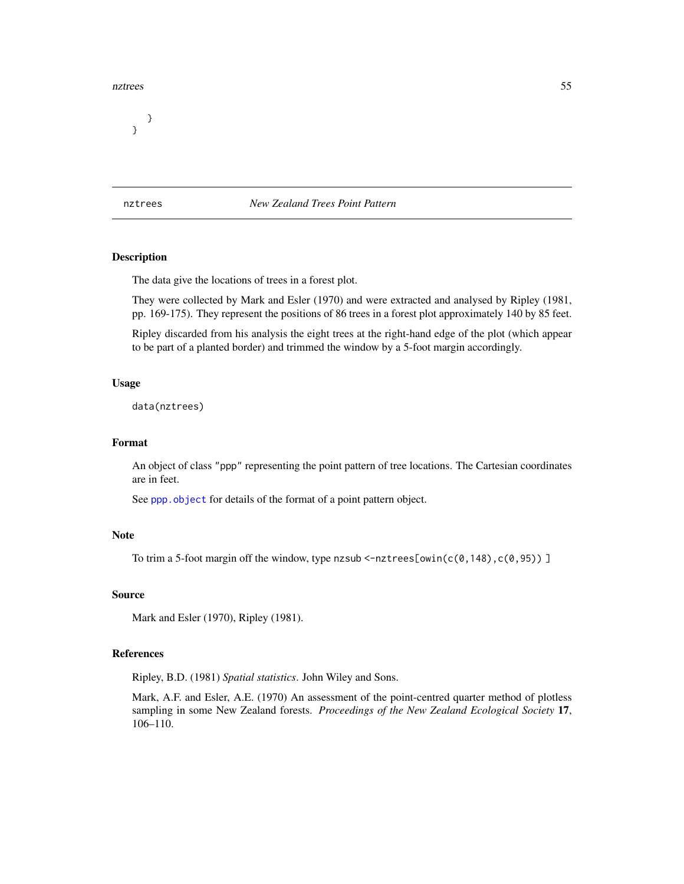#### nztrees 55

} }

nztrees *New Zealand Trees Point Pattern*

# Description

The data give the locations of trees in a forest plot.

They were collected by Mark and Esler (1970) and were extracted and analysed by Ripley (1981, pp. 169-175). They represent the positions of 86 trees in a forest plot approximately 140 by 85 feet.

Ripley discarded from his analysis the eight trees at the right-hand edge of the plot (which appear to be part of a planted border) and trimmed the window by a 5-foot margin accordingly.

### Usage

data(nztrees)

# Format

An object of class "ppp" representing the point pattern of tree locations. The Cartesian coordinates are in feet.

See [ppp.object](#page-0-0) for details of the format of a point pattern object.

### Note

To trim a 5-foot margin off the window, type nzsub <-nztrees[owin( $c(0,148)$ , $c(0,95)$ )]

### Source

Mark and Esler (1970), Ripley (1981).

# References

Ripley, B.D. (1981) *Spatial statistics*. John Wiley and Sons.

Mark, A.F. and Esler, A.E. (1970) An assessment of the point-centred quarter method of plotless sampling in some New Zealand forests. *Proceedings of the New Zealand Ecological Society* 17, 106–110.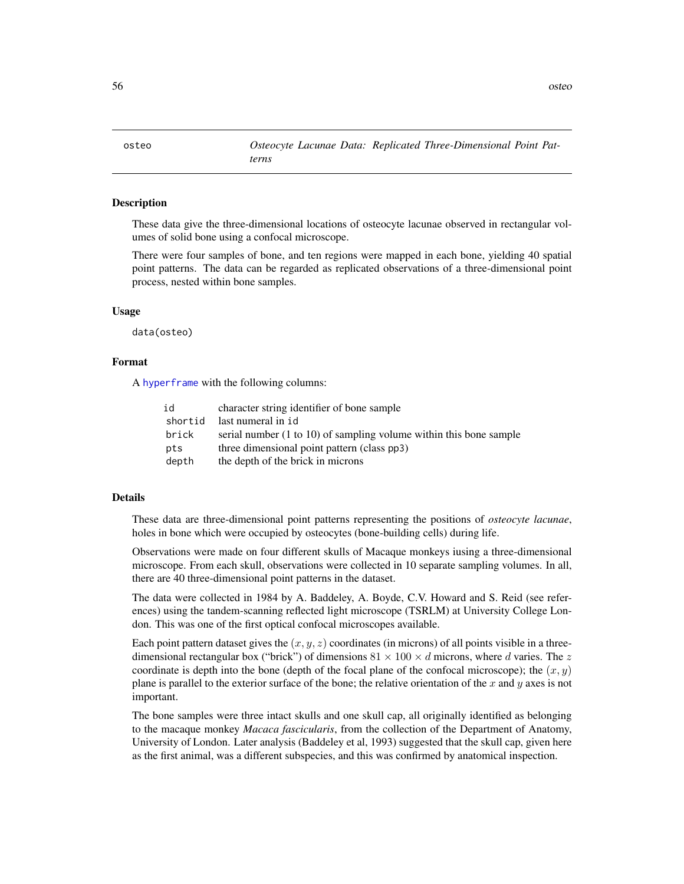osteo *Osteocyte Lacunae Data: Replicated Three-Dimensional Point Patterns*

# Description

These data give the three-dimensional locations of osteocyte lacunae observed in rectangular volumes of solid bone using a confocal microscope.

There were four samples of bone, and ten regions were mapped in each bone, yielding 40 spatial point patterns. The data can be regarded as replicated observations of a three-dimensional point process, nested within bone samples.

# Usage

data(osteo)

## Format

A [hyperframe](#page-0-0) with the following columns:

| id    | character string identifier of bone sample                         |
|-------|--------------------------------------------------------------------|
|       | shortid last numeral in id                                         |
| brick | serial number (1 to 10) of sampling volume within this bone sample |
| pts   | three dimensional point pattern (class pp3)                        |
| depth | the depth of the brick in microns                                  |

### Details

These data are three-dimensional point patterns representing the positions of *osteocyte lacunae*, holes in bone which were occupied by osteocytes (bone-building cells) during life.

Observations were made on four different skulls of Macaque monkeys iusing a three-dimensional microscope. From each skull, observations were collected in 10 separate sampling volumes. In all, there are 40 three-dimensional point patterns in the dataset.

The data were collected in 1984 by A. Baddeley, A. Boyde, C.V. Howard and S. Reid (see references) using the tandem-scanning reflected light microscope (TSRLM) at University College London. This was one of the first optical confocal microscopes available.

Each point pattern dataset gives the  $(x, y, z)$  coordinates (in microns) of all points visible in a threedimensional rectangular box ("brick") of dimensions  $81 \times 100 \times d$  microns, where d varies. The z coordinate is depth into the bone (depth of the focal plane of the confocal microscope); the  $(x, y)$ plane is parallel to the exterior surface of the bone; the relative orientation of the x and y axes is not important.

The bone samples were three intact skulls and one skull cap, all originally identified as belonging to the macaque monkey *Macaca fascicularis*, from the collection of the Department of Anatomy, University of London. Later analysis (Baddeley et al, 1993) suggested that the skull cap, given here as the first animal, was a different subspecies, and this was confirmed by anatomical inspection.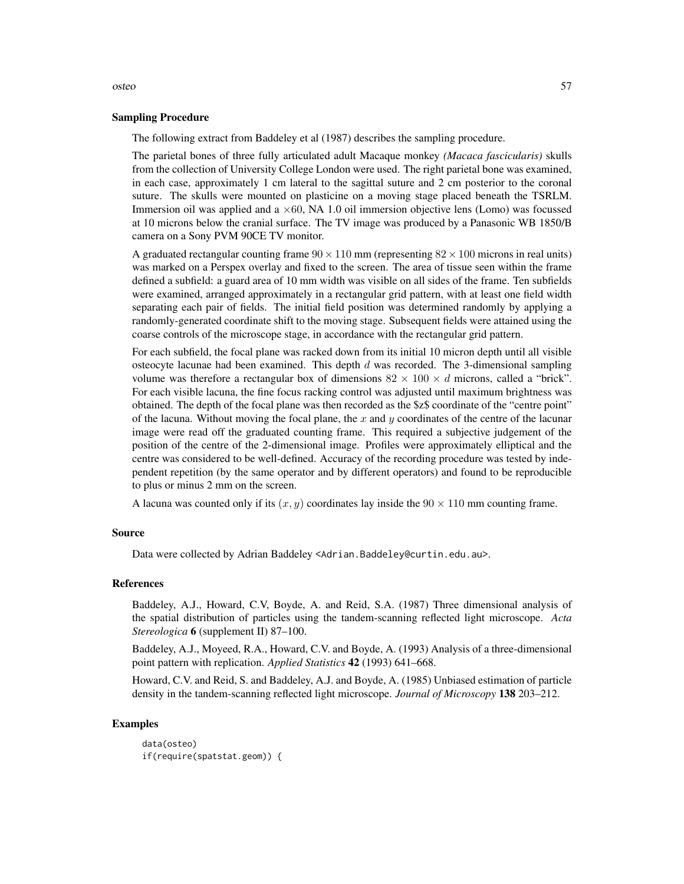#### Sampling Procedure

The following extract from Baddeley et al (1987) describes the sampling procedure.

The parietal bones of three fully articulated adult Macaque monkey *(Macaca fascicularis)* skulls from the collection of University College London were used. The right parietal bone was examined, in each case, approximately 1 cm lateral to the sagittal suture and 2 cm posterior to the coronal suture. The skulls were mounted on plasticine on a moving stage placed beneath the TSRLM. Immersion oil was applied and  $a \times 60$ , NA 1.0 oil immersion objective lens (Lomo) was focussed at 10 microns below the cranial surface. The TV image was produced by a Panasonic WB 1850/B camera on a Sony PVM 90CE TV monitor.

A graduated rectangular counting frame  $90 \times 110$  mm (representing  $82 \times 100$  microns in real units) was marked on a Perspex overlay and fixed to the screen. The area of tissue seen within the frame defined a subfield: a guard area of 10 mm width was visible on all sides of the frame. Ten subfields were examined, arranged approximately in a rectangular grid pattern, with at least one field width separating each pair of fields. The initial field position was determined randomly by applying a randomly-generated coordinate shift to the moving stage. Subsequent fields were attained using the coarse controls of the microscope stage, in accordance with the rectangular grid pattern.

For each subfield, the focal plane was racked down from its initial 10 micron depth until all visible osteocyte lacunae had been examined. This depth  $d$  was recorded. The 3-dimensional sampling volume was therefore a rectangular box of dimensions  $82 \times 100 \times d$  microns, called a "brick". For each visible lacuna, the fine focus racking control was adjusted until maximum brightness was obtained. The depth of the focal plane was then recorded as the \$z\$ coordinate of the "centre point" of the lacuna. Without moving the focal plane, the  $x$  and  $y$  coordinates of the centre of the lacunar image were read off the graduated counting frame. This required a subjective judgement of the position of the centre of the 2-dimensional image. Profiles were approximately elliptical and the centre was considered to be well-defined. Accuracy of the recording procedure was tested by independent repetition (by the same operator and by different operators) and found to be reproducible to plus or minus 2 mm on the screen.

A lacuna was counted only if its  $(x, y)$  coordinates lay inside the  $90 \times 110$  mm counting frame.

# Source

Data were collected by Adrian Baddeley <Adrian.Baddeley@curtin.edu.au>.

#### References

Baddeley, A.J., Howard, C.V, Boyde, A. and Reid, S.A. (1987) Three dimensional analysis of the spatial distribution of particles using the tandem-scanning reflected light microscope. *Acta Stereologica* 6 (supplement II) 87–100.

Baddeley, A.J., Moyeed, R.A., Howard, C.V. and Boyde, A. (1993) Analysis of a three-dimensional point pattern with replication. *Applied Statistics* 42 (1993) 641–668.

Howard, C.V. and Reid, S. and Baddeley, A.J. and Boyde, A. (1985) Unbiased estimation of particle density in the tandem-scanning reflected light microscope. *Journal of Microscopy* 138 203–212.

# Examples

data(osteo) if(require(spatstat.geom)) {

#### osteo 57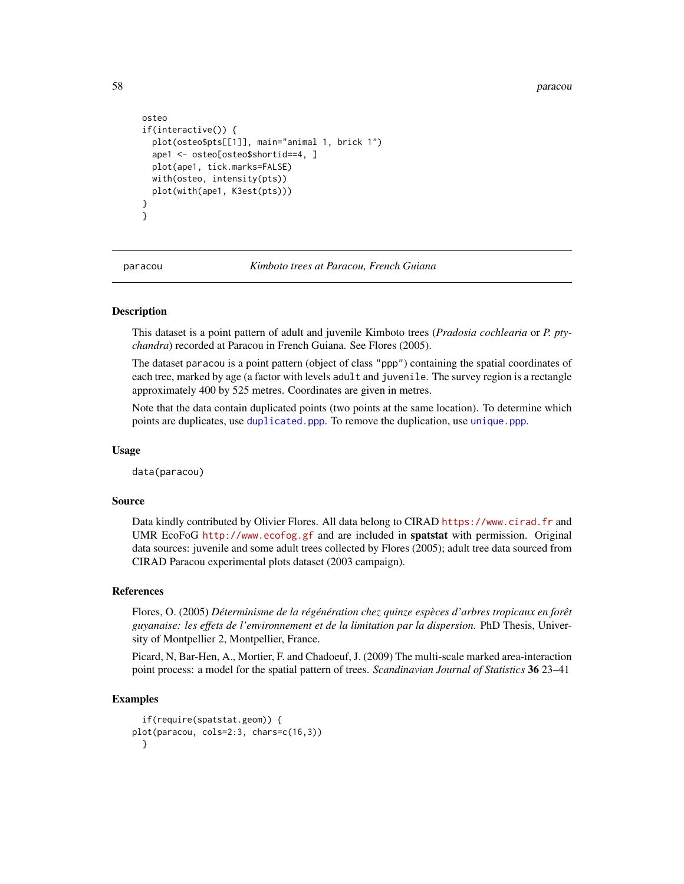58 paracount of the contract of the contract of the contract of the contract of the contract of the contract of the contract of the contract of the contract of the contract of the contract of the contract of the contract o

```
osteo
if(interactive()) {
  plot(osteo$pts[[1]], main="animal 1, brick 1")
  ape1 <- osteo[osteo$shortid==4, ]
  plot(ape1, tick.marks=FALSE)
  with(osteo, intensity(pts))
  plot(with(ape1, K3est(pts)))
}
}
```
paracou *Kimboto trees at Paracou, French Guiana*

### Description

This dataset is a point pattern of adult and juvenile Kimboto trees (*Pradosia cochlearia* or *P. ptychandra*) recorded at Paracou in French Guiana. See Flores (2005).

The dataset paracou is a point pattern (object of class "ppp") containing the spatial coordinates of each tree, marked by age (a factor with levels adult and juvenile. The survey region is a rectangle approximately 400 by 525 metres. Coordinates are given in metres.

Note that the data contain duplicated points (two points at the same location). To determine which points are duplicates, use [duplicated.ppp](#page-0-0). To remove the duplication, use [unique.ppp](#page-0-0).

#### Usage

data(paracou)

# Source

Data kindly contributed by Olivier Flores. All data belong to CIRAD <https://www.cirad.fr> and UMR EcoFoG <http://www.ecofog.gf> and are included in spatstat with permission. Original data sources: juvenile and some adult trees collected by Flores (2005); adult tree data sourced from CIRAD Paracou experimental plots dataset (2003 campaign).

#### References

Flores, O. (2005) *Déterminisme de la régénération chez quinze espèces d'arbres tropicaux en forêt guyanaise: les effets de l'environnement et de la limitation par la dispersion.* PhD Thesis, University of Montpellier 2, Montpellier, France.

Picard, N, Bar-Hen, A., Mortier, F. and Chadoeuf, J. (2009) The multi-scale marked area-interaction point process: a model for the spatial pattern of trees. *Scandinavian Journal of Statistics* 36 23–41

# Examples

```
if(require(spatstat.geom)) {
plot(paracou, cols=2:3, chars=c(16,3))
 }
```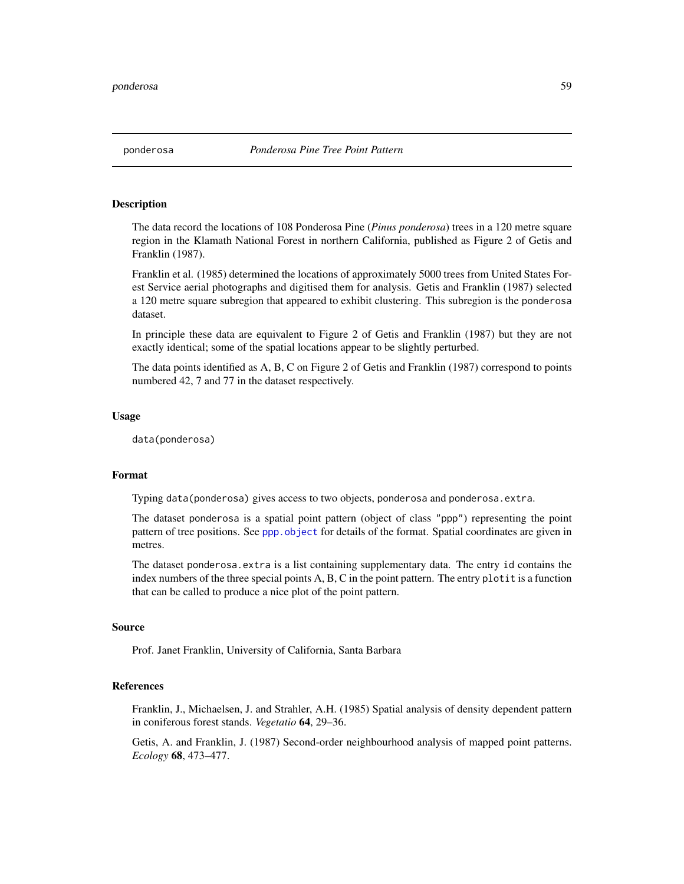# **Description**

The data record the locations of 108 Ponderosa Pine (*Pinus ponderosa*) trees in a 120 metre square region in the Klamath National Forest in northern California, published as Figure 2 of Getis and Franklin (1987).

Franklin et al. (1985) determined the locations of approximately 5000 trees from United States Forest Service aerial photographs and digitised them for analysis. Getis and Franklin (1987) selected a 120 metre square subregion that appeared to exhibit clustering. This subregion is the ponderosa dataset.

In principle these data are equivalent to Figure 2 of Getis and Franklin (1987) but they are not exactly identical; some of the spatial locations appear to be slightly perturbed.

The data points identified as A, B, C on Figure 2 of Getis and Franklin (1987) correspond to points numbered 42, 7 and 77 in the dataset respectively.

### Usage

data(ponderosa)

# Format

Typing data(ponderosa) gives access to two objects, ponderosa and ponderosa.extra.

The dataset ponderosa is a spatial point pattern (object of class "ppp") representing the point pattern of tree positions. See [ppp.object](#page-0-0) for details of the format. Spatial coordinates are given in metres.

The dataset ponderosa.extra is a list containing supplementary data. The entry id contains the index numbers of the three special points A, B, C in the point pattern. The entry plotit is a function that can be called to produce a nice plot of the point pattern.

#### Source

Prof. Janet Franklin, University of California, Santa Barbara

# References

Franklin, J., Michaelsen, J. and Strahler, A.H. (1985) Spatial analysis of density dependent pattern in coniferous forest stands. *Vegetatio* 64, 29–36.

Getis, A. and Franklin, J. (1987) Second-order neighbourhood analysis of mapped point patterns. *Ecology* 68, 473–477.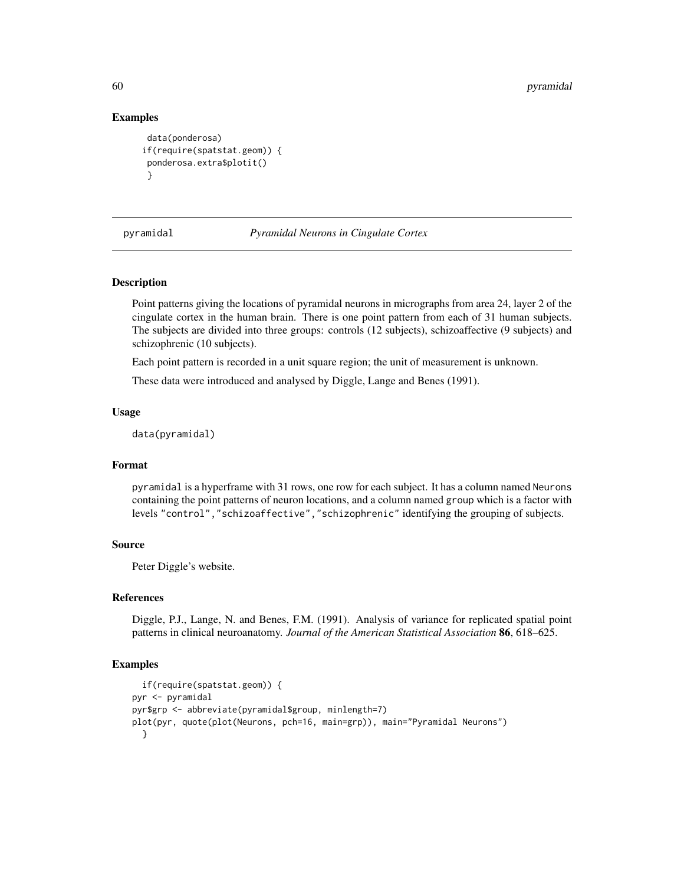# Examples

```
data(ponderosa)
if(require(spatstat.geom)) {
 ponderosa.extra$plotit()
 }
```
pyramidal *Pyramidal Neurons in Cingulate Cortex*

# Description

Point patterns giving the locations of pyramidal neurons in micrographs from area 24, layer 2 of the cingulate cortex in the human brain. There is one point pattern from each of 31 human subjects. The subjects are divided into three groups: controls (12 subjects), schizoaffective (9 subjects) and schizophrenic (10 subjects).

Each point pattern is recorded in a unit square region; the unit of measurement is unknown.

These data were introduced and analysed by Diggle, Lange and Benes (1991).

# Usage

```
data(pyramidal)
```
# Format

pyramidal is a hyperframe with 31 rows, one row for each subject. It has a column named Neurons containing the point patterns of neuron locations, and a column named group which is a factor with levels "control","schizoaffective","schizophrenic" identifying the grouping of subjects.

# Source

Peter Diggle's website.

#### References

Diggle, P.J., Lange, N. and Benes, F.M. (1991). Analysis of variance for replicated spatial point patterns in clinical neuroanatomy. *Journal of the American Statistical Association* 86, 618–625.

# **Examples**

```
if(require(spatstat.geom)) {
pyr <- pyramidal
pyr$grp <- abbreviate(pyramidal$group, minlength=7)
plot(pyr, quote(plot(Neurons, pch=16, main=grp)), main="Pyramidal Neurons")
 }
```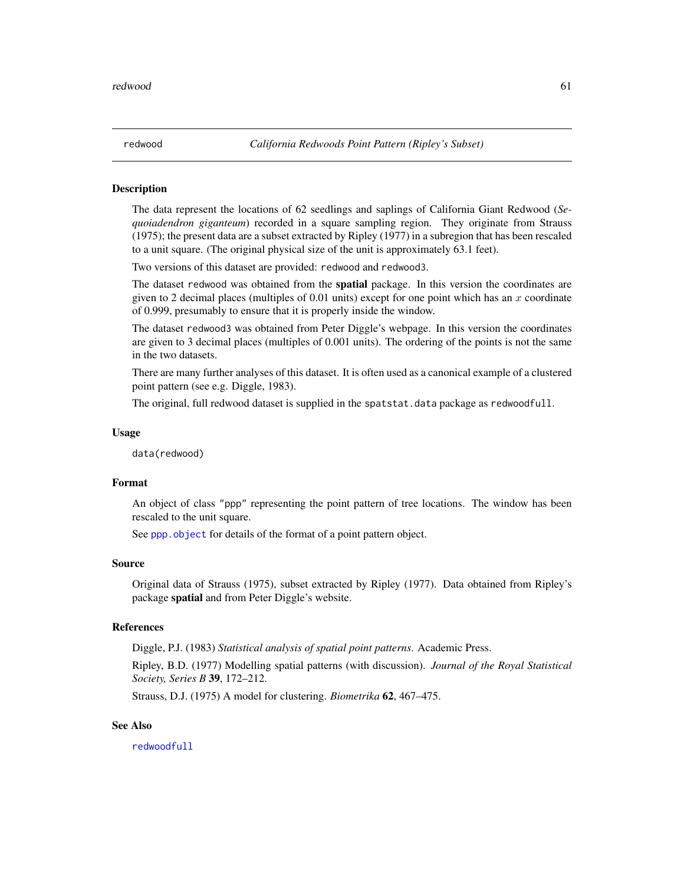<span id="page-60-0"></span>

### Description

The data represent the locations of 62 seedlings and saplings of California Giant Redwood (*Sequoiadendron giganteum*) recorded in a square sampling region. They originate from Strauss (1975); the present data are a subset extracted by Ripley (1977) in a subregion that has been rescaled to a unit square. (The original physical size of the unit is approximately 63.1 feet).

Two versions of this dataset are provided: redwood and redwood3.

The dataset redwood was obtained from the **spatial** package. In this version the coordinates are given to 2 decimal places (multiples of 0.01 units) except for one point which has an  $x$  coordinate of 0.999, presumably to ensure that it is properly inside the window.

The dataset redwood3 was obtained from Peter Diggle's webpage. In this version the coordinates are given to 3 decimal places (multiples of 0.001 units). The ordering of the points is not the same in the two datasets.

There are many further analyses of this dataset. It is often used as a canonical example of a clustered point pattern (see e.g. Diggle, 1983).

The original, full redwood dataset is supplied in the spatstat.data package as redwoodfull.

#### Usage

data(redwood)

#### Format

An object of class "ppp" representing the point pattern of tree locations. The window has been rescaled to the unit square.

See ppp. object for details of the format of a point pattern object.

#### Source

Original data of Strauss (1975), subset extracted by Ripley (1977). Data obtained from Ripley's package spatial and from Peter Diggle's website.

# References

Diggle, P.J. (1983) *Statistical analysis of spatial point patterns*. Academic Press.

Ripley, B.D. (1977) Modelling spatial patterns (with discussion). *Journal of the Royal Statistical Society, Series B* 39, 172–212.

Strauss, D.J. (1975) A model for clustering. *Biometrika* 62, 467–475.

# See Also

[redwoodfull](#page-61-0)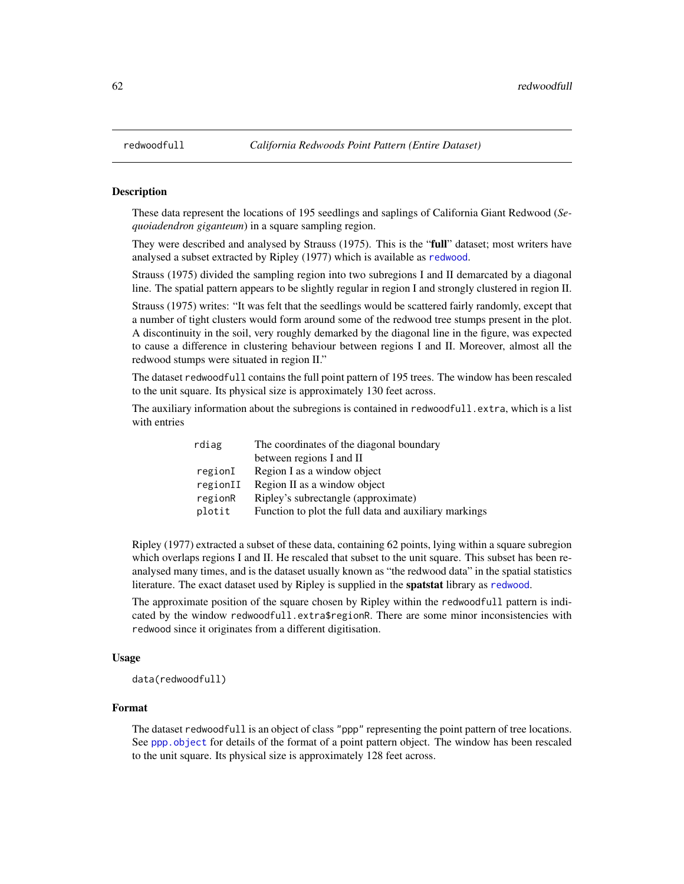#### Description

These data represent the locations of 195 seedlings and saplings of California Giant Redwood (*Sequoiadendron giganteum*) in a square sampling region.

They were described and analysed by Strauss (1975). This is the "full" dataset; most writers have analysed a subset extracted by Ripley (1977) which is available as [redwood](#page-60-0).

Strauss (1975) divided the sampling region into two subregions I and II demarcated by a diagonal line. The spatial pattern appears to be slightly regular in region I and strongly clustered in region II.

Strauss (1975) writes: "It was felt that the seedlings would be scattered fairly randomly, except that a number of tight clusters would form around some of the redwood tree stumps present in the plot. A discontinuity in the soil, very roughly demarked by the diagonal line in the figure, was expected to cause a difference in clustering behaviour between regions I and II. Moreover, almost all the redwood stumps were situated in region II."

The dataset redwoodfull contains the full point pattern of 195 trees. The window has been rescaled to the unit square. Its physical size is approximately 130 feet across.

The auxiliary information about the subregions is contained in redwoodfull.extra, which is a list with entries

| rdiag    | The coordinates of the diagonal boundary              |
|----------|-------------------------------------------------------|
|          | between regions I and II                              |
| regionI  | Region I as a window object                           |
| regionII | Region II as a window object                          |
| regionR  | Ripley's subrectangle (approximate)                   |
| plotit   | Function to plot the full data and auxiliary markings |

Ripley (1977) extracted a subset of these data, containing 62 points, lying within a square subregion which overlaps regions I and II. He rescaled that subset to the unit square. This subset has been reanalysed many times, and is the dataset usually known as "the redwood data" in the spatial statistics literature. The exact dataset used by Ripley is supplied in the spatstat library as [redwood](#page-60-0).

The approximate position of the square chosen by Ripley within the redwoodfull pattern is indicated by the window redwoodfull.extra\$regionR. There are some minor inconsistencies with redwood since it originates from a different digitisation.

### Usage

data(redwoodfull)

### Format

The dataset redwoodfull is an object of class "ppp" representing the point pattern of tree locations. See [ppp.object](#page-0-0) for details of the format of a point pattern object. The window has been rescaled to the unit square. Its physical size is approximately 128 feet across.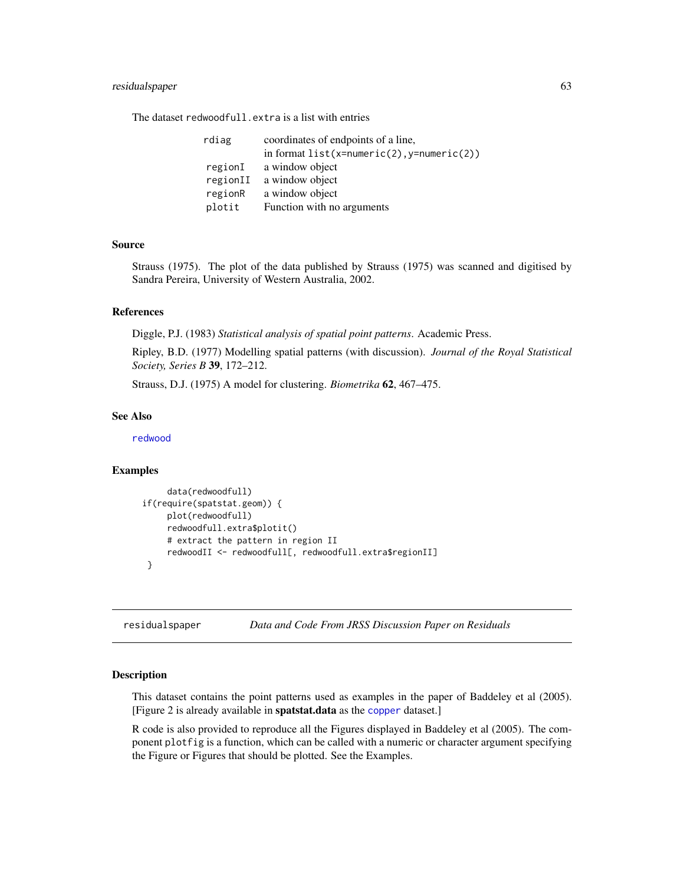# residualspaper 63

The dataset redwoodfull.extra is a list with entries

| rdiag    | coordinates of endpoints of a line,          |
|----------|----------------------------------------------|
|          | in format $list(x=numeric(2), y=numeric(2))$ |
| regionI  | a window object                              |
| regionII | a window object                              |
| regionR  | a window object                              |
| plotit   | Function with no arguments                   |

# Source

Strauss (1975). The plot of the data published by Strauss (1975) was scanned and digitised by Sandra Pereira, University of Western Australia, 2002.

### References

Diggle, P.J. (1983) *Statistical analysis of spatial point patterns*. Academic Press.

Ripley, B.D. (1977) Modelling spatial patterns (with discussion). *Journal of the Royal Statistical Society, Series B* 39, 172–212.

Strauss, D.J. (1975) A model for clustering. *Biometrika* 62, 467–475.

# See Also

[redwood](#page-60-0)

#### Examples

```
data(redwoodfull)
if(require(spatstat.geom)) {
     plot(redwoodfull)
     redwoodfull.extra$plotit()
     # extract the pattern in region II
     redwoodII <- redwoodfull[, redwoodfull.extra$regionII]
 }
```
residualspaper *Data and Code From JRSS Discussion Paper on Residuals*

# **Description**

This dataset contains the point patterns used as examples in the paper of Baddeley et al (2005). [Figure 2 is already available in spatstat.data as the [copper](#page-25-0) dataset.]

R code is also provided to reproduce all the Figures displayed in Baddeley et al (2005). The component plotfig is a function, which can be called with a numeric or character argument specifying the Figure or Figures that should be plotted. See the Examples.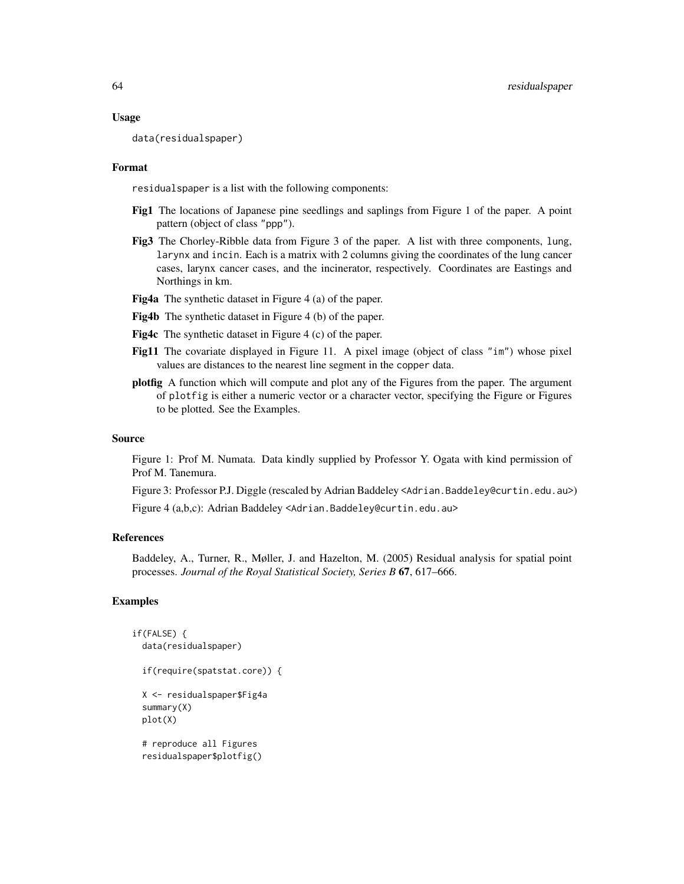#### Usage

data(residualspaper)

### Format

residualspaper is a list with the following components:

- Fig1 The locations of Japanese pine seedlings and saplings from Figure 1 of the paper. A point pattern (object of class "ppp").
- Fig3 The Chorley-Ribble data from Figure 3 of the paper. A list with three components, lung, larynx and incin. Each is a matrix with 2 columns giving the coordinates of the lung cancer cases, larynx cancer cases, and the incinerator, respectively. Coordinates are Eastings and Northings in km.
- Fig4a The synthetic dataset in Figure 4 (a) of the paper.
- Fig4b The synthetic dataset in Figure 4 (b) of the paper.
- Fig4c The synthetic dataset in Figure 4 (c) of the paper.
- Fig11 The covariate displayed in Figure 11. A pixel image (object of class "im") whose pixel values are distances to the nearest line segment in the copper data.
- plotfig A function which will compute and plot any of the Figures from the paper. The argument of plotfig is either a numeric vector or a character vector, specifying the Figure or Figures to be plotted. See the Examples.

#### Source

Figure 1: Prof M. Numata. Data kindly supplied by Professor Y. Ogata with kind permission of Prof M. Tanemura.

Figure 3: Professor P.J. Diggle (rescaled by Adrian Baddeley <Adrian.Baddeley@curtin.edu.au>)

Figure 4 (a,b,c): Adrian Baddeley <Adrian.Baddeley@curtin.edu.au>

# References

Baddeley, A., Turner, R., Møller, J. and Hazelton, M. (2005) Residual analysis for spatial point processes. *Journal of the Royal Statistical Society, Series B* 67, 617–666.

# Examples

```
if(FALSE) {
 data(residualspaper)
 if(require(spatstat.core)) {
 X <- residualspaper$Fig4a
 summary(X)
 plot(X)
 # reproduce all Figures
 residualspaper$plotfig()
```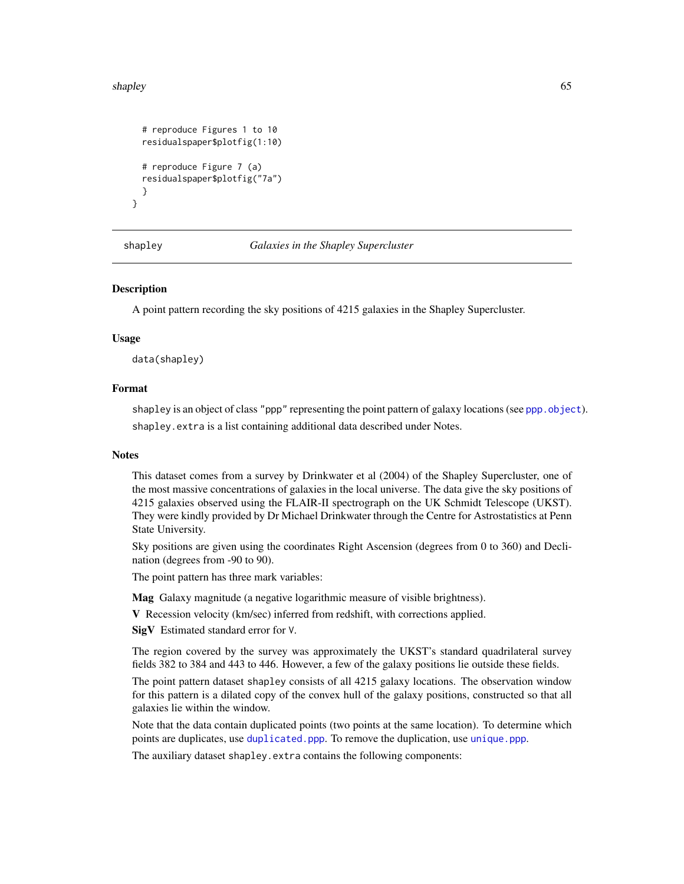#### shapley 65

```
# reproduce Figures 1 to 10
residualspaper$plotfig(1:10)
# reproduce Figure 7 (a)
residualspaper$plotfig("7a")
}
```
}

shapley *Galaxies in the Shapley Supercluster*

# **Description**

A point pattern recording the sky positions of 4215 galaxies in the Shapley Supercluster.

### Usage

data(shapley)

# Format

shapley is an object of class "ppp" representing the point pattern of galaxy locations (see [ppp.object](#page-0-0)). shapley.extra is a list containing additional data described under Notes.

# **Notes**

This dataset comes from a survey by Drinkwater et al (2004) of the Shapley Supercluster, one of the most massive concentrations of galaxies in the local universe. The data give the sky positions of 4215 galaxies observed using the FLAIR-II spectrograph on the UK Schmidt Telescope (UKST). They were kindly provided by Dr Michael Drinkwater through the Centre for Astrostatistics at Penn State University.

Sky positions are given using the coordinates Right Ascension (degrees from 0 to 360) and Declination (degrees from -90 to 90).

The point pattern has three mark variables:

Mag Galaxy magnitude (a negative logarithmic measure of visible brightness).

V Recession velocity (km/sec) inferred from redshift, with corrections applied.

SigV Estimated standard error for V.

The region covered by the survey was approximately the UKST's standard quadrilateral survey fields 382 to 384 and 443 to 446. However, a few of the galaxy positions lie outside these fields.

The point pattern dataset shapley consists of all 4215 galaxy locations. The observation window for this pattern is a dilated copy of the convex hull of the galaxy positions, constructed so that all galaxies lie within the window.

Note that the data contain duplicated points (two points at the same location). To determine which points are duplicates, use [duplicated.ppp](#page-0-0). To remove the duplication, use [unique.ppp](#page-0-0).

The auxiliary dataset shapley.extra contains the following components: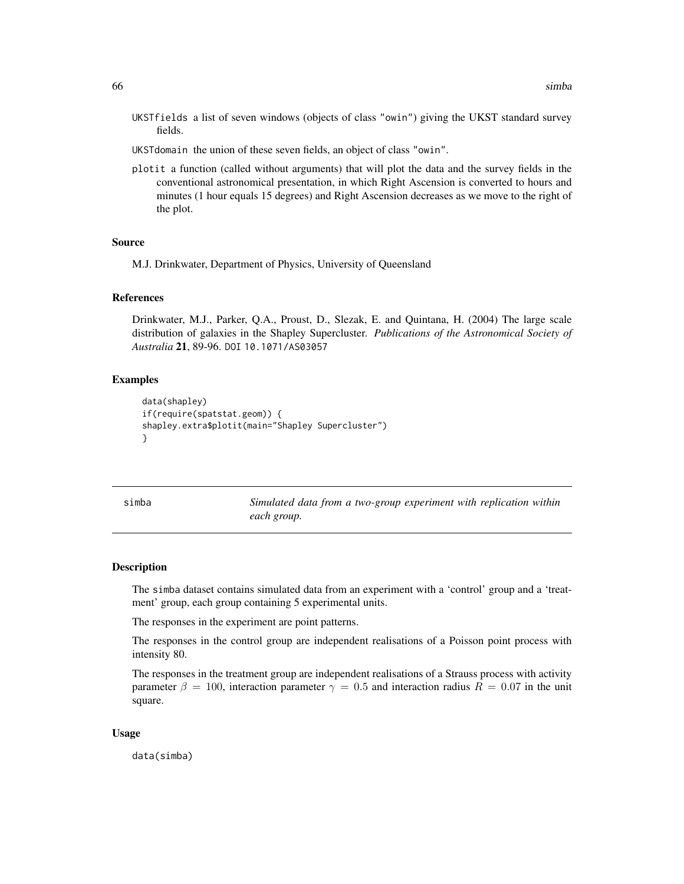- UKSTfields a list of seven windows (objects of class "owin") giving the UKST standard survey fields.
- UKSTdomain the union of these seven fields, an object of class "owin".
- plotit a function (called without arguments) that will plot the data and the survey fields in the conventional astronomical presentation, in which Right Ascension is converted to hours and minutes (1 hour equals 15 degrees) and Right Ascension decreases as we move to the right of the plot.

# Source

M.J. Drinkwater, Department of Physics, University of Queensland

### References

Drinkwater, M.J., Parker, Q.A., Proust, D., Slezak, E. and Quintana, H. (2004) The large scale distribution of galaxies in the Shapley Supercluster. *Publications of the Astronomical Society of Australia* 21, 89-96. DOI 10.1071/AS03057

### Examples

```
data(shapley)
if(require(spatstat.geom)) {
shapley.extra$plotit(main="Shapley Supercluster")
}
```
simba *Simulated data from a two-group experiment with replication within each group.*

#### Description

The simba dataset contains simulated data from an experiment with a 'control' group and a 'treatment' group, each group containing 5 experimental units.

The responses in the experiment are point patterns.

The responses in the control group are independent realisations of a Poisson point process with intensity 80.

The responses in the treatment group are independent realisations of a Strauss process with activity parameter  $\beta = 100$ , interaction parameter  $\gamma = 0.5$  and interaction radius  $R = 0.07$  in the unit square.

#### Usage

data(simba)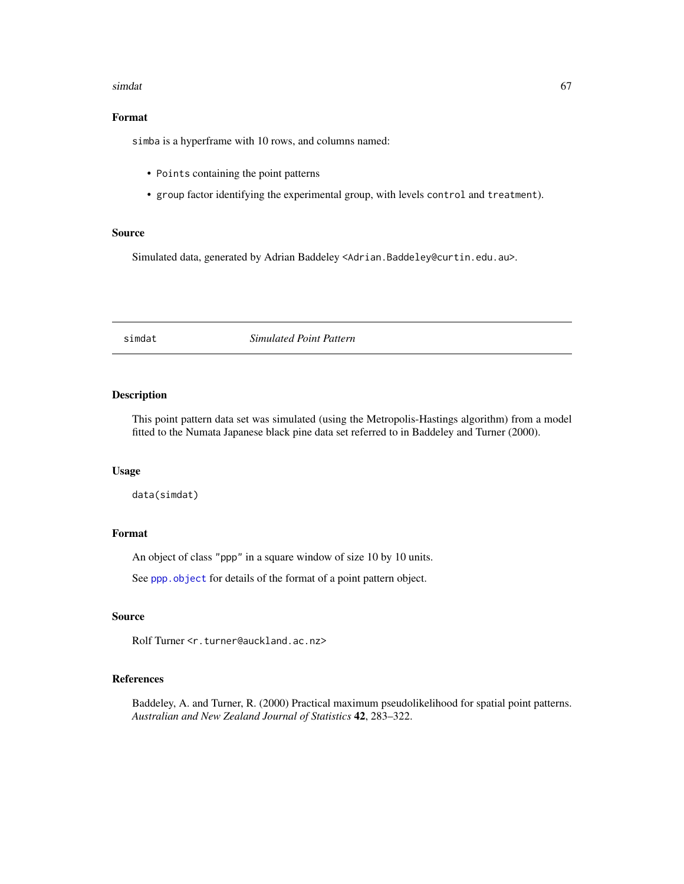#### simdat 67

# Format

simba is a hyperframe with 10 rows, and columns named:

- Points containing the point patterns
- group factor identifying the experimental group, with levels control and treatment).

# Source

Simulated data, generated by Adrian Baddeley <Adrian.Baddeley@curtin.edu.au>.

simdat *Simulated Point Pattern*

# Description

This point pattern data set was simulated (using the Metropolis-Hastings algorithm) from a model fitted to the Numata Japanese black pine data set referred to in Baddeley and Turner (2000).

# Usage

data(simdat)

# Format

An object of class "ppp" in a square window of size 10 by 10 units.

See [ppp.object](#page-0-0) for details of the format of a point pattern object.

# Source

Rolf Turner <r.turner@auckland.ac.nz>

# References

Baddeley, A. and Turner, R. (2000) Practical maximum pseudolikelihood for spatial point patterns. *Australian and New Zealand Journal of Statistics* 42, 283–322.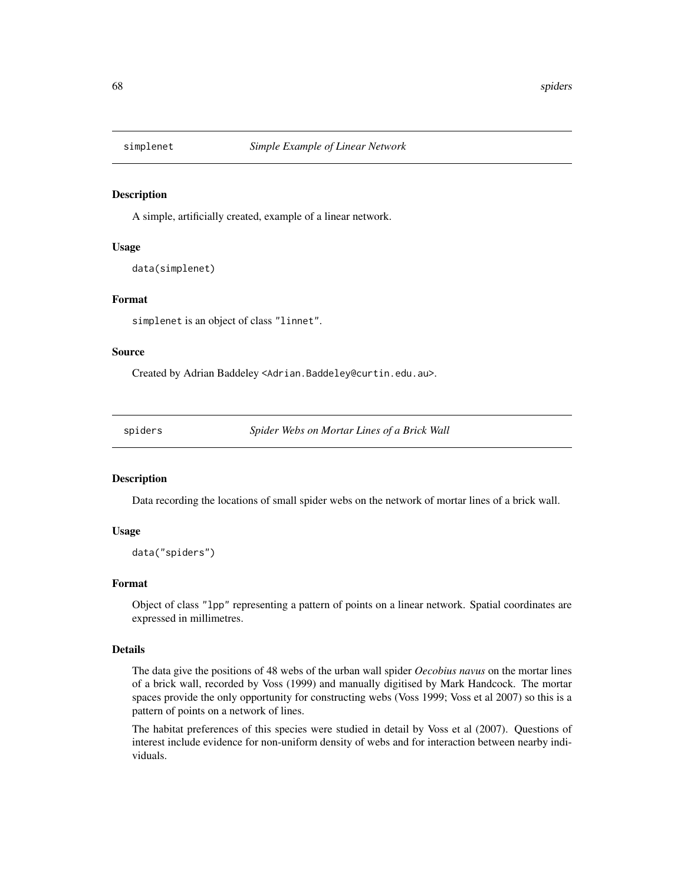# Description

A simple, artificially created, example of a linear network.

### Usage

data(simplenet)

#### Format

simplenet is an object of class "linnet".

### Source

Created by Adrian Baddeley <Adrian.Baddeley@curtin.edu.au>.

spiders *Spider Webs on Mortar Lines of a Brick Wall*

# Description

Data recording the locations of small spider webs on the network of mortar lines of a brick wall.

# Usage

data("spiders")

# Format

Object of class "lpp" representing a pattern of points on a linear network. Spatial coordinates are expressed in millimetres.

#### Details

The data give the positions of 48 webs of the urban wall spider *Oecobius navus* on the mortar lines of a brick wall, recorded by Voss (1999) and manually digitised by Mark Handcock. The mortar spaces provide the only opportunity for constructing webs (Voss 1999; Voss et al 2007) so this is a pattern of points on a network of lines.

The habitat preferences of this species were studied in detail by Voss et al (2007). Questions of interest include evidence for non-uniform density of webs and for interaction between nearby individuals.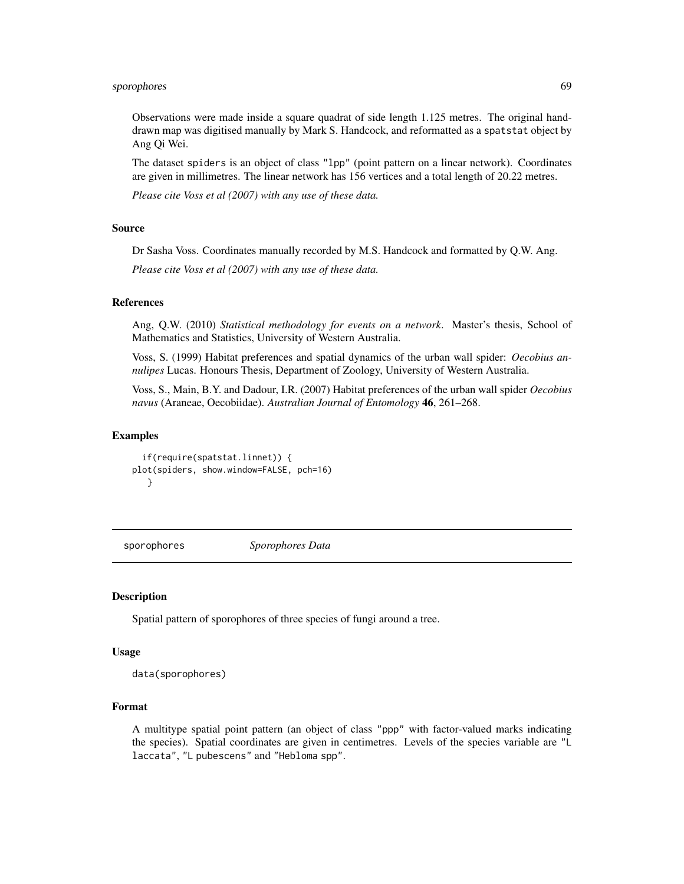# sporophores 69

Observations were made inside a square quadrat of side length 1.125 metres. The original handdrawn map was digitised manually by Mark S. Handcock, and reformatted as a spatstat object by Ang Qi Wei.

The dataset spiders is an object of class "lpp" (point pattern on a linear network). Coordinates are given in millimetres. The linear network has 156 vertices and a total length of 20.22 metres.

*Please cite Voss et al (2007) with any use of these data.*

# Source

Dr Sasha Voss. Coordinates manually recorded by M.S. Handcock and formatted by Q.W. Ang.

*Please cite Voss et al (2007) with any use of these data.*

# References

Ang, Q.W. (2010) *Statistical methodology for events on a network*. Master's thesis, School of Mathematics and Statistics, University of Western Australia.

Voss, S. (1999) Habitat preferences and spatial dynamics of the urban wall spider: *Oecobius annulipes* Lucas. Honours Thesis, Department of Zoology, University of Western Australia.

Voss, S., Main, B.Y. and Dadour, I.R. (2007) Habitat preferences of the urban wall spider *Oecobius navus* (Araneae, Oecobiidae). *Australian Journal of Entomology* 46, 261–268.

### Examples

```
if(require(spatstat.linnet)) {
plot(spiders, show.window=FALSE, pch=16)
  }
```
sporophores *Sporophores Data*

# **Description**

Spatial pattern of sporophores of three species of fungi around a tree.

#### Usage

data(sporophores)

#### Format

A multitype spatial point pattern (an object of class "ppp" with factor-valued marks indicating the species). Spatial coordinates are given in centimetres. Levels of the species variable are "L laccata", "L pubescens" and "Hebloma spp".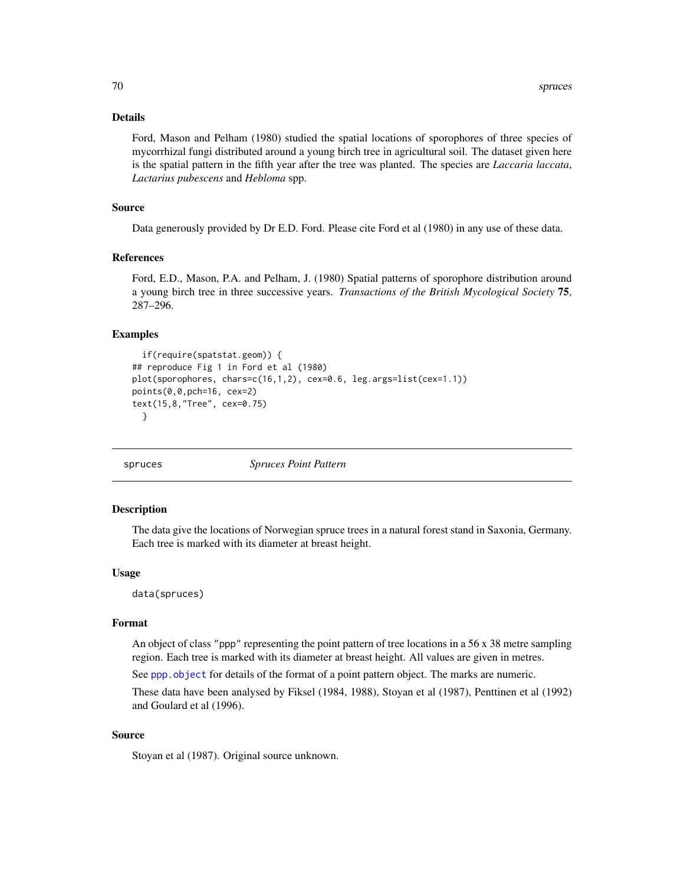## Details

Ford, Mason and Pelham (1980) studied the spatial locations of sporophores of three species of mycorrhizal fungi distributed around a young birch tree in agricultural soil. The dataset given here is the spatial pattern in the fifth year after the tree was planted. The species are *Laccaria laccata*, *Lactarius pubescens* and *Hebloma* spp.

# Source

Data generously provided by Dr E.D. Ford. Please cite Ford et al (1980) in any use of these data.

# References

Ford, E.D., Mason, P.A. and Pelham, J. (1980) Spatial patterns of sporophore distribution around a young birch tree in three successive years. *Transactions of the British Mycological Society* 75, 287–296.

# Examples

```
if(require(spatstat.geom)) {
## reproduce Fig 1 in Ford et al (1980)
plot(sporophores, chars=c(16,1,2), cex=0.6, leg.args=list(cex=1.1))
points(0,0,pch=16, cex=2)
text(15,8,"Tree", cex=0.75)
 }
```
spruces *Spruces Point Pattern*

### Description

The data give the locations of Norwegian spruce trees in a natural forest stand in Saxonia, Germany. Each tree is marked with its diameter at breast height.

# Usage

data(spruces)

#### Format

An object of class "ppp" representing the point pattern of tree locations in a 56  $\times$  38 metre sampling region. Each tree is marked with its diameter at breast height. All values are given in metres.

See [ppp.object](#page-0-0) for details of the format of a point pattern object. The marks are numeric.

These data have been analysed by Fiksel (1984, 1988), Stoyan et al (1987), Penttinen et al (1992) and Goulard et al (1996).

# Source

Stoyan et al (1987). Original source unknown.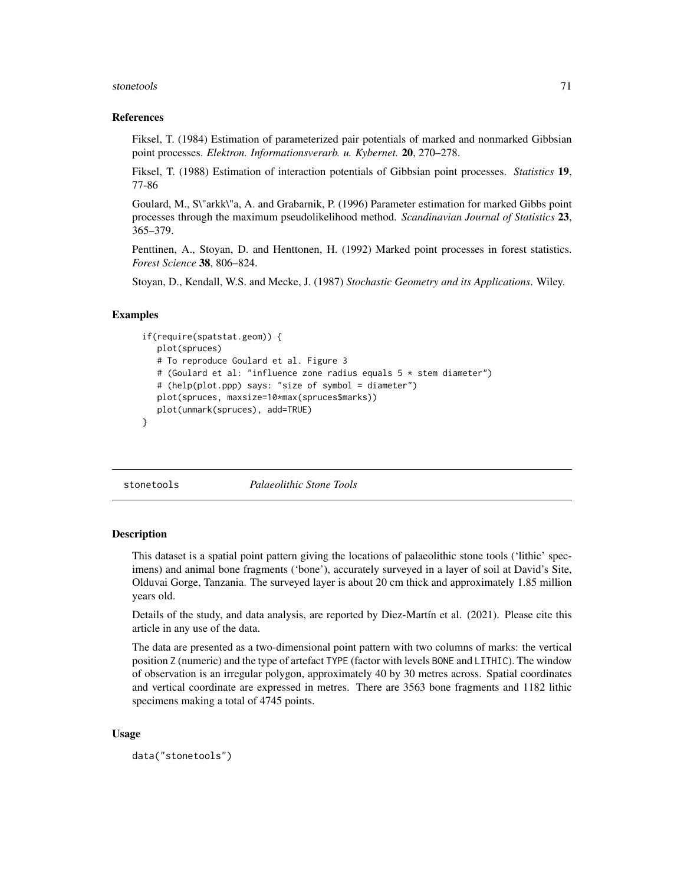#### stonetools and the state of the state of the state of the state of the state of the state of the state of the state of the state of the state of the state of the state of the state of the state of the state of the state of

#### References

Fiksel, T. (1984) Estimation of parameterized pair potentials of marked and nonmarked Gibbsian point processes. *Elektron. Informationsverarb. u. Kybernet.* 20, 270–278.

Fiksel, T. (1988) Estimation of interaction potentials of Gibbsian point processes. *Statistics* 19, 77-86

Goulard, M., S\"arkk\"a, A. and Grabarnik, P. (1996) Parameter estimation for marked Gibbs point processes through the maximum pseudolikelihood method. *Scandinavian Journal of Statistics* 23, 365–379.

Penttinen, A., Stoyan, D. and Henttonen, H. (1992) Marked point processes in forest statistics. *Forest Science* 38, 806–824.

Stoyan, D., Kendall, W.S. and Mecke, J. (1987) *Stochastic Geometry and its Applications*. Wiley.

#### Examples

```
if(require(spatstat.geom)) {
   plot(spruces)
   # To reproduce Goulard et al. Figure 3
   # (Goulard et al: "influence zone radius equals 5 * stem diameter")
   # (help(plot.ppp) says: "size of symbol = diameter")
   plot(spruces, maxsize=10*max(spruces$marks))
   plot(unmark(spruces), add=TRUE)
}
```
stonetools *Palaeolithic Stone Tools*

# **Description**

This dataset is a spatial point pattern giving the locations of palaeolithic stone tools ('lithic' specimens) and animal bone fragments ('bone'), accurately surveyed in a layer of soil at David's Site, Olduvai Gorge, Tanzania. The surveyed layer is about 20 cm thick and approximately 1.85 million years old.

Details of the study, and data analysis, are reported by Diez-Martín et al. (2021). Please cite this article in any use of the data.

The data are presented as a two-dimensional point pattern with two columns of marks: the vertical position Z (numeric) and the type of artefact TYPE (factor with levels BONE and LITHIC). The window of observation is an irregular polygon, approximately 40 by 30 metres across. Spatial coordinates and vertical coordinate are expressed in metres. There are 3563 bone fragments and 1182 lithic specimens making a total of 4745 points.

#### Usage

```
data("stonetools")
```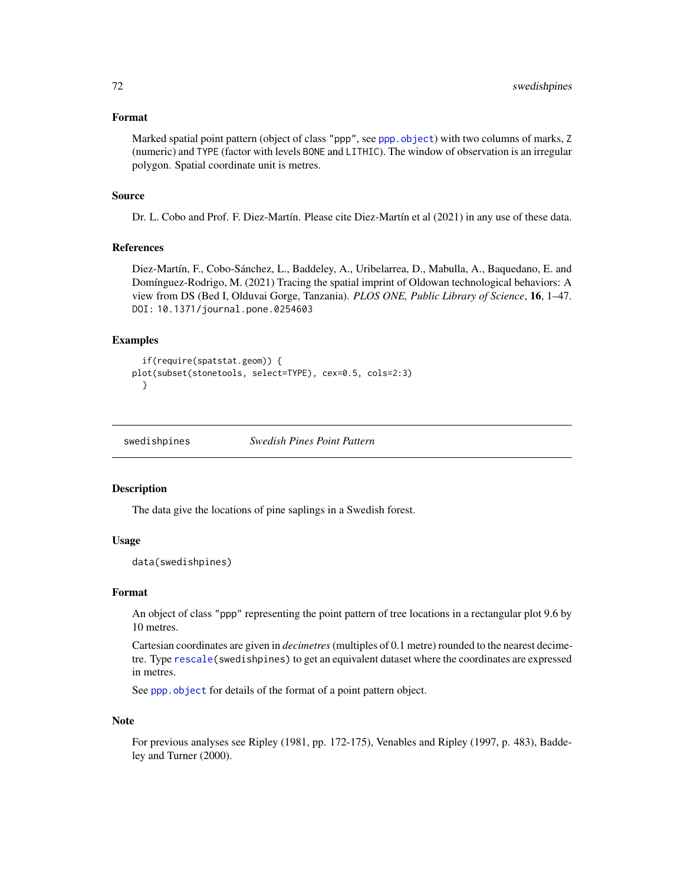### Format

Marked spatial point pattern (object of class "ppp", see [ppp.object](#page-0-0)) with two columns of marks, Z (numeric) and TYPE (factor with levels BONE and LITHIC). The window of observation is an irregular polygon. Spatial coordinate unit is metres.

# Source

Dr. L. Cobo and Prof. F. Diez-Martín. Please cite Diez-Martín et al (2021) in any use of these data.

# References

Diez-Martín, F., Cobo-Sánchez, L., Baddeley, A., Uribelarrea, D., Mabulla, A., Baquedano, E. and Domínguez-Rodrigo, M. (2021) Tracing the spatial imprint of Oldowan technological behaviors: A view from DS (Bed I, Olduvai Gorge, Tanzania). *PLOS ONE, Public Library of Science*, 16, 1–47. DOI: 10.1371/journal.pone.0254603

# Examples

```
if(require(spatstat.geom)) {
plot(subset(stonetools, select=TYPE), cex=0.5, cols=2:3)
 }
```
swedishpines *Swedish Pines Point Pattern*

# **Description**

The data give the locations of pine saplings in a Swedish forest.

# Usage

data(swedishpines)

### Format

An object of class "ppp" representing the point pattern of tree locations in a rectangular plot 9.6 by 10 metres.

Cartesian coordinates are given in *decimetres*(multiples of 0.1 metre) rounded to the nearest decimetre. Type [rescale\(](#page-0-0)swedishpines) to get an equivalent dataset where the coordinates are expressed in metres.

See [ppp.object](#page-0-0) for details of the format of a point pattern object.

#### Note

For previous analyses see Ripley (1981, pp. 172-175), Venables and Ripley (1997, p. 483), Baddeley and Turner (2000).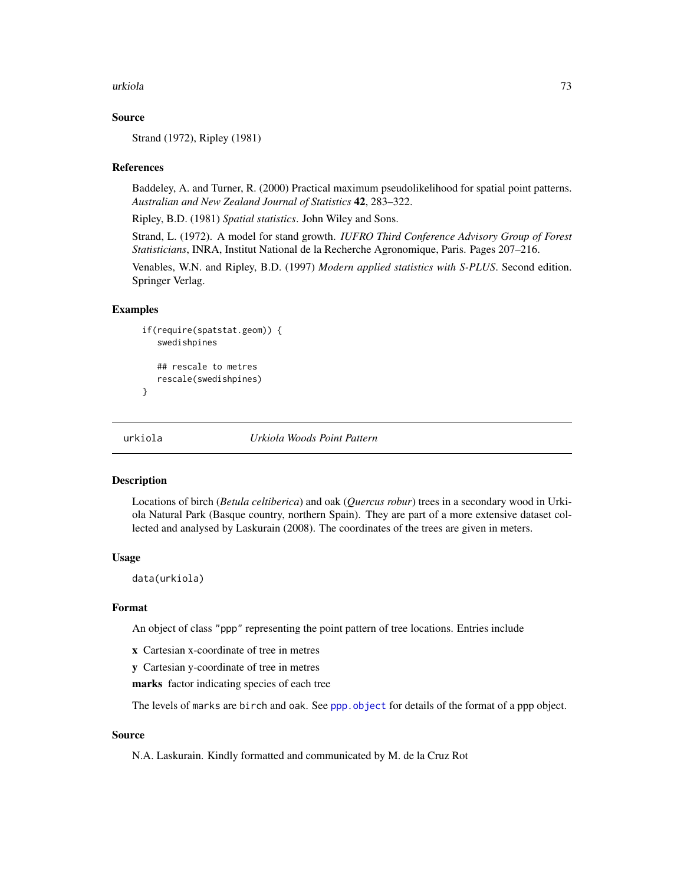#### <span id="page-72-0"></span>urkiola 73

## Source

Strand (1972), Ripley (1981)

## References

Baddeley, A. and Turner, R. (2000) Practical maximum pseudolikelihood for spatial point patterns. *Australian and New Zealand Journal of Statistics* 42, 283–322.

Ripley, B.D. (1981) *Spatial statistics*. John Wiley and Sons.

Strand, L. (1972). A model for stand growth. *IUFRO Third Conference Advisory Group of Forest Statisticians*, INRA, Institut National de la Recherche Agronomique, Paris. Pages 207–216.

Venables, W.N. and Ripley, B.D. (1997) *Modern applied statistics with S-PLUS*. Second edition. Springer Verlag.

#### Examples

```
if(require(spatstat.geom)) {
   swedishpines
   ## rescale to metres
   rescale(swedishpines)
}
```
urkiola *Urkiola Woods Point Pattern*

#### Description

Locations of birch (*Betula celtiberica*) and oak (*Quercus robur*) trees in a secondary wood in Urkiola Natural Park (Basque country, northern Spain). They are part of a more extensive dataset collected and analysed by Laskurain (2008). The coordinates of the trees are given in meters.

## Usage

data(urkiola)

# Format

An object of class "ppp" representing the point pattern of tree locations. Entries include

- x Cartesian x-coordinate of tree in metres
- y Cartesian y-coordinate of tree in metres

marks factor indicating species of each tree

The levels of marks are birch and oak. See [ppp.object](#page-0-0) for details of the format of a ppp object.

# Source

N.A. Laskurain. Kindly formatted and communicated by M. de la Cruz Rot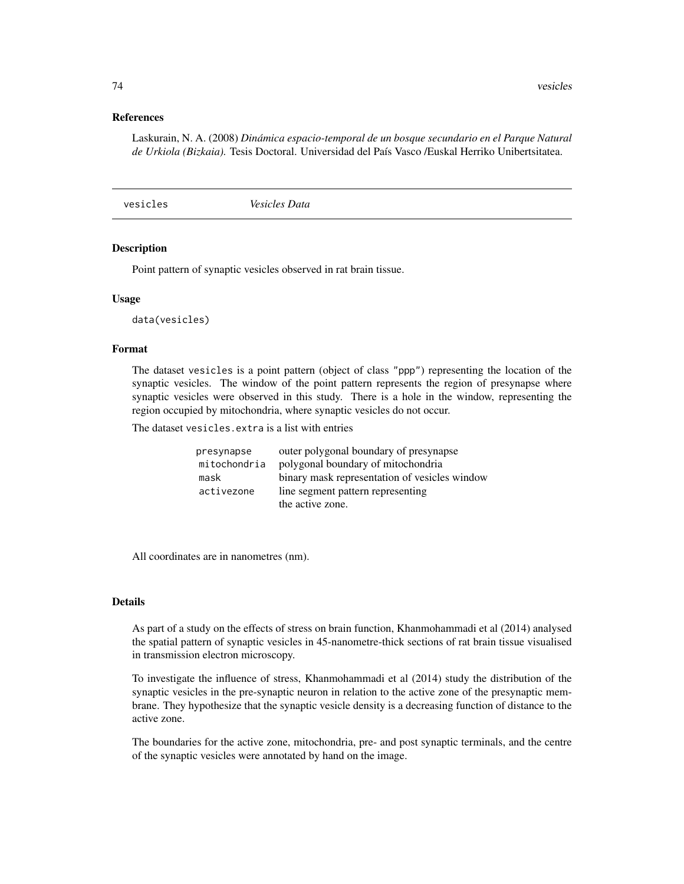#### <span id="page-73-0"></span>References

Laskurain, N. A. (2008) *Dinámica espacio-temporal de un bosque secundario en el Parque Natural de Urkiola (Bizkaia).* Tesis Doctoral. Universidad del País Vasco /Euskal Herriko Unibertsitatea.

vesicles *Vesicles Data*

## Description

Point pattern of synaptic vesicles observed in rat brain tissue.

#### Usage

data(vesicles)

# Format

The dataset vesicles is a point pattern (object of class "ppp") representing the location of the synaptic vesicles. The window of the point pattern represents the region of presynapse where synaptic vesicles were observed in this study. There is a hole in the window, representing the region occupied by mitochondria, where synaptic vesicles do not occur.

The dataset vesicles.extra is a list with entries

| presynapse   | outer polygonal boundary of presynapse        |
|--------------|-----------------------------------------------|
| mitochondria | polygonal boundary of mitochondria            |
| mask         | binary mask representation of vesicles window |
| activezone   | line segment pattern representing             |
|              | the active zone.                              |

All coordinates are in nanometres (nm).

# Details

As part of a study on the effects of stress on brain function, Khanmohammadi et al (2014) analysed the spatial pattern of synaptic vesicles in 45-nanometre-thick sections of rat brain tissue visualised in transmission electron microscopy.

To investigate the influence of stress, Khanmohammadi et al (2014) study the distribution of the synaptic vesicles in the pre-synaptic neuron in relation to the active zone of the presynaptic membrane. They hypothesize that the synaptic vesicle density is a decreasing function of distance to the active zone.

The boundaries for the active zone, mitochondria, pre- and post synaptic terminals, and the centre of the synaptic vesicles were annotated by hand on the image.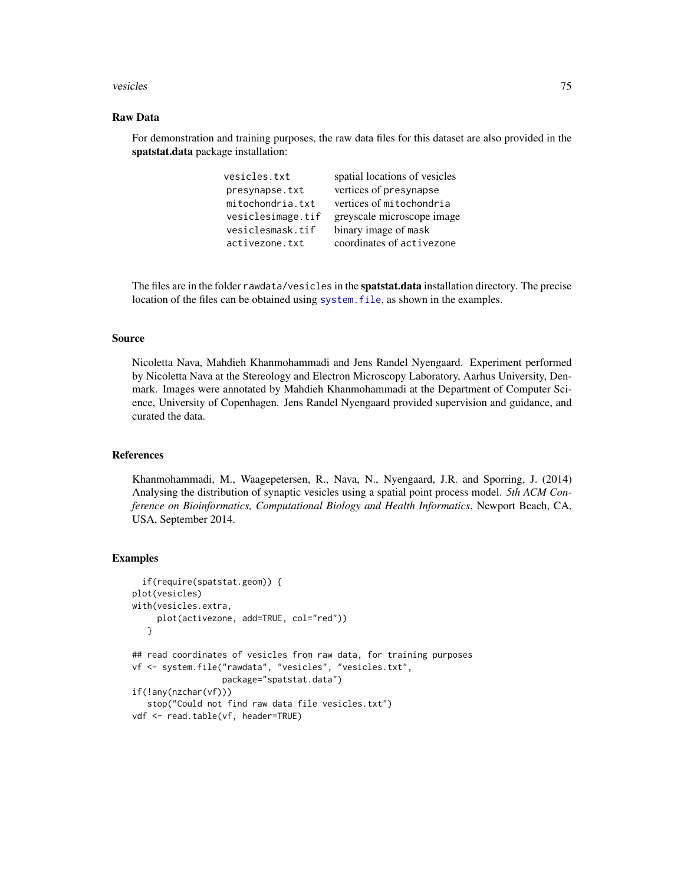#### <span id="page-74-0"></span>vesicles 75

# Raw Data

For demonstration and training purposes, the raw data files for this dataset are also provided in the spatstat.data package installation:

| vesicles.txt      | spatial locations of vesicles |
|-------------------|-------------------------------|
| presynapse.txt    | vertices of presynapse        |
| mitochondria.txt  | vertices of mitochondria      |
| vesiclesimage.tif | greyscale microscope image    |
| vesiclesmask.tif  | binary image of mask          |
| activezone.txt    | coordinates of activezone     |

The files are in the folder rawdata/vesicles in the **spatstat.data** installation directory. The precise location of the files can be obtained using [system.file](#page-0-0), as shown in the examples.

# Source

Nicoletta Nava, Mahdieh Khanmohammadi and Jens Randel Nyengaard. Experiment performed by Nicoletta Nava at the Stereology and Electron Microscopy Laboratory, Aarhus University, Denmark. Images were annotated by Mahdieh Khanmohammadi at the Department of Computer Science, University of Copenhagen. Jens Randel Nyengaard provided supervision and guidance, and curated the data.

# References

Khanmohammadi, M., Waagepetersen, R., Nava, N., Nyengaard, J.R. and Sporring, J. (2014) Analysing the distribution of synaptic vesicles using a spatial point process model. *5th ACM Conference on Bioinformatics, Computational Biology and Health Informatics*, Newport Beach, CA, USA, September 2014.

# Examples

```
if(require(spatstat.geom)) {
plot(vesicles)
with(vesicles.extra,
     plot(activezone, add=TRUE, col="red"))
   }
## read coordinates of vesicles from raw data, for training purposes
vf <- system.file("rawdata", "vesicles", "vesicles.txt",
                  package="spatstat.data")
if(!any(nzchar(vf)))
  stop("Could not find raw data file vesicles.txt")
vdf <- read.table(vf, header=TRUE)
```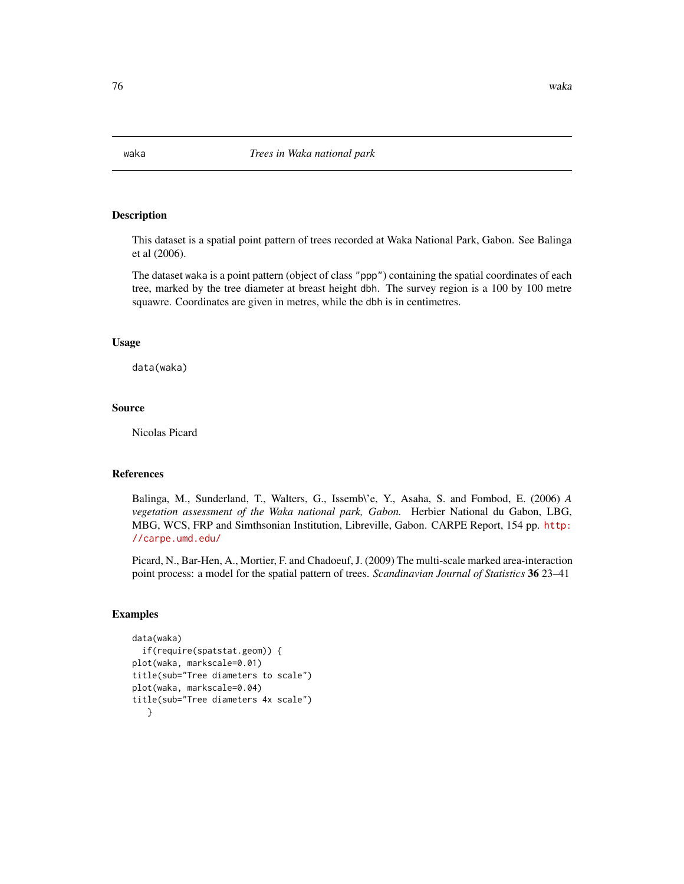# <span id="page-75-0"></span>Description

This dataset is a spatial point pattern of trees recorded at Waka National Park, Gabon. See Balinga et al (2006).

The dataset waka is a point pattern (object of class "ppp") containing the spatial coordinates of each tree, marked by the tree diameter at breast height dbh. The survey region is a 100 by 100 metre squawre. Coordinates are given in metres, while the dbh is in centimetres.

## Usage

data(waka)

### Source

Nicolas Picard

## References

Balinga, M., Sunderland, T., Walters, G., Issemb\'e, Y., Asaha, S. and Fombod, E. (2006) *A vegetation assessment of the Waka national park, Gabon.* Herbier National du Gabon, LBG, MBG, WCS, FRP and Simthsonian Institution, Libreville, Gabon. CARPE Report, 154 pp. [http:](http://carpe.umd.edu/) [//carpe.umd.edu/](http://carpe.umd.edu/)

Picard, N., Bar-Hen, A., Mortier, F. and Chadoeuf, J. (2009) The multi-scale marked area-interaction point process: a model for the spatial pattern of trees. *Scandinavian Journal of Statistics* 36 23–41

# Examples

```
data(waka)
 if(require(spatstat.geom)) {
plot(waka, markscale=0.01)
title(sub="Tree diameters to scale")
plot(waka, markscale=0.04)
title(sub="Tree diameters 4x scale")
   }
```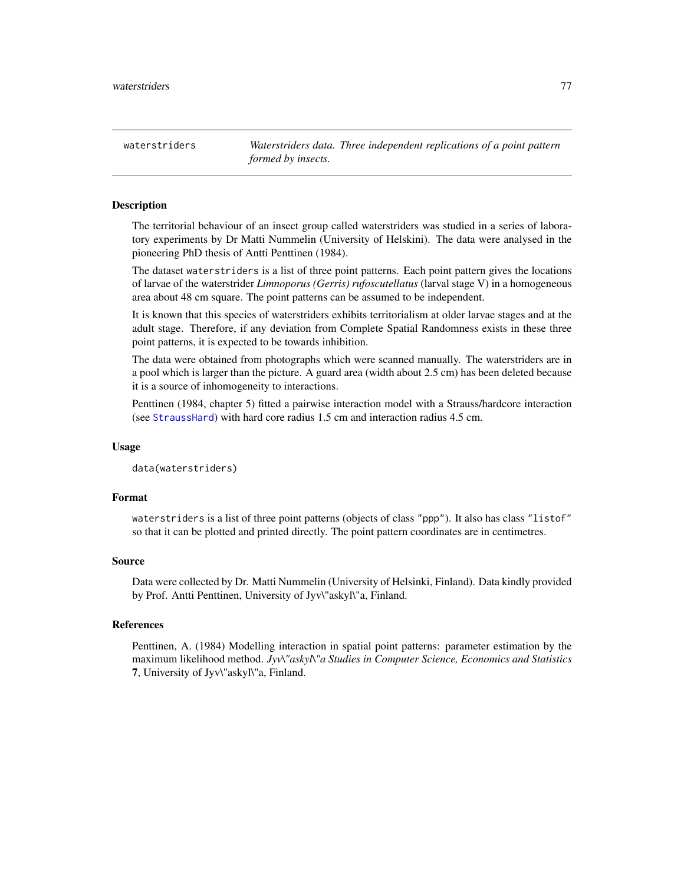<span id="page-76-0"></span>waterstriders *Waterstriders data. Three independent replications of a point pattern formed by insects.*

## Description

The territorial behaviour of an insect group called waterstriders was studied in a series of laboratory experiments by Dr Matti Nummelin (University of Helskini). The data were analysed in the pioneering PhD thesis of Antti Penttinen (1984).

The dataset waterstriders is a list of three point patterns. Each point pattern gives the locations of larvae of the waterstrider *Limnoporus (Gerris) rufoscutellatus* (larval stage V) in a homogeneous area about 48 cm square. The point patterns can be assumed to be independent.

It is known that this species of waterstriders exhibits territorialism at older larvae stages and at the adult stage. Therefore, if any deviation from Complete Spatial Randomness exists in these three point patterns, it is expected to be towards inhibition.

The data were obtained from photographs which were scanned manually. The waterstriders are in a pool which is larger than the picture. A guard area (width about 2.5 cm) has been deleted because it is a source of inhomogeneity to interactions.

Penttinen (1984, chapter 5) fitted a pairwise interaction model with a Strauss/hardcore interaction (see [StraussHard](#page-0-0)) with hard core radius 1.5 cm and interaction radius 4.5 cm.

#### Usage

data(waterstriders)

### Format

waterstriders is a list of three point patterns (objects of class "ppp"). It also has class "listof" so that it can be plotted and printed directly. The point pattern coordinates are in centimetres.

#### Source

Data were collected by Dr. Matti Nummelin (University of Helsinki, Finland). Data kindly provided by Prof. Antti Penttinen, University of Jyv\"askyl\"a, Finland.

# References

Penttinen, A. (1984) Modelling interaction in spatial point patterns: parameter estimation by the maximum likelihood method. *Jyv\"askyl\"a Studies in Computer Science, Economics and Statistics* 7, University of Jyv\"askyl\"a, Finland.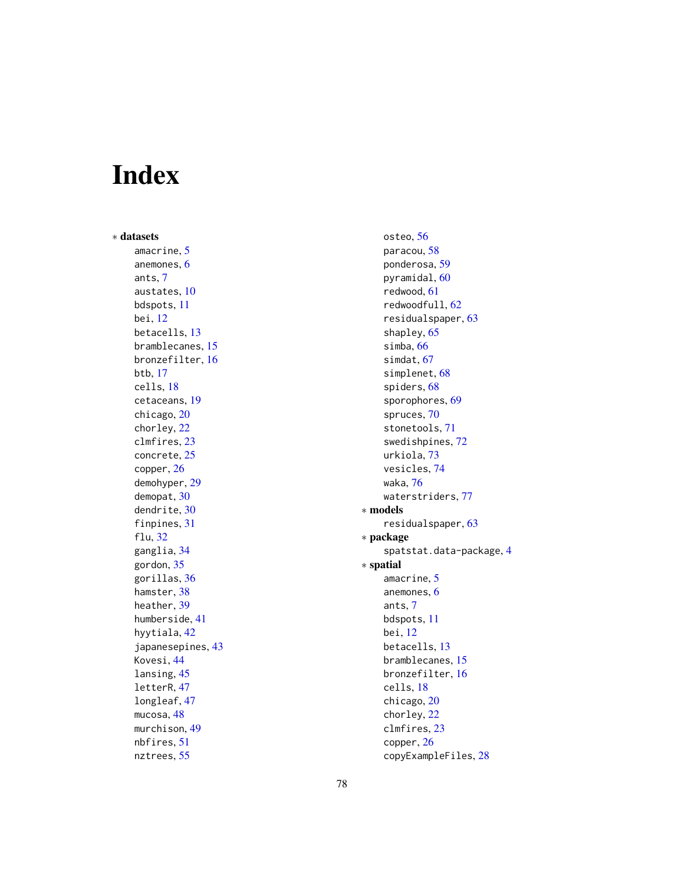# Index

∗ datasets amacrine, [5](#page-4-0) anemones, [6](#page-5-0) ants, [7](#page-6-0) austates, [10](#page-9-0) bdspots, [11](#page-10-0) bei, [12](#page-11-0) betacells, [13](#page-12-0) bramblecanes, [15](#page-14-0) bronzefilter, [16](#page-15-0) btb, [17](#page-16-0) cells, [18](#page-17-0) cetaceans, [19](#page-18-0) chicago, [20](#page-19-0) chorley, [22](#page-21-0) clmfires, [23](#page-22-0) concrete, [25](#page-24-0) copper, [26](#page-25-0) demohyper, [29](#page-28-0) demopat, [30](#page-29-0) dendrite, [30](#page-29-0) finpines, [31](#page-30-0) flu, [32](#page-31-0) ganglia, [34](#page-33-0) gordon, [35](#page-34-0) gorillas, [36](#page-35-0) hamster, [38](#page-37-0) heather, [39](#page-38-0) humberside, [41](#page-40-0) hyytiala, [42](#page-41-0) japanesepines, [43](#page-42-0) Kovesi, [44](#page-43-0) lansing, [45](#page-44-0) letterR, [47](#page-46-0) longleaf, [47](#page-46-0) mucosa, [48](#page-47-0) murchison, [49](#page-48-0) nbfires, [51](#page-50-0) nztrees, [55](#page-54-0)

osteo, [56](#page-55-0) paracou, [58](#page-57-0) ponderosa, [59](#page-58-0) pyramidal, [60](#page-59-0) redwood, [61](#page-60-0) redwoodfull, [62](#page-61-0) residualspaper, [63](#page-62-0) shapley, [65](#page-64-0) simba, [66](#page-65-0) simdat, [67](#page-66-0) simplenet, [68](#page-67-0) spiders, [68](#page-67-0) sporophores, [69](#page-68-0) spruces, [70](#page-69-0) stonetools, [71](#page-70-0) swedishpines, [72](#page-71-0) urkiola, [73](#page-72-0) vesicles, [74](#page-73-0) waka, [76](#page-75-0) waterstriders, [77](#page-76-0) ∗ models residualspaper, [63](#page-62-0) ∗ package spatstat.data-package, [4](#page-3-0) ∗ spatial amacrine, [5](#page-4-0) anemones, [6](#page-5-0) ants, [7](#page-6-0) bdspots, [11](#page-10-0) bei, [12](#page-11-0) betacells, [13](#page-12-0) bramblecanes, [15](#page-14-0) bronzefilter, [16](#page-15-0) cells, [18](#page-17-0) chicago, [20](#page-19-0) chorley, [22](#page-21-0) clmfires, [23](#page-22-0) copper, [26](#page-25-0)

copyExampleFiles, [28](#page-27-0)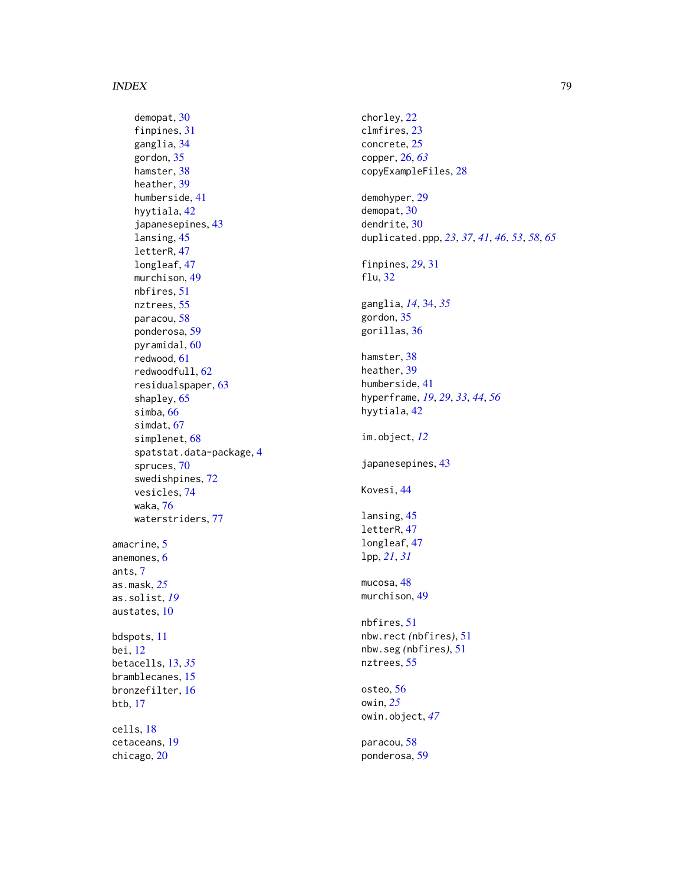demopat , [30](#page-29-0) finpines, [31](#page-30-0) ganglia , [34](#page-33-0) gordon , [35](#page-34-0) hamster, [38](#page-37-0) heather, [39](#page-38-0) humberside , [41](#page-40-0) hyytiala , [42](#page-41-0) japanesepines , [43](#page-42-0) lansing , [45](#page-44-0) letterR , [47](#page-46-0) longleaf , [47](#page-46-0) murchison , [49](#page-48-0) nbfires , [51](#page-50-0) nztrees , [55](#page-54-0) paracou , [58](#page-57-0) ponderosa , [59](#page-58-0) pyramidal, [60](#page-59-0) redwood , [61](#page-60-0) redwoodfull , [62](#page-61-0) residualspaper , [63](#page-62-0) shapley, [65](#page-64-0) simba , [66](#page-65-0) simdat , [67](#page-66-0) simplenet, [68](#page-67-0) spatstat.data-package , [4](#page-3-0) spruces , [70](#page-69-0) swedishpines , [72](#page-71-0) vesicles , [74](#page-73-0) waka , [76](#page-75-0) waterstriders, [77](#page-76-0) amacrine , [5](#page-4-0) anemones , [6](#page-5-0) ants , [7](#page-6-0) as.mask , *[25](#page-24-0)* as.solist , *[19](#page-18-0)* austates , [10](#page-9-0) bdspots , [11](#page-10-0) bei , [12](#page-11-0) betacells , [13](#page-12-0) , *[35](#page-34-0)* bramblecanes, [15](#page-14-0) bronzefilter , [16](#page-15-0) btb , [17](#page-16-0) cells , [18](#page-17-0) cetaceans , [19](#page-18-0)

chicago, [20](#page-19-0)

chorley , [22](#page-21-0) clmfires , [23](#page-22-0) concrete , [25](#page-24-0) copper , [26](#page-25-0) , *[63](#page-62-0)* copyExampleFiles , [28](#page-27-0) demohyper , [29](#page-28-0) demopat , [30](#page-29-0) dendrite , [30](#page-29-0) duplicated.ppp , *[23](#page-22-0)* , *[37](#page-36-0)* , *[41](#page-40-0)* , *[46](#page-45-0)* , *[53](#page-52-0)* , *[58](#page-57-0)* , *[65](#page-64-0)* finpines , *[29](#page-28-0)* , [31](#page-30-0) flu , [32](#page-31-0) ganglia , *[14](#page-13-0)* , [34](#page-33-0) , *[35](#page-34-0)* gordon , [35](#page-34-0) gorillas , [36](#page-35-0) hamster, [38](#page-37-0) heather, [39](#page-38-0) humberside , [41](#page-40-0) hyperframe , *[19](#page-18-0)* , *[29](#page-28-0)* , *[33](#page-32-0)* , *[44](#page-43-0)* , *[56](#page-55-0)* hyytiala , [42](#page-41-0) im.object , *[12](#page-11-0)* japanesepines , [43](#page-42-0) Kovesi , [44](#page-43-0) lansing, [45](#page-44-0) letterR , [47](#page-46-0) longleaf , [47](#page-46-0) lpp , *[21](#page-20-0)* , *[31](#page-30-0)* mucosa, 4<mark>8</mark> murchison , [49](#page-48-0) nbfires , [51](#page-50-0) nbw.rect *(*nbfires *)* , [51](#page-50-0) nbw.seg *(*nbfires *)* , [51](#page-50-0) nztrees, <mark>[55](#page-54-0)</mark> osteo, <mark>[56](#page-55-0)</mark> owin , *[25](#page-24-0)* owin.object , *[47](#page-46-0)*

paracou, <mark>[58](#page-57-0)</mark> ponderosa , [59](#page-58-0)